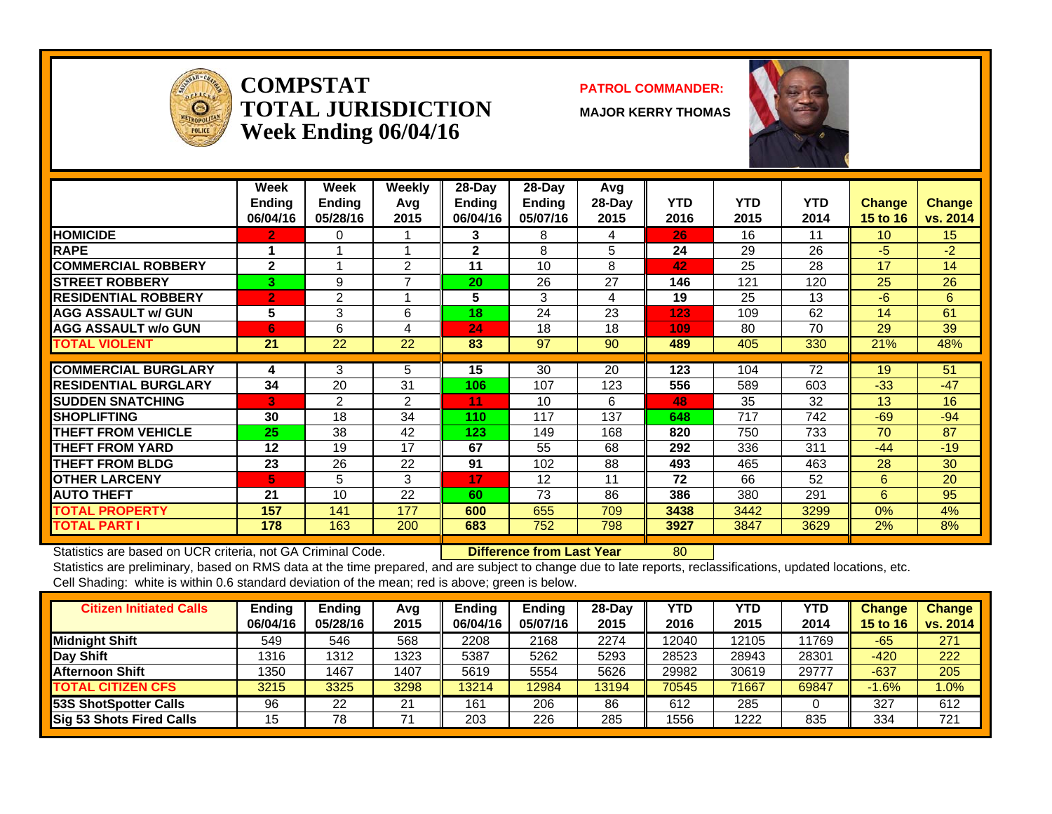

#### **COMPSTATTOTAL JURISDICTIONWeek Ending 06/04/16**

#### **PATROL COMMANDER:**

**MAJOR KERRY THOMAS**



|                              | Week<br><b>Ending</b><br>06/04/16 | <b>Week</b><br><b>Ending</b><br>05/28/16 | Weekly<br>Avq<br>2015 | 28-Day<br><b>Ending</b><br>06/04/16 | $28$ -Day<br><b>Ending</b><br>05/07/16 | Avg<br>28-Day<br>2015 | <b>YTD</b><br>2016 | <b>YTD</b><br>2015 | <b>YTD</b><br>2014 | <b>Change</b><br>15 to 16 | <b>Change</b><br>vs. 2014 |
|------------------------------|-----------------------------------|------------------------------------------|-----------------------|-------------------------------------|----------------------------------------|-----------------------|--------------------|--------------------|--------------------|---------------------------|---------------------------|
| <b>HOMICIDE</b>              | 2.                                | 0                                        |                       | 3                                   | 8                                      | 4                     | 26                 | 16                 | 11                 | 10                        | 15 <sub>15</sub>          |
| <b>RAPE</b>                  |                                   |                                          |                       | $\mathbf{2}$                        | 8                                      | 5                     | 24                 | 29                 | 26                 | $-5$                      | $-2$                      |
| <b>COMMERCIAL ROBBERY</b>    | $\mathbf{2}$                      | и                                        | 2                     | 11                                  | 10                                     | 8                     | 42                 | 25                 | 28                 | 17                        | 14                        |
| <b>STREET ROBBERY</b>        | 3                                 | 9                                        | 7                     | 20                                  | 26                                     | 27                    | 146                | 121                | 120                | 25                        | 26                        |
| <b>RESIDENTIAL ROBBERY</b>   | $\overline{2}$                    | $\overline{2}$                           |                       | 5                                   | 3                                      | 4                     | 19                 | 25                 | 13                 | $-6$                      | 6                         |
| <b>AGG ASSAULT w/ GUN</b>    | 5                                 | 3                                        | 6                     | 18                                  | 24                                     | 23                    | 123                | 109                | 62                 | 14                        | 61                        |
| <b>AGG ASSAULT w/o GUN</b>   | 6                                 | 6                                        | 4                     | 24                                  | 18                                     | 18                    | 109                | 80                 | 70                 | 29                        | 39                        |
| <b>TOTAL VIOLENT</b>         | 21                                | 22                                       | 22                    | 83                                  | 97                                     | 90                    | 489                | 405                | 330                | <b>21%</b>                | 48%                       |
| <b>ICOMMERCIAL BURGLARY</b>  | 4                                 | 3                                        | 5                     | 15                                  | 30                                     | 20                    | 123                | 104                | 72                 | 19                        | 51                        |
|                              |                                   |                                          |                       |                                     |                                        |                       |                    |                    |                    |                           |                           |
| <b>IRESIDENTIAL BURGLARY</b> | 34                                | 20                                       | 31                    | 106                                 | 107                                    | 123                   | 556                | 589                | 603                | $-33$                     | $-47$                     |
| <b>ISUDDEN SNATCHING</b>     | G.                                | 2                                        | 2                     | 11                                  | 10                                     | 6                     | 48                 | 35                 | 32                 | 13                        | 16                        |
| <b>SHOPLIFTING</b>           | 30                                | 18                                       | 34                    | 110                                 | 117                                    | 137                   | 648                | 717                | 742                | $-69$                     | $-94$                     |
| <b>THEFT FROM VEHICLE</b>    | 25                                | 38                                       | 42                    | 123                                 | 149                                    | 168                   | 820                | 750                | 733                | 70                        | 87                        |
| <b>THEFT FROM YARD</b>       | 12                                | 19                                       | 17                    | 67                                  | 55                                     | 68                    | 292                | 336                | 311                | $-44$                     | $-19$                     |
| <b>THEFT FROM BLDG</b>       | 23                                | 26                                       | 22                    | 91                                  | 102                                    | 88                    | 493                | 465                | 463                | 28                        | 30                        |
| <b>OTHER LARCENY</b>         | 5                                 | 5                                        | 3                     | 17                                  | 12                                     | 11                    | 72                 | 66                 | 52                 | 6                         | 20                        |
| <b>AUTO THEFT</b>            | 21                                | 10                                       | 22                    | 60                                  | 73                                     | 86                    | 386                | 380                | 291                | 6                         | 95                        |
| <b>TOTAL PROPERTY</b>        | 157                               | 141                                      | 177                   | 600                                 | 655                                    | 709                   | 3438               | 3442               | 3299               | 0%                        | 4%                        |
| <b>TOTAL PART I</b>          | 178                               | 163                                      | 200                   | 683                                 | 752                                    | 798                   | 3927               | 3847               | 3629               | 2%                        | 8%                        |

Statistics are based on UCR criteria, not GA Criminal Code. **Difference from Last Year** 80

| <b>Citizen Initiated Calls</b> | <b>Ending</b> | <b>Ending</b> | Avg  | <b>Endina</b> | Ending   | 28-Dav | YTD   | YTD   | YTD   | <b>Change</b>   | <b>Change</b> |
|--------------------------------|---------------|---------------|------|---------------|----------|--------|-------|-------|-------|-----------------|---------------|
|                                | 06/04/16      | 05/28/16      | 2015 | 06/04/16      | 05/07/16 | 2015   | 2016  | 2015  | 2014  | <b>15 to 16</b> | vs. 2014      |
| <b>Midnight Shift</b>          | 549           | 546           | 568  | 2208          | 2168     | 2274   | 12040 | 12105 | 11769 | $-65$           | 271           |
| <b>Day Shift</b>               | 1316          | 1312          | 1323 | 5387          | 5262     | 5293   | 28523 | 28943 | 28301 | $-420$          | 222           |
| Afternoon Shift                | 1350          | 1467          | 1407 | 5619          | 5554     | 5626   | 29982 | 30619 | 29777 | $-637$          | 205           |
| <b>TOTAL CITIZEN CFS</b>       | 3215          | 3325          | 3298 | 13214         | 12984    | 13194  | 70545 | 71667 | 69847 | $-1.6%$         | .0%           |
| 53S ShotSpotter Calls          | 96            | 22            | 21   | 161           | 206      | 86     | 612   | 285   |       | 327             | 612           |
| Sig 53 Shots Fired Calls       | 15            | 78            |      | 203           | 226      | 285    | 1556  | 1222  | 835   | 334             | 721           |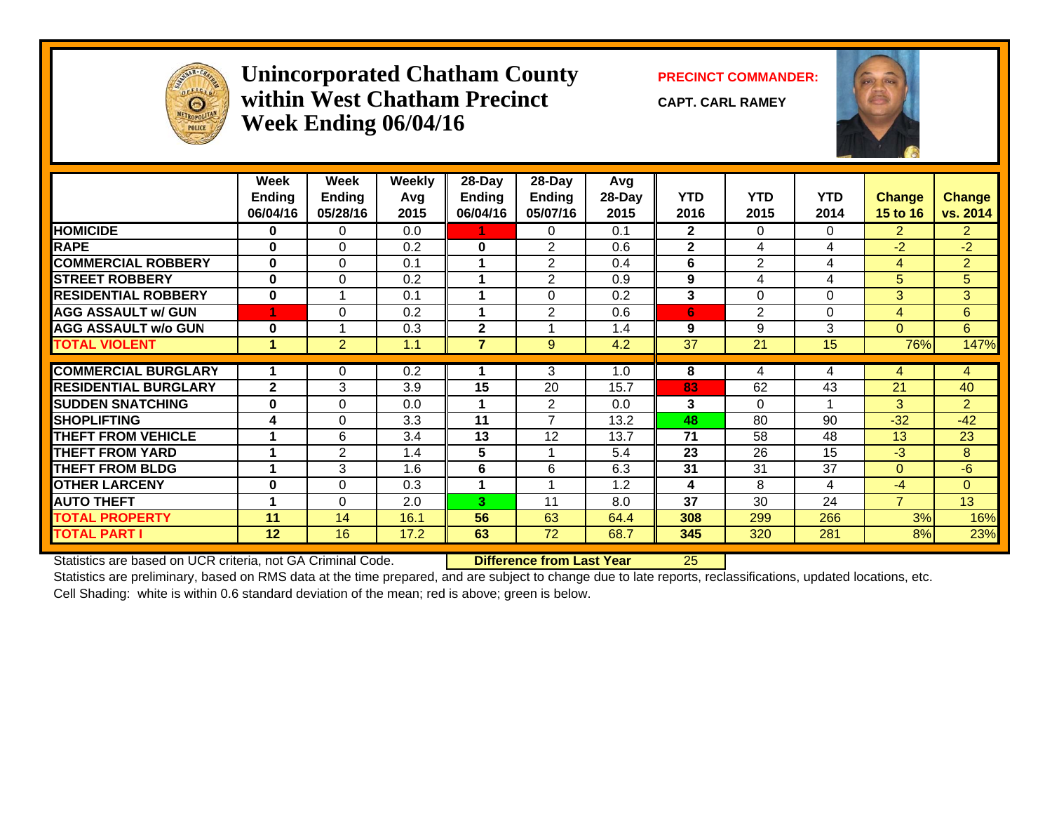

### **Unincorporated Chatham County PRECINCT COMMANDER: within West Chatham PrecinctWeek Ending 06/04/16**

**CAPT. CARL RAMEY**



|                             | Week<br><b>Ending</b><br>06/04/16 | Week<br><b>Ending</b><br>05/28/16 | <b>Weekly</b><br>Avg<br>2015 | 28-Day<br>Ending<br>06/04/16 | 28-Day<br>Ending<br>05/07/16 | Avg<br>28-Day<br>2015 | <b>YTD</b><br>2016 | <b>YTD</b><br>2015 | <b>YTD</b><br>2014 | <b>Change</b><br><b>15 to 16</b> | <b>Change</b><br>vs. 2014 |
|-----------------------------|-----------------------------------|-----------------------------------|------------------------------|------------------------------|------------------------------|-----------------------|--------------------|--------------------|--------------------|----------------------------------|---------------------------|
| <b>HOMICIDE</b>             | 0                                 | 0                                 | 0.0                          |                              | 0                            | 0.1                   | $\overline{2}$     | 0                  | $\Omega$           | $\overline{2}$                   | $\overline{2}$            |
| <b>RAPE</b>                 | 0                                 | $\Omega$                          | 0.2                          | $\bf{0}$                     | $\overline{2}$               | 0.6                   | $\overline{2}$     | 4                  | 4                  | $-2$                             | $-2$                      |
| <b>COMMERCIAL ROBBERY</b>   | 0                                 | 0                                 | 0.1                          |                              | $\overline{2}$               | 0.4                   | 6                  | $\overline{2}$     | 4                  | 4                                | $\overline{2}$            |
| <b>STREET ROBBERY</b>       | $\bf{0}$                          | 0                                 | 0.2                          |                              | $\overline{2}$               | 0.9                   | 9                  | 4                  | 4                  | 5                                | 5                         |
| <b>RESIDENTIAL ROBBERY</b>  | $\bf{0}$                          | -1                                | 0.1                          |                              | $\Omega$                     | 0.2                   | 3                  | $\Omega$           | $\Omega$           | 3                                | 3                         |
| <b>AGG ASSAULT w/ GUN</b>   |                                   | $\Omega$                          | 0.2                          |                              | 2                            | 0.6                   | 6                  | $\overline{2}$     | $\Omega$           | 4                                | 6                         |
| <b>AGG ASSAULT w/o GUN</b>  | $\mathbf 0$                       | 1                                 | 0.3                          | $\overline{2}$               |                              | 1.4                   | 9                  | 9                  | 3                  | $\Omega$                         | 6                         |
| <b>TOTAL VIOLENT</b>        | 1                                 | $\overline{2}$                    | 1.1                          | 7                            | 9                            | 4.2                   | 37                 | 21                 | 15                 | 76%                              | 147%                      |
|                             |                                   |                                   |                              |                              |                              |                       |                    |                    |                    |                                  |                           |
| <b>COMMERCIAL BURGLARY</b>  |                                   | 0                                 | 0.2                          |                              | 3                            | 1.0                   | 8                  | 4                  | 4                  | 4                                | 4                         |
| <b>RESIDENTIAL BURGLARY</b> | $\mathbf{2}$                      | 3                                 | 3.9                          | 15                           | 20                           | 15.7                  | 83                 | 62                 | 43                 | 21                               | 40                        |
| <b>SUDDEN SNATCHING</b>     | $\bf{0}$                          | $\Omega$                          | 0.0                          |                              | $\overline{2}$               | 0.0                   | 3                  | $\Omega$           |                    | 3                                | $\overline{2}$            |
| <b>SHOPLIFTING</b>          | 4                                 | $\Omega$                          | 3.3                          | 11                           | $\overline{7}$               | 13.2                  | 48                 | 80                 | 90                 | $-32$                            | $-42$                     |
| <b>THEFT FROM VEHICLE</b>   | 1                                 | 6                                 | 3.4                          | 13                           | 12                           | 13.7                  | 71                 | 58                 | 48                 | 13                               | 23                        |
| <b>THEFT FROM YARD</b>      | 1                                 | $\mathbf{2}$                      | 1.4                          | 5                            |                              | 5.4                   | 23                 | 26                 | 15                 | $-3$                             | 8                         |
| <b>THEFT FROM BLDG</b>      | 1                                 | 3                                 | 1.6                          | 6                            | 6                            | 6.3                   | 31                 | 31                 | 37                 | $\Omega$                         | -6                        |
| <b>OTHER LARCENY</b>        | 0                                 | 0                                 | 0.3                          |                              |                              | 1.2                   | 4                  | 8                  | 4                  | $-4$                             | $\Omega$                  |
| <b>AUTO THEFT</b>           | 1                                 | $\Omega$                          | 2.0                          | 3                            | 11                           | 8.0                   | 37                 | 30                 | 24                 | $\overline{7}$                   | 13                        |
| <b>TOTAL PROPERTY</b>       | 11                                | 14                                | 16.1                         | 56                           | 63                           | 64.4                  | 308                | 299                | 266                | 3%                               | 16%                       |
| <b>TOTAL PART I</b>         | 12                                | 16                                | 17.2                         | 63                           | 72                           | 68.7                  | 345                | 320                | 281                | 8%                               | 23%                       |

Statistics are based on UCR criteria, not GA Criminal Code. **Difference from Last Year** 25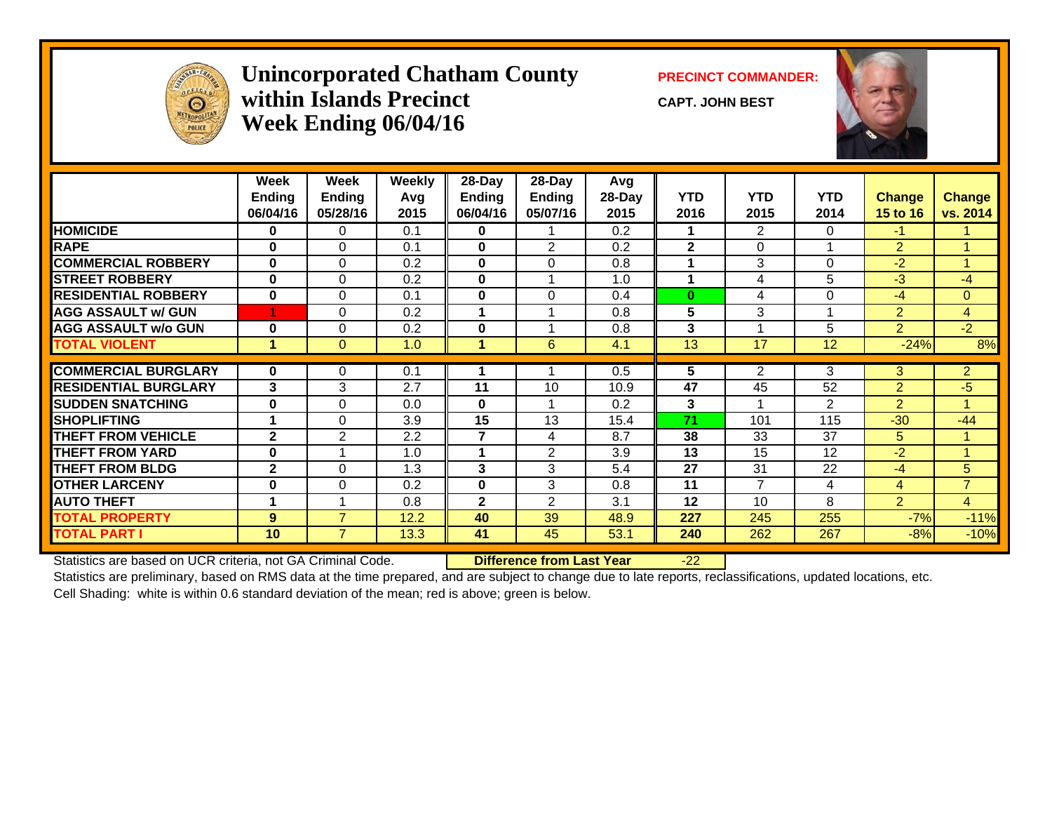

## **Unincorporated Chatham County PRECINCT COMMANDER: within Islands PrecinctWeek Ending 06/04/16**

**CAPT. JOHN BEST**



|                             | Week<br><b>Ending</b><br>06/04/16 | Week<br><b>Ending</b><br>05/28/16 | <b>Weekly</b><br>Avg<br>2015 | 28-Day<br><b>Ending</b><br>06/04/16 | $28$ -Day<br><b>Ending</b><br>05/07/16 | Avg<br>28-Day<br>2015 | <b>YTD</b><br>2016 | <b>YTD</b><br>2015 | <b>YTD</b><br>2014 | <b>Change</b><br><b>15 to 16</b> | <b>Change</b><br>vs. 2014 |
|-----------------------------|-----------------------------------|-----------------------------------|------------------------------|-------------------------------------|----------------------------------------|-----------------------|--------------------|--------------------|--------------------|----------------------------------|---------------------------|
| <b>HOMICIDE</b>             | 0                                 | $\Omega$                          | 0.1                          | $\mathbf 0$                         |                                        | 0.2                   |                    | $\overline{2}$     | $\Omega$           | $-1$                             |                           |
| <b>RAPE</b>                 | $\bf{0}$                          | 0                                 | 0.1                          | $\mathbf 0$                         | 2                                      | 0.2                   | $\mathbf{2}$       | 0                  |                    | $\overline{2}$                   |                           |
| <b>COMMERCIAL ROBBERY</b>   | 0                                 | $\Omega$                          | 0.2                          | $\mathbf{0}$                        | $\Omega$                               | 0.8                   |                    | 3                  | 0                  | $-2$                             | $\overline{A}$            |
| <b>ISTREET ROBBERY</b>      | $\bf{0}$                          | $\Omega$                          | 0.2                          | $\bf{0}$                            |                                        | 1.0                   |                    | 4                  | 5                  | $-3$                             | -4                        |
| <b>RESIDENTIAL ROBBERY</b>  | $\bf{0}$                          | $\Omega$                          | 0.1                          | $\bf{0}$                            | $\Omega$                               | 0.4                   | $\bf{0}$           | 4                  | 0                  | $-4$                             | $\mathbf{0}$              |
| <b>AGG ASSAULT w/ GUN</b>   |                                   | $\mathbf 0$                       | 0.2                          | 1                                   |                                        | 0.8                   | 5                  | 3                  |                    | $\overline{2}$                   | $\overline{4}$            |
| <b>AGG ASSAULT w/o GUN</b>  | $\bf{0}$                          | $\Omega$                          | 0.2                          | $\bf{0}$                            |                                        | 0.8                   | 3                  |                    | 5                  | $\overline{2}$                   | $-2$                      |
| <b>TOTAL VIOLENT</b>        | 4                                 | $\Omega$                          | 1.0                          | 1                                   | 6                                      | 4.1                   | 13                 | 17                 | 12                 | $-24%$                           | 8%                        |
|                             |                                   |                                   |                              |                                     |                                        |                       |                    |                    |                    |                                  |                           |
| <b>COMMERCIAL BURGLARY</b>  | $\mathbf{0}$                      | $\mathbf 0$                       | 0.1                          |                                     |                                        | 0.5                   | 5                  | $\overline{2}$     | 3                  | 3                                | $\overline{2}$            |
| <b>RESIDENTIAL BURGLARY</b> | 3                                 | 3                                 | 2.7                          | 11                                  | 10                                     | 10.9                  | 47                 | 45                 | 52                 | $\overline{2}$                   | $-5$                      |
| <b>SUDDEN SNATCHING</b>     | $\bf{0}$                          | 0                                 | 0.0                          | $\bf{0}$                            |                                        | 0.2                   | 3                  | 4                  | 2                  | $\overline{2}$                   | $\blacktriangleleft$      |
| <b>SHOPLIFTING</b>          |                                   | $\Omega$                          | 3.9                          | 15                                  | 13                                     | 15.4                  | 71                 | 101                | 115                | $-30$                            | $-44$                     |
| <b>THEFT FROM VEHICLE</b>   | $\overline{2}$                    | $\overline{2}$                    | 2.2                          | $\overline{7}$                      | $\overline{4}$                         | 8.7                   | 38                 | 33                 | 37                 | 5                                | 1                         |
| THEFT FROM YARD             | $\bf{0}$                          |                                   | 1.0                          | 1                                   | 2                                      | 3.9                   | 13                 | 15                 | 12                 | $-2$                             | $\blacktriangleleft$      |
| <b>THEFT FROM BLDG</b>      | $\mathbf{2}$                      | $\mathbf 0$                       | 1.3                          | 3                                   | 3                                      | 5.4                   | 27                 | 31                 | 22                 | $-4$                             | 5                         |
| <b>OTHER LARCENY</b>        | 0                                 | $\Omega$                          | 0.2                          | $\bf{0}$                            | 3                                      | 0.8                   | 11                 | 7                  | 4                  | 4                                | $\overline{7}$            |
| <b>AUTO THEFT</b>           |                                   |                                   | 0.8                          | $\mathbf{2}$                        | 2                                      | 3.1                   | 12                 | 10                 | 8                  | $\overline{2}$                   | $\overline{4}$            |
| <b>TOTAL PROPERTY</b>       | 9                                 | $\overline{7}$                    | 12.2                         | 40                                  | 39                                     | 48.9                  | 227                | 245                | 255                | $-7%$                            | $-11%$                    |
| <b>TOTAL PART I</b>         | 10                                | $\overline{7}$                    | 13.3                         | 41                                  | 45                                     | 53.1                  | 240                | 262                | 267                | $-8%$                            | $-10%$                    |

Statistics are based on UCR criteria, not GA Criminal Code. **Difference from Last Year** -22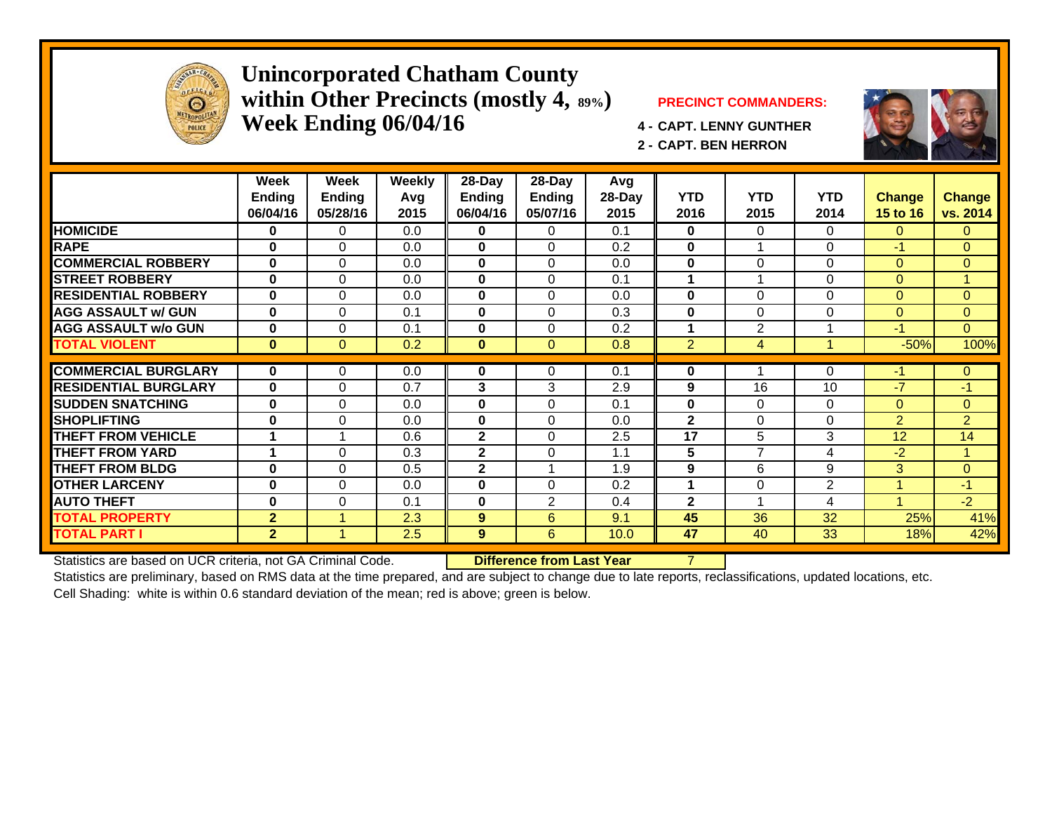

### **Unincorporated Chatham County within Other Precincts (mostly 4, 89%) PRECINCT COMMANDERS: Week Ending 06/04/16 4 - CAPT. LENNY GUNTHER**



**2 - CAPT. BEN HERRON**



Statistics are based on UCR criteria, not GA Criminal Code. **Difference from Last Year** 7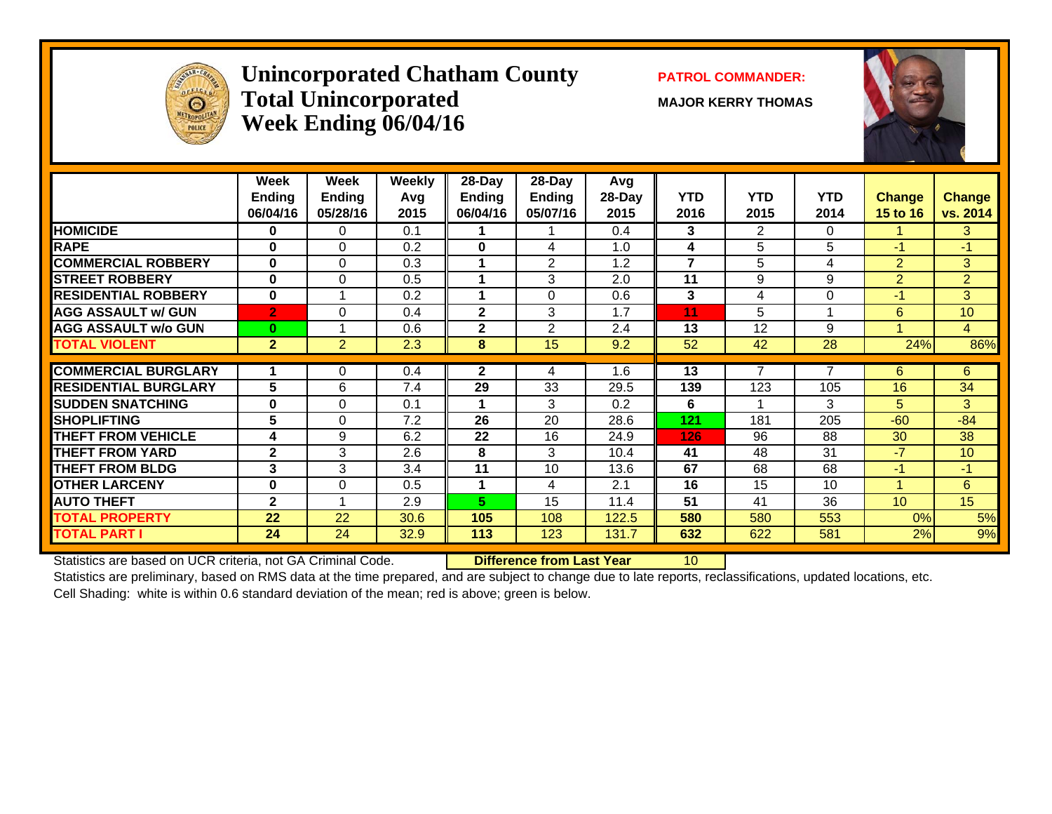

## **Unincorporated Chatham County PATROL COMMANDER:** Total Unincorporated MAJOR KERRY THOMAS **Week Ending 06/04/16**



|                             | Week                      | Week                      | Weekly      | 28-Day             | 28-Day             | Avg               |                    |                    |                    |                           |                           |
|-----------------------------|---------------------------|---------------------------|-------------|--------------------|--------------------|-------------------|--------------------|--------------------|--------------------|---------------------------|---------------------------|
|                             | <b>Ending</b><br>06/04/16 | <b>Ending</b><br>05/28/16 | Avg<br>2015 | Ending<br>06/04/16 | Ending<br>05/07/16 | $28$ -Day<br>2015 | <b>YTD</b><br>2016 | <b>YTD</b><br>2015 | <b>YTD</b><br>2014 | <b>Change</b><br>15 to 16 | <b>Change</b><br>vs. 2014 |
| <b>HOMICIDE</b>             | $\bf{0}$                  | 0                         | 0.1         |                    |                    | 0.4               | 3                  | $\overline{2}$     | $\Omega$           |                           | 3                         |
| <b>RAPE</b>                 | $\bf{0}$                  | $\Omega$                  | 0.2         | 0                  | 4                  | 1.0               | 4                  | 5                  | 5                  | $-1$                      | $-1$                      |
| <b>COMMERCIAL ROBBERY</b>   | $\bf{0}$                  | $\Omega$                  | 0.3         |                    | $\overline{2}$     | 1.2               | $\overline{7}$     | 5                  | 4                  | $\overline{2}$            | 3                         |
| <b>STREET ROBBERY</b>       | $\bf{0}$                  | $\Omega$                  | 0.5         |                    | 3                  | 2.0               | 11                 | 9                  | 9                  | $\overline{2}$            | $\overline{2}$            |
| <b>RESIDENTIAL ROBBERY</b>  | $\bf{0}$                  |                           | 0.2         |                    | 0                  | 0.6               | 3                  | 4                  | 0                  | $-1$                      | 3 <sup>1</sup>            |
| <b>AGG ASSAULT w/ GUN</b>   | $\overline{2}$            | $\Omega$                  | 0.4         | $\mathbf{2}$       | 3                  | 1.7               | 11                 | 5                  |                    | 6                         | 10                        |
| <b>AGG ASSAULT w/o GUN</b>  | $\bf{0}$                  |                           | 0.6         | $\mathbf{2}$       | 2                  | 2.4               | 13                 | 12                 | 9                  | 4                         | $\overline{4}$            |
| <b>TOTAL VIOLENT</b>        | $\overline{2}$            | 2                         | 2.3         | 8                  | 15                 | 9.2               | 52                 | 42                 | 28                 | 24%                       | 86%                       |
| <b>COMMERCIAL BURGLARY</b>  |                           |                           |             | $\mathbf{2}$       |                    | 1.6               | 13                 | 7                  | 7                  |                           | 6                         |
|                             |                           | 0                         | 0.4         |                    | 4                  |                   |                    |                    |                    | 6                         |                           |
| <b>RESIDENTIAL BURGLARY</b> | 5                         | 6                         | 7.4         | 29                 | 33                 | 29.5              | 139                | 123                | 105                | 16                        | 34                        |
| <b>SUDDEN SNATCHING</b>     | $\bf{0}$                  | $\Omega$                  | 0.1         |                    | 3                  | 0.2               | 6                  |                    | 3                  | 5                         | 3                         |
| <b>SHOPLIFTING</b>          | 5                         | $\Omega$                  | 7.2         | 26                 | 20                 | 28.6              | 121                | 181                | 205                | $-60$                     | $-84$                     |
| <b>THEFT FROM VEHICLE</b>   | 4                         | 9                         | 6.2         | 22                 | 16                 | 24.9              | 126                | 96                 | 88                 | 30                        | 38                        |
| <b>THEFT FROM YARD</b>      | $\mathbf{2}$              | 3                         | 2.6         | 8                  | 3                  | 10.4              | 41                 | 48                 | 31                 | $-7$                      | 10                        |
| <b>THEFT FROM BLDG</b>      | 3                         | 3                         | 3.4         | 11                 | 10                 | 13.6              | 67                 | 68                 | 68                 | $-1$                      | $-1$                      |
| <b>OTHER LARCENY</b>        | $\bf{0}$                  | $\Omega$                  | 0.5         |                    | 4                  | 2.1               | 16                 | 15                 | 10                 | 1                         | 6                         |
| <b>AUTO THEFT</b>           | $\mathbf{2}$              |                           | 2.9         | 5.                 | 15                 | 11.4              | $\overline{51}$    | 41                 | 36                 | 10 <sup>°</sup>           | 15                        |
| <b>TOTAL PROPERTY</b>       | 22                        | 22                        | 30.6        | 105                | 108                | 122.5             | 580                | 580                | 553                | 0%                        | 5%                        |
| <b>TOTAL PART I</b>         | 24                        | 24                        | 32.9        | 113                | 123                | 131.7             | 632                | 622                | 581                | 2%                        | 9%                        |
|                             |                           |                           |             |                    |                    |                   |                    |                    |                    |                           |                           |

Statistics are based on UCR criteria, not GA Criminal Code. **Difference from Last Year** 10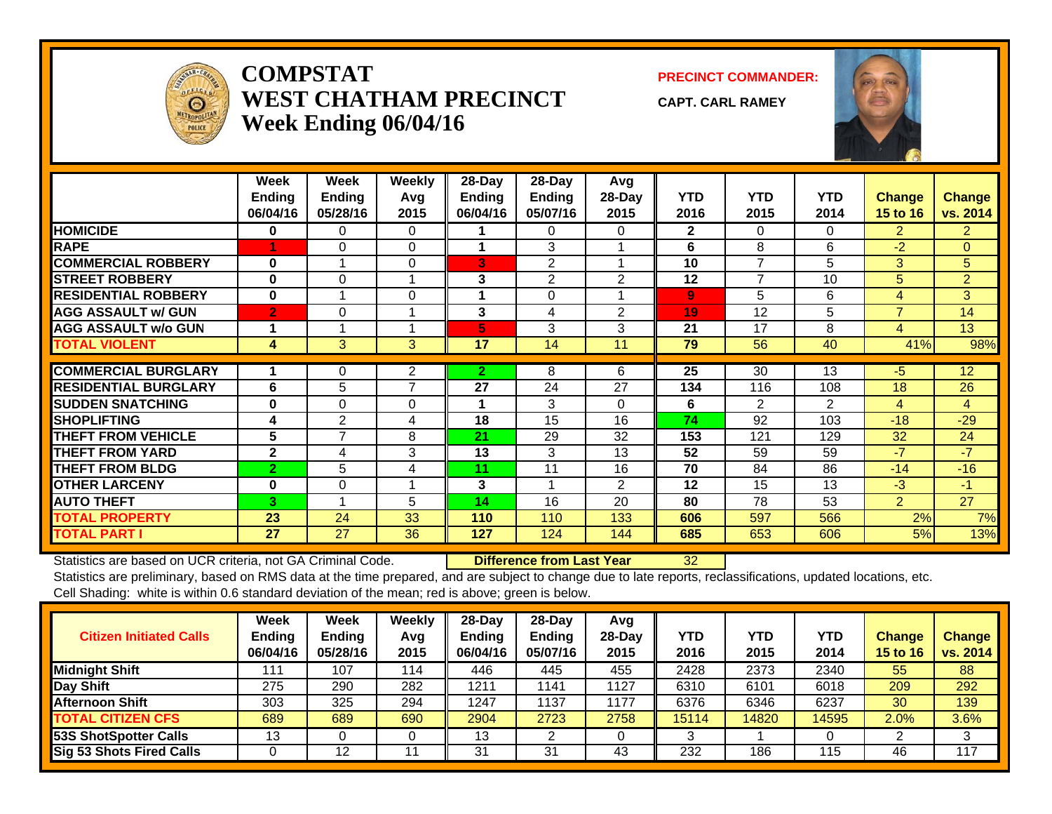

### **COMPSTATWEST CHATHAM PRECINCTWeek Ending 06/04/16**

**PRECINCT COMMANDER:**

**CAPT. CARL RAMEY**



|                             | Week<br><b>Ending</b><br>06/04/16 | Week<br><b>Ending</b><br>05/28/16 | <b>Weekly</b><br>Avg<br>2015 | $28$ -Day<br>Ending<br>06/04/16 | 28-Day<br>Ending<br>05/07/16 | Avg<br>28-Day<br>2015 | <b>YTD</b><br>2016 | <b>YTD</b><br>2015 | <b>YTD</b><br>2014 | Change<br><b>15 to 16</b> | <b>Change</b><br>vs. 2014 |
|-----------------------------|-----------------------------------|-----------------------------------|------------------------------|---------------------------------|------------------------------|-----------------------|--------------------|--------------------|--------------------|---------------------------|---------------------------|
| <b>HOMICIDE</b>             | $\bf{0}$                          | 0                                 | $\Omega$                     |                                 | 0                            | 0                     | $\mathbf{2}$       | 0                  | 0                  | $\overline{2}$            | $\overline{2}$            |
| <b>RAPE</b>                 |                                   | 0                                 | $\Omega$                     |                                 | 3                            |                       | 6                  | 8                  | 6                  | $-2$                      | $\mathbf{0}$              |
| <b>COMMERCIAL ROBBERY</b>   | $\bf{0}$                          |                                   | $\Omega$                     | 3                               | 2                            |                       | 10                 | $\overline{7}$     | 5                  | 3                         | 5                         |
| <b>STREET ROBBERY</b>       | $\bf{0}$                          | $\Omega$                          |                              | 3                               | 2                            | $\overline{2}$        | 12                 | 7                  | 10                 | 5                         | $\overline{2}$            |
| <b>RESIDENTIAL ROBBERY</b>  | $\bf{0}$                          |                                   | $\Omega$                     | 1                               | $\Omega$                     |                       | $\overline{9}$     | 5                  | 6                  | 4                         | 3                         |
| <b>AGG ASSAULT w/ GUN</b>   | $\overline{2}$                    | $\Omega$                          |                              | 3                               | 4                            | 2                     | 19                 | 12                 | 5                  | $\overline{7}$            | 14                        |
| <b>AGG ASSAULT w/o GUN</b>  | 1                                 |                                   |                              | 5                               | 3                            | 3                     | 21                 | 17                 | 8                  | 4                         | 13                        |
| <b>TOTAL VIOLENT</b>        | 4                                 | 3                                 | 3                            | 17                              | 14                           | 11                    | 79                 | 56                 | 40                 | 41%                       | 98%                       |
|                             |                                   |                                   |                              |                                 |                              |                       |                    |                    |                    |                           |                           |
| <b>COMMERCIAL BURGLARY</b>  |                                   | 0                                 | $\overline{2}$               | $\overline{2}$                  | 8                            | 6                     | 25                 | 30                 | 13                 | $-5$                      | 12                        |
| <b>RESIDENTIAL BURGLARY</b> | 6                                 | 5                                 | $\overline{7}$               | 27                              | 24                           | 27                    | 134                | 116                | 108                | 18                        | 26                        |
| <b>SUDDEN SNATCHING</b>     | $\bf{0}$                          | $\Omega$                          | 0                            | 1                               | 3                            | 0                     | 6                  | $\overline{2}$     | $\overline{2}$     | 4                         | 4                         |
| <b>SHOPLIFTING</b>          | 4                                 | 2                                 | 4                            | 18                              | 15                           | 16                    | 74                 | 92                 | 103                | $-18$                     | $-29$                     |
| <b>THEFT FROM VEHICLE</b>   | 5                                 | 7                                 | 8                            | 21                              | 29                           | 32                    | 153                | 121                | 129                | 32                        | 24                        |
| <b>THEFT FROM YARD</b>      | $\mathbf{2}$                      | 4                                 | 3                            | 13                              | 3                            | 13                    | 52                 | 59                 | 59                 | $-7$                      | $-7$                      |
| <b>THEFT FROM BLDG</b>      | $\overline{2}$                    | 5                                 | 4                            | 11                              | 11                           | 16                    | 70                 | 84                 | 86                 | $-14$                     | $-16$                     |
| <b>OTHER LARCENY</b>        | $\bf{0}$                          | 0                                 |                              | 3                               |                              | $\overline{2}$        | 12                 | 15                 | 13                 | $-3$                      | $-1$                      |
| <b>AUTO THEFT</b>           | $\mathbf{3}$                      |                                   | 5                            | 14                              | 16                           | 20                    | 80                 | 78                 | 53                 | $\overline{2}$            | 27                        |
| <b>TOTAL PROPERTY</b>       | 23                                | 24                                | 33                           | 110                             | 110                          | 133                   | 606                | 597                | 566                | 2%                        | 7%                        |
| <b>TOTAL PART I</b>         | 27                                | 27                                | 36                           | 127                             | 124                          | 144                   | 685                | 653                | 606                | 5%                        | 13%                       |

Statistics are based on UCR criteria, not GA Criminal Code. **Difference from Last Year** 32

| <b>Citizen Initiated Calls</b>  | <b>Week</b><br><b>Ending</b><br>06/04/16 | <b>Week</b><br><b>Ending</b><br>05/28/16 | Weekly<br>Avg<br>2015 | $28$ -Day<br><b>Ending</b><br>06/04/16 | $28-Dav$<br><b>Ending</b><br>05/07/16 | Avg<br>$28$ -Day<br>2015 | YTD<br>2016 | <b>YTD</b><br>2015 | YTD<br>2014 | <b>Change</b><br>15 to 16 | <b>Change</b><br>vs. 2014 |
|---------------------------------|------------------------------------------|------------------------------------------|-----------------------|----------------------------------------|---------------------------------------|--------------------------|-------------|--------------------|-------------|---------------------------|---------------------------|
| <b>Midnight Shift</b>           | 111                                      | 107                                      | 114                   | 446                                    | 445                                   | 455                      | 2428        | 2373               | 2340        | 55                        | 88                        |
| Day Shift                       | 275                                      | 290                                      | 282                   | 1211                                   | 1141                                  | 1127                     | 6310        | 6101               | 6018        | 209                       | 292                       |
| <b>Afternoon Shift</b>          | 303                                      | 325                                      | 294                   | 1247                                   | 1137                                  | 1177                     | 6376        | 6346               | 6237        | 30                        | 139                       |
| <b>TOTAL CITIZEN CFS</b>        | 689                                      | 689                                      | 690                   | 2904                                   | 2723                                  | 2758                     | 15114       | 14820              | 14595       | 2.0%                      | 3.6%                      |
| 53S ShotSpotter Calls           | 13                                       |                                          |                       | 13                                     |                                       |                          |             |                    |             |                           |                           |
| <b>Sig 53 Shots Fired Calls</b> |                                          | 12                                       | 11                    | 31                                     | 31                                    | 43                       | 232         | 186                | 115         | 46                        | 117                       |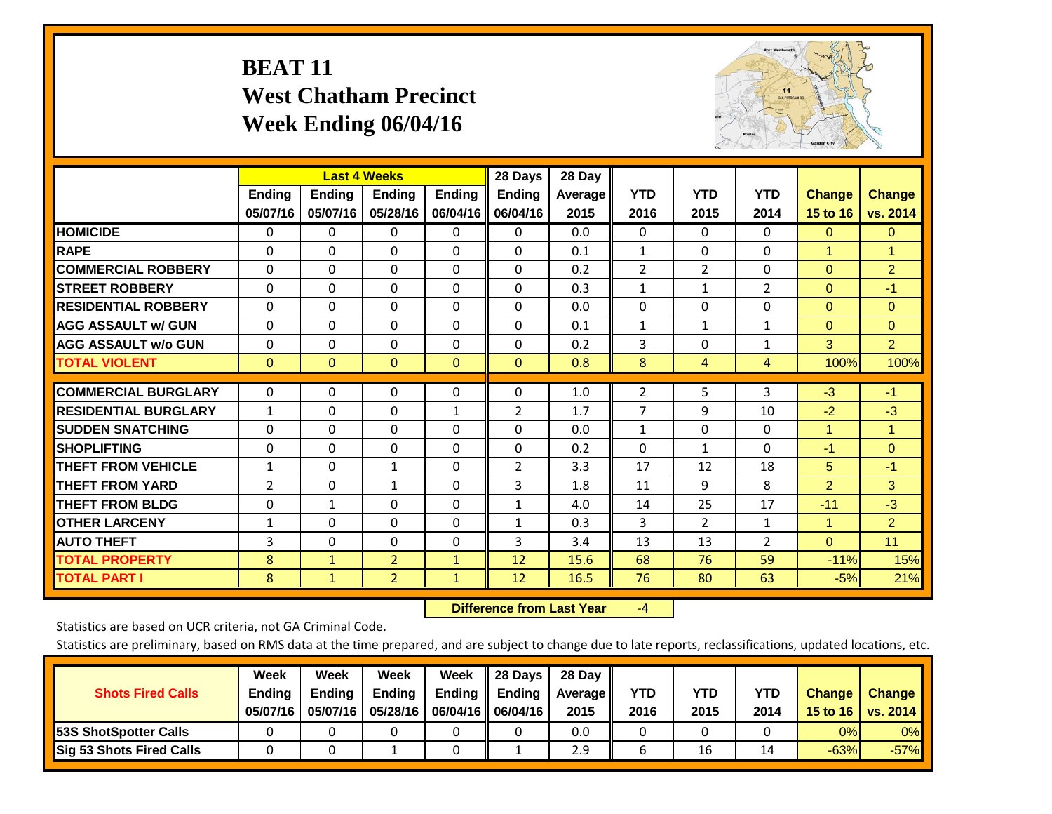# **BEAT 11 West Chatham Precinct Week Ending 06/04/16**



|                             |               | <b>Last 4 Weeks</b> |                |               | 28 Days        | 28 Day  |                |                |                |                |                |
|-----------------------------|---------------|---------------------|----------------|---------------|----------------|---------|----------------|----------------|----------------|----------------|----------------|
|                             | <b>Ending</b> | <b>Ending</b>       | <b>Ending</b>  | <b>Ending</b> | <b>Ending</b>  | Average | <b>YTD</b>     | <b>YTD</b>     | <b>YTD</b>     | <b>Change</b>  | <b>Change</b>  |
|                             | 05/07/16      | 05/07/16            | 05/28/16       | 06/04/16      | 06/04/16       | 2015    | 2016           | 2015           | 2014           | 15 to 16       | vs. 2014       |
| <b>HOMICIDE</b>             | $\Omega$      | 0                   | $\Omega$       | $\Omega$      | 0              | 0.0     | $\mathbf{0}$   | $\mathbf{0}$   | $\Omega$       | $\Omega$       | $\overline{0}$ |
| <b>RAPE</b>                 | $\Omega$      | $\Omega$            | $\Omega$       | 0             | $\Omega$       | 0.1     | 1              | $\Omega$       | 0              | 1              | 1              |
| <b>COMMERCIAL ROBBERY</b>   | $\Omega$      | $\Omega$            | $\mathbf{0}$   | $\Omega$      | $\Omega$       | 0.2     | $\overline{2}$ | $\overline{2}$ | $\Omega$       | $\mathbf{0}$   | $\overline{2}$ |
| <b>STREET ROBBERY</b>       | $\Omega$      | $\Omega$            | $\Omega$       | $\Omega$      | $\Omega$       | 0.3     | $\mathbf{1}$   | $\mathbf{1}$   | $\overline{2}$ | $\Omega$       | $-1$           |
| <b>RESIDENTIAL ROBBERY</b>  | $\Omega$      | $\Omega$            | $\mathbf{0}$   | $\Omega$      | $\Omega$       | 0.0     | $\Omega$       | $\Omega$       | 0              | $\Omega$       | $\Omega$       |
| <b>AGG ASSAULT w/ GUN</b>   | $\Omega$      | $\Omega$            | $\Omega$       | $\Omega$      | 0              | 0.1     | $\mathbf{1}$   | 1              | 1              | $\Omega$       | $\mathbf{0}$   |
| <b>AGG ASSAULT w/o GUN</b>  | 0             | $\Omega$            | $\mathbf{0}$   | $\Omega$      | $\Omega$       | 0.2     | 3              | 0              | 1              | 3              | $\overline{2}$ |
| <b>TOTAL VIOLENT</b>        | $\mathbf{0}$  | $\Omega$            | $\mathbf{0}$   | $\mathbf{0}$  | $\mathbf{0}$   | 0.8     | 8              | 4              | 4              | 100%           | 100%           |
|                             |               |                     |                |               |                |         |                |                |                |                |                |
| <b>COMMERCIAL BURGLARY</b>  | $\Omega$      | $\Omega$            | $\Omega$       | $\Omega$      | $\Omega$       | 1.0     | $\overline{2}$ | 5              | 3              | $-3$           | $-1$           |
| <b>RESIDENTIAL BURGLARY</b> | $\mathbf{1}$  | 0                   | $\mathbf{0}$   | $\mathbf{1}$  | 2              | 1.7     | $\overline{7}$ | 9              | 10             | $-2$           | $-3$           |
| <b>SUDDEN SNATCHING</b>     | 0             | 0                   | $\Omega$       | $\Omega$      | 0              | 0.0     | $\mathbf{1}$   | $\Omega$       | 0              | $\overline{1}$ | 1              |
| <b>ISHOPLIFTING</b>         | $\Omega$      | $\Omega$            | $\mathbf{0}$   | $\Omega$      | 0              | 0.2     | $\mathbf{0}$   | $\mathbf{1}$   | 0              | $-1$           | $\Omega$       |
| <b>THEFT FROM VEHICLE</b>   | 1             | $\Omega$            | $\mathbf{1}$   | 0             | $\overline{2}$ | 3.3     | 17             | 12             | 18             | 5              | $-1$           |
| <b>THEFT FROM YARD</b>      | 2             | $\Omega$            | 1              | 0             | 3              | 1.8     | 11             | 9              | 8              | $\overline{2}$ | 3              |
| <b>THEFT FROM BLDG</b>      | $\mathbf 0$   | 1                   | $\Omega$       | $\Omega$      | $\mathbf{1}$   | 4.0     | 14             | 25             | 17             | $-11$          | $-3$           |
| <b>OTHER LARCENY</b>        | 1             | $\Omega$            | $\Omega$       | 0             | $\mathbf{1}$   | 0.3     | 3              | $\overline{2}$ | $\mathbf{1}$   | $\overline{1}$ | $\overline{2}$ |
| <b>AUTO THEFT</b>           | 3             | 0                   | 0              | 0             | 3              | 3.4     | 13             | 13             | $\overline{2}$ | $\Omega$       | 11             |
| <b>TOTAL PROPERTY</b>       | 8             | $\mathbf{1}$        | $\overline{2}$ | $\mathbf{1}$  | 12             | 15.6    | 68             | 76             | 59             | $-11%$         | 15%            |
| <b>TOTAL PART I</b>         | 8             | $\mathbf{1}$        | $\overline{2}$ | $\mathbf{1}$  | 12             | 16.5    | 76             | 80             | 63             | $-5%$          | 21%            |

 **Difference from Last Year**‐4

Statistics are based on UCR criteria, not GA Criminal Code.

| <b>Shots Fired Calls</b>        | Week<br><b>Ending</b><br>05/07/16 | Week<br><b>Endina</b><br>05/07/16 | Week<br>Ending<br>05/28/16 | Week<br>Ending | 28 Days<br><b>Ending</b><br>06/04/16    06/04/16 | 28 Day<br>Average II<br>2015 | YTD<br>2016 | YTD<br>2015 | <b>YTD</b><br>2014 | <b>Change</b><br>15 to 16 $\vert$ | <b>Change</b><br>vs. 2014 |
|---------------------------------|-----------------------------------|-----------------------------------|----------------------------|----------------|--------------------------------------------------|------------------------------|-------------|-------------|--------------------|-----------------------------------|---------------------------|
| <b>153S ShotSpotter Calls</b>   |                                   |                                   |                            |                |                                                  | 0.0                          |             |             |                    | 0%                                | 0%                        |
| <b>Sig 53 Shots Fired Calls</b> |                                   |                                   |                            |                |                                                  | 2.9                          |             | 16          |                    | $-63%$                            | $-57%$                    |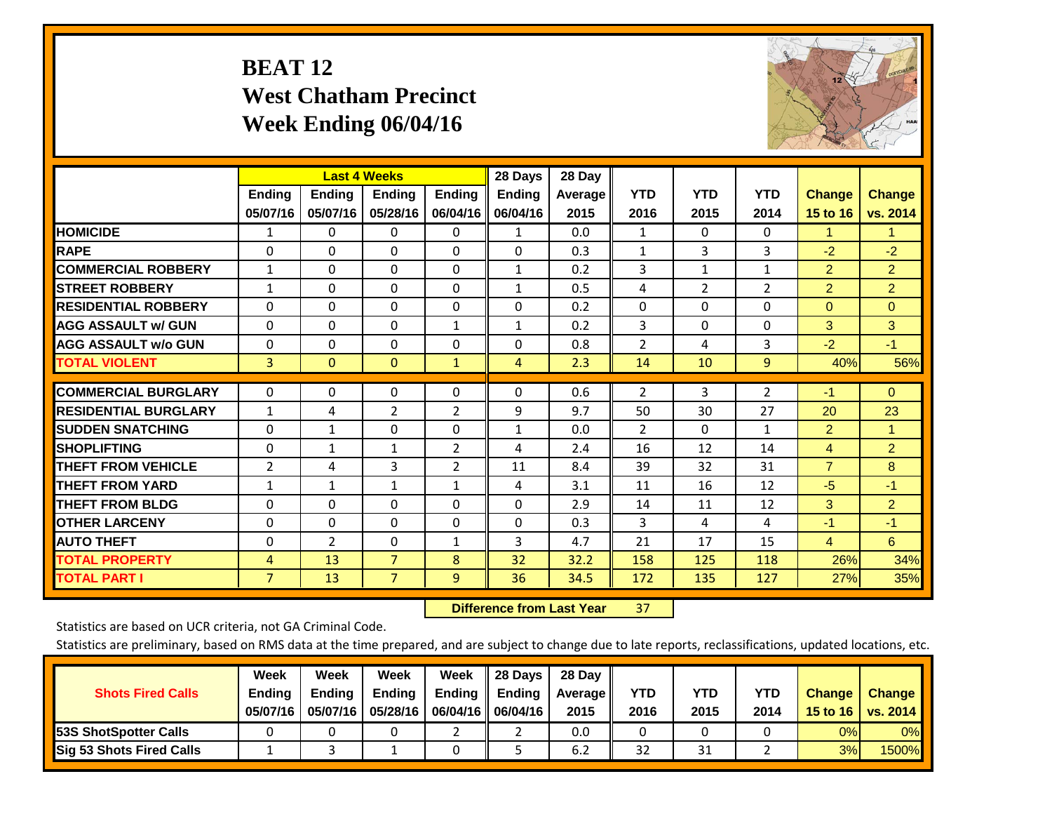# **BEAT 12 West Chatham Precinct Week Ending 06/04/16**



|                             |                | <b>Last 4 Weeks</b> |                |                | 28 Days        | 28 Day  |                |                |                |                |                |
|-----------------------------|----------------|---------------------|----------------|----------------|----------------|---------|----------------|----------------|----------------|----------------|----------------|
|                             | <b>Ending</b>  | <b>Ending</b>       | <b>Endina</b>  | <b>Ending</b>  | <b>Ending</b>  | Average | <b>YTD</b>     | <b>YTD</b>     | <b>YTD</b>     | <b>Change</b>  | <b>Change</b>  |
|                             | 05/07/16       | 05/07/16            | 05/28/16       | 06/04/16       | 06/04/16       | 2015    | 2016           | 2015           | 2014           | 15 to 16       | vs. 2014       |
| <b>HOMICIDE</b>             | 1              | 0                   | $\Omega$       | 0              | 1              | 0.0     | 1              | 0              | 0              | 1              | 1.             |
| <b>RAPE</b>                 | 0              | $\Omega$            | $\Omega$       | $\Omega$       | $\Omega$       | 0.3     | 1              | 3              | 3              | $-2$           | $-2$           |
| <b>COMMERCIAL ROBBERY</b>   | 1              | 0                   | $\Omega$       | 0              | 1              | 0.2     | 3              | $\mathbf{1}$   | 1              | $\overline{2}$ | $\overline{2}$ |
| <b>ISTREET ROBBERY</b>      | $\mathbf{1}$   | $\Omega$            | $\Omega$       | $\Omega$       | $\mathbf{1}$   | 0.5     | 4              | $\overline{2}$ | $\overline{2}$ | $\overline{2}$ | $\overline{2}$ |
| <b>RESIDENTIAL ROBBERY</b>  | $\Omega$       | $\Omega$            | $\Omega$       | $\mathbf{0}$   | $\Omega$       | 0.2     | $\Omega$       | $\Omega$       | 0              | $\mathbf{0}$   | $\Omega$       |
| <b>AGG ASSAULT w/ GUN</b>   | $\Omega$       | $\Omega$            | $\Omega$       | $\mathbf{1}$   | 1              | 0.2     | 3              | $\Omega$       | 0              | 3              | 3              |
| <b>AGG ASSAULT w/o GUN</b>  | 0              | 0                   | $\Omega$       | 0              | $\Omega$       | 0.8     | $\overline{2}$ | 4              | 3              | $-2$           | $-1$           |
| <b>TOTAL VIOLENT</b>        | 3              | $\Omega$            | $\mathbf{0}$   | $\mathbf{1}$   | $\overline{4}$ | 2.3     | 14             | 10             | 9              | 40%            | 56%            |
|                             |                |                     |                |                |                |         |                |                |                |                |                |
| <b>COMMERCIAL BURGLARY</b>  | $\Omega$       | $\Omega$            | $\mathbf{0}$   | 0              | $\Omega$       | 0.6     | $\overline{2}$ | 3              | 2              | $-1$           | $\Omega$       |
| <b>RESIDENTIAL BURGLARY</b> | $\mathbf{1}$   | 4                   | 2              | 2              | 9              | 9.7     | 50             | 30             | 27             | 20             | 23             |
| <b>SUDDEN SNATCHING</b>     | 0              | $\mathbf{1}$        | $\mathbf{0}$   | $\mathbf{0}$   | $\mathbf{1}$   | 0.0     | $\overline{2}$ | $\Omega$       | 1              | 2              | 1              |
| <b>SHOPLIFTING</b>          | $\Omega$       | $\mathbf{1}$        | $\mathbf{1}$   | $\overline{2}$ | 4              | 2.4     | 16             | 12             | 14             | $\overline{4}$ | $\overline{2}$ |
| <b>THEFT FROM VEHICLE</b>   | $\overline{2}$ | 4                   | 3              | 2              | 11             | 8.4     | 39             | 32             | 31             | $\overline{7}$ | 8              |
| <b>THEFT FROM YARD</b>      | 1              | 1                   | $\mathbf{1}$   | 1              | 4              | 3.1     | 11             | 16             | 12             | $-5$           | $-1$           |
| <b>THEFT FROM BLDG</b>      | $\Omega$       | $\Omega$            | $\Omega$       | $\mathbf{0}$   | $\Omega$       | 2.9     | 14             | 11             | 12             | 3              | $\overline{2}$ |
| <b>OTHER LARCENY</b>        | $\Omega$       | 0                   | $\Omega$       | $\Omega$       | $\Omega$       | 0.3     | 3              | 4              | 4              | $-1$           | $-1$           |
| <b>AUTO THEFT</b>           | 0              | $\overline{2}$      | 0              | 1              | 3              | 4.7     | 21             | 17             | 15             | 4              | 6              |
| <b>TOTAL PROPERTY</b>       | $\overline{4}$ | 13                  | $\overline{7}$ | 8              | 32             | 32.2    | 158            | 125            | 118            | 26%            | 34%            |
| <b>TOTAL PART I</b>         | $\overline{7}$ | 13                  | $\overline{7}$ | $\overline{9}$ | 36             | 34.5    | 172            | 135            | 127            | 27%            | 35%            |

 **Difference from Last Year**r 37

Statistics are based on UCR criteria, not GA Criminal Code.

| <b>Shots Fired Calls</b>        | Week<br><b>Ending</b><br>05/07/16 | Week<br><b>Endina</b><br>05/07/16 | Week<br>Ending<br>05/28/16 | Week<br>Ending | 28 Days<br><b>Ending</b><br>06/04/16   06/04/16 | 28 Day<br>Average II<br>2015 | YTD<br>2016 | YTD<br>2015 | <b>YTD</b><br>2014 | <b>Change</b><br>15 to 16 $\vert$ | <b>Change</b><br>vs. 2014 |
|---------------------------------|-----------------------------------|-----------------------------------|----------------------------|----------------|-------------------------------------------------|------------------------------|-------------|-------------|--------------------|-----------------------------------|---------------------------|
| <b>153S ShotSpotter Calls</b>   |                                   |                                   |                            |                |                                                 | 0.0                          |             |             |                    | 0%                                | 0%                        |
| <b>Sig 53 Shots Fired Calls</b> |                                   |                                   |                            |                |                                                 | 6.2                          | 32          | 31          |                    | 3%                                | 1500% <b>II</b>           |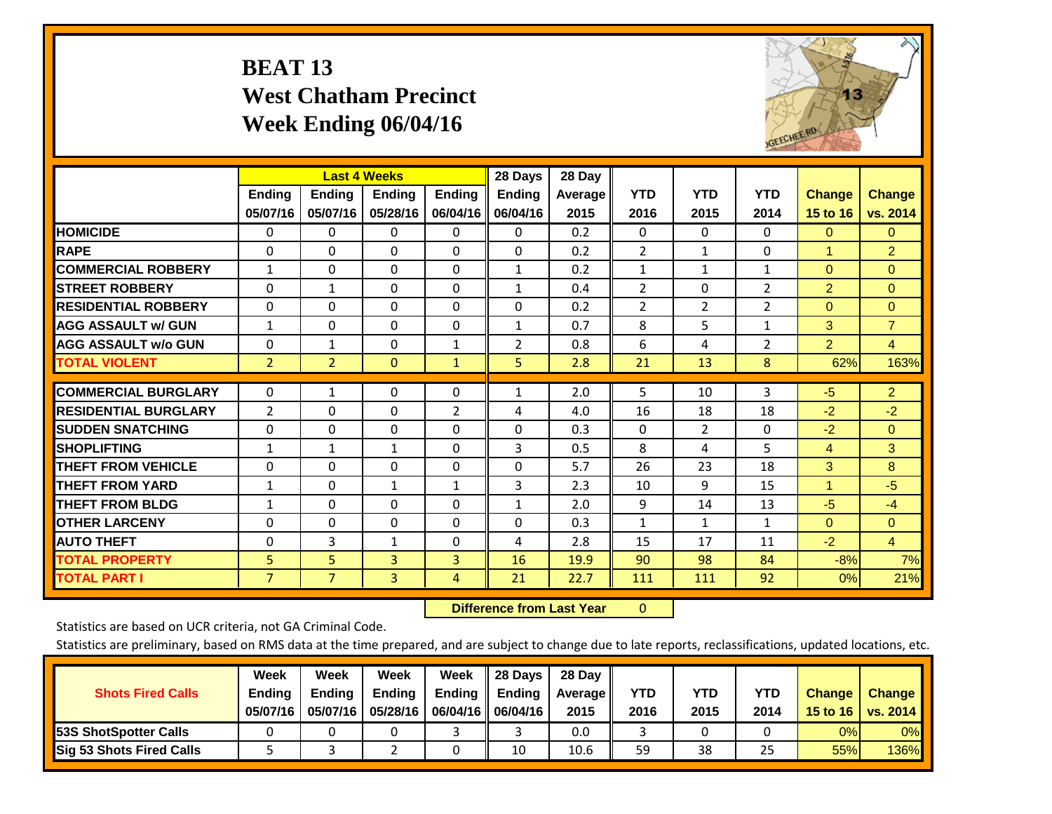# **BEAT 13 West Chatham Precinct Week Ending 06/04/16**



|                             |                           | <b>Last 4 Weeks</b>       |                           |                           | 28 Days                   | 28 Day            |                    |                    |                    |                           |                           |
|-----------------------------|---------------------------|---------------------------|---------------------------|---------------------------|---------------------------|-------------------|--------------------|--------------------|--------------------|---------------------------|---------------------------|
|                             | <b>Ending</b><br>05/07/16 | <b>Ending</b><br>05/07/16 | <b>Endina</b><br>05/28/16 | <b>Endina</b><br>06/04/16 | <b>Endina</b><br>06/04/16 | Average  <br>2015 | <b>YTD</b><br>2016 | <b>YTD</b><br>2015 | <b>YTD</b><br>2014 | <b>Change</b><br>15 to 16 | <b>Change</b><br>vs. 2014 |
| <b>HOMICIDE</b>             | 0                         | 0                         | $\Omega$                  | 0                         | 0                         | 0.2               | $\Omega$           | 0                  | 0                  | $\Omega$                  | $\mathbf{0}$              |
| <b>RAPE</b>                 | $\Omega$                  | $\Omega$                  | $\Omega$                  | $\Omega$                  | $\Omega$                  | 0.2               | $\overline{2}$     | $\mathbf{1}$       | 0                  | $\blacktriangleleft$      | $\overline{2}$            |
| <b>COMMERCIAL ROBBERY</b>   | $\mathbf{1}$              | $\Omega$                  | $\Omega$                  | $\Omega$                  | $\mathbf{1}$              | 0.2               | 1                  | 1                  | $\mathbf{1}$       | $\Omega$                  | $\Omega$                  |
| <b>STREET ROBBERY</b>       | $\Omega$                  | 1                         | $\mathbf{0}$              | 0                         | $\mathbf{1}$              | 0.4               | $\overline{2}$     | $\Omega$           | $\overline{2}$     | $\overline{2}$            | $\mathbf{0}$              |
| <b>RESIDENTIAL ROBBERY</b>  | 0                         | $\Omega$                  | $\mathbf{0}$              | $\Omega$                  | 0                         | 0.2               | $\overline{2}$     | $\overline{2}$     | $\overline{2}$     | $\Omega$                  | $\Omega$                  |
| <b>AGG ASSAULT w/ GUN</b>   | $\mathbf{1}$              | $\Omega$                  | $\Omega$                  | $\Omega$                  | $\mathbf{1}$              | 0.7               | 8                  | 5.                 | $\mathbf{1}$       | 3                         | $\overline{7}$            |
| <b>AGG ASSAULT w/o GUN</b>  | 0                         | 1                         | $\mathbf{0}$              | 1                         | 2                         | 0.8               | 6                  | 4                  | $\overline{2}$     | $\overline{2}$            | 4                         |
| <b>TOTAL VIOLENT</b>        | $\overline{2}$            | $\overline{2}$            | $\mathbf{0}$              | $\mathbf{1}$              | 5                         | 2.8               | 21                 | 13                 | 8                  | 62%                       | 163%                      |
| <b>COMMERCIAL BURGLARY</b>  | $\Omega$                  | 1                         | $\mathbf{0}$              | $\Omega$                  | $\mathbf{1}$              | 2.0               | 5                  | 10                 | 3                  | $-5$                      | $\overline{2}$            |
| <b>RESIDENTIAL BURGLARY</b> | 2                         | $\Omega$                  | $\mathbf{0}$              | $\overline{2}$            | 4                         | 4.0               | 16                 | 18                 | 18                 | $-2$                      | $-2$                      |
| <b>ISUDDEN SNATCHING</b>    | $\Omega$                  | $\Omega$                  | $\Omega$                  | $\Omega$                  | $\Omega$                  | 0.3               | $\mathbf{0}$       | $\overline{2}$     | 0                  | $-2$                      | $\mathbf{0}$              |
| <b>SHOPLIFTING</b>          | $\mathbf{1}$              | $\mathbf{1}$              | $\mathbf{1}$              | $\Omega$                  | 3                         | 0.5               | 8                  | 4                  | 5                  | 4                         | 3                         |
| <b>THEFT FROM VEHICLE</b>   | $\Omega$                  | $\Omega$                  | $\Omega$                  | 0                         | $\Omega$                  | 5.7               | 26                 | 23                 | 18                 | 3                         | 8                         |
| <b>THEFT FROM YARD</b>      | 1                         | $\Omega$                  | 1                         | $\mathbf{1}$              | 3                         | 2.3               | 10                 | 9                  | 15                 | $\blacktriangleleft$      | $-5$                      |
| <b>THEFT FROM BLDG</b>      | 1                         | 0                         | $\mathbf{0}$              | $\Omega$                  | $\mathbf{1}$              | 2.0               | 9                  | 14                 | 13                 | $-5$                      | $-4$                      |
| <b>OTHER LARCENY</b>        | $\Omega$                  | $\Omega$                  | $\Omega$                  | $\Omega$                  | 0                         | 0.3               | 1                  | $\mathbf{1}$       | 1                  | $\Omega$                  | $\Omega$                  |
| <b>AUTO THEFT</b>           | 0                         | 3                         | 1                         | 0                         | 4                         | 2.8               | 15                 | 17                 | 11                 | $-2$                      | $\overline{4}$            |
| <b>TOTAL PROPERTY</b>       | 5                         | 5                         | 3                         | 3                         | 16                        | 19.9              | 90                 | 98                 | 84                 | $-8%$                     | 7%                        |
| <b>TOTAL PART I</b>         | $\overline{7}$            | $\overline{7}$            | 3                         | 4                         | 21                        | 22.7              | 111                | 111                | 92                 | 0%                        | 21%                       |

 **Difference from Last Year**r 0

Statistics are based on UCR criteria, not GA Criminal Code.

| <b>Shots Fired Calls</b>        | Week<br><b>Ending</b><br>05/07/16 | Week<br><b>Endina</b><br>05/07/16 | <b>Week</b><br>Ending<br>05/28/16 | Week<br>Ending | 28 Days<br><b>Ending</b><br>06/04/16   06/04/16 | 28 Day<br>Average II<br>2015 | YTD<br>2016 | YTD<br>2015 | YTD<br>2014 | <b>Change</b><br>15 to $16$ | <b>Change</b><br>vs. 2014 |
|---------------------------------|-----------------------------------|-----------------------------------|-----------------------------------|----------------|-------------------------------------------------|------------------------------|-------------|-------------|-------------|-----------------------------|---------------------------|
| <b>153S ShotSpotter Calls</b>   |                                   |                                   |                                   |                |                                                 | 0.0                          |             |             |             | 0%                          | 0%                        |
| <b>Sig 53 Shots Fired Calls</b> |                                   |                                   |                                   |                | 10                                              | 10.6                         | 59          | 38          | 25          | 55%l                        | 136%                      |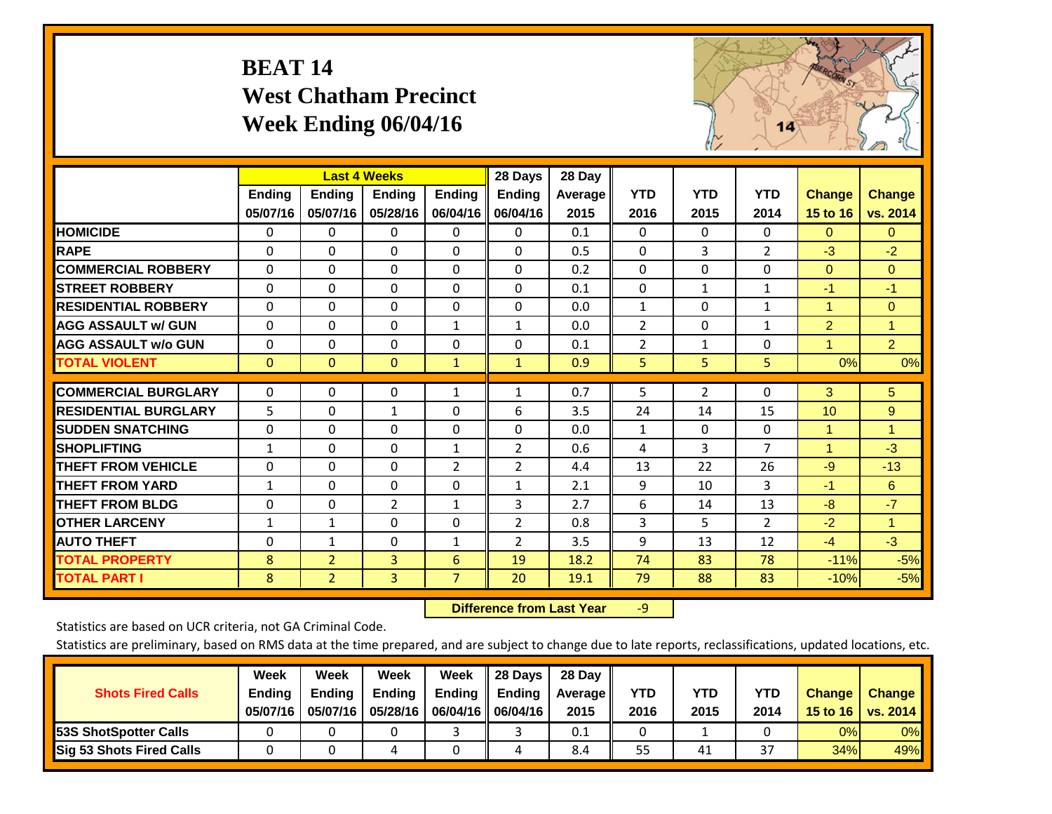# **BEAT 14 West Chatham Precinct Week Ending 06/04/16**



|                             |              | <b>Last 4 Weeks</b> |                |                | 28 Days        | 28 Day         |                |              |                |                      |                |
|-----------------------------|--------------|---------------------|----------------|----------------|----------------|----------------|----------------|--------------|----------------|----------------------|----------------|
|                             | Ending       | Ending              | <b>Ending</b>  | <b>Ending</b>  | <b>Ending</b>  | <b>Average</b> | <b>YTD</b>     | <b>YTD</b>   | <b>YTD</b>     | <b>Change</b>        | <b>Change</b>  |
|                             | 05/07/16     | 05/07/16            | 05/28/16       | 06/04/16       | 06/04/16       | 2015           | 2016           | 2015         | 2014           | 15 to 16             | vs. 2014       |
| <b>HOMICIDE</b>             | 0            | 0                   | $\Omega$       | 0              | $\Omega$       | 0.1            | $\Omega$       | 0            | 0              | $\Omega$             | 0              |
| <b>RAPE</b>                 | $\Omega$     | $\Omega$            | $\Omega$       | 0              | $\Omega$       | 0.5            | $\Omega$       | 3            | 2              | $-3$                 | $-2$           |
| <b>COMMERCIAL ROBBERY</b>   | $\Omega$     | $\Omega$            | $\Omega$       | $\Omega$       | $\Omega$       | 0.2            | $\mathbf{0}$   | $\Omega$     | $\Omega$       | $\mathbf{0}$         | $\Omega$       |
| <b>STREET ROBBERY</b>       | $\Omega$     | $\Omega$            | $\Omega$       | $\Omega$       | $\Omega$       | 0.1            | $\mathbf{0}$   | 1            | $\mathbf{1}$   | $-1$                 | $-1$           |
| <b>RESIDENTIAL ROBBERY</b>  | $\Omega$     | $\Omega$            | 0              | 0              | $\Omega$       | 0.0            | $\mathbf{1}$   | 0            | 1              | $\blacktriangleleft$ | $\mathbf{0}$   |
| <b>AGG ASSAULT w/ GUN</b>   | $\Omega$     | $\Omega$            | $\mathbf{0}$   | $\mathbf{1}$   | $\mathbf{1}$   | 0.0            | 2              | 0            | $\mathbf{1}$   | $\overline{2}$       | 1              |
| <b>AGG ASSAULT w/o GUN</b>  | $\Omega$     | $\Omega$            | $\Omega$       | $\Omega$       | $\Omega$       | 0.1            | $\overline{2}$ | $\mathbf{1}$ | $\Omega$       | 1                    | $\overline{2}$ |
| <b>TOTAL VIOLENT</b>        | $\mathbf{0}$ | $\mathbf{0}$        | $\mathbf{0}$   | $\mathbf{1}$   | $\mathbf{1}$   | 0.9            | 5              | 5            | 5              | 0%                   | 0%             |
| <b>COMMERCIAL BURGLARY</b>  |              |                     |                |                |                |                |                |              |                |                      |                |
|                             | $\Omega$     | $\Omega$            | 0              | 1              | 1              | 0.7            | 5              | 2            | 0              | 3                    | 5              |
| <b>RESIDENTIAL BURGLARY</b> | 5            | $\Omega$            | $\mathbf{1}$   | $\Omega$       | 6              | 3.5            | 24             | 14           | 15             | 10                   | 9              |
| <b>SUDDEN SNATCHING</b>     | $\Omega$     | 0                   | $\Omega$       | $\Omega$       | $\Omega$       | 0.0            | 1              | 0            | $\Omega$       | 1                    | 1              |
| <b>SHOPLIFTING</b>          | $\mathbf{1}$ | 0                   | $\Omega$       | $\mathbf{1}$   | $\overline{2}$ | 0.6            | 4              | 3            | $\overline{7}$ | 1                    | $-3$           |
| <b>THEFT FROM VEHICLE</b>   | $\Omega$     | $\Omega$            | $\mathbf 0$    | 2              | $\overline{2}$ | 4.4            | 13             | 22           | 26             | $-9$                 | $-13$          |
| <b>THEFT FROM YARD</b>      | $\mathbf{1}$ | $\Omega$            | $\Omega$       | $\Omega$       | $\mathbf{1}$   | 2.1            | 9              | 10           | 3              | $-1$                 | 6              |
| <b>THEFT FROM BLDG</b>      | 0            | 0                   | $\overline{2}$ | $\mathbf{1}$   | 3              | 2.7            | 6              | 14           | 13             | $-8$                 | $-7$           |
| <b>OTHER LARCENY</b>        | 1            | 1                   | $\mathbf{0}$   | $\Omega$       | $\overline{2}$ | 0.8            | 3              | 5            | 2              | $-2$                 | $\mathbf{1}$   |
| <b>AUTO THEFT</b>           | $\Omega$     | $\mathbf{1}$        | $\mathbf 0$    | 1              | 2              | 3.5            | 9              | 13           | 12             | $-4$                 | $-3$           |
| <b>TOTAL PROPERTY</b>       | 8            | $\overline{2}$      | 3              | 6              | 19             | 18.2           | 74             | 83           | 78             | $-11%$               | $-5%$          |
| <b>TOTAL PART I</b>         | 8            | $\overline{2}$      | $\overline{3}$ | $\overline{7}$ | 20             | 19.1           | 79             | 88           | 83             | $-10%$               | $-5%$          |

 **Difference from Last Year**r -9

Statistics are based on UCR criteria, not GA Criminal Code.

| <b>Shots Fired Calls</b>        | Week<br><b>Ending</b><br>05/07/16 | Week<br><b>Endina</b><br>05/07/16 | Week<br>Ending<br>05/28/16 | Week<br>Ending | 28 Days<br><b>Ending</b><br>06/04/16    06/04/16 | 28 Day<br>Average II<br>2015 | YTD<br>2016 | YTD<br>2015 | YTD<br>2014              | <b>Change</b><br>15 to 16 $\vert$ | <b>Change</b><br>vs. 2014 |
|---------------------------------|-----------------------------------|-----------------------------------|----------------------------|----------------|--------------------------------------------------|------------------------------|-------------|-------------|--------------------------|-----------------------------------|---------------------------|
| <b>153S ShotSpotter Calls</b>   |                                   |                                   |                            |                |                                                  | 0.1                          |             |             |                          | 0%                                | 0%                        |
| <b>Sig 53 Shots Fired Calls</b> |                                   |                                   |                            |                |                                                  | 8.4                          | 55          | 41          | $\mathbin{\lnot}$<br>، 3 | 34%                               | 49%                       |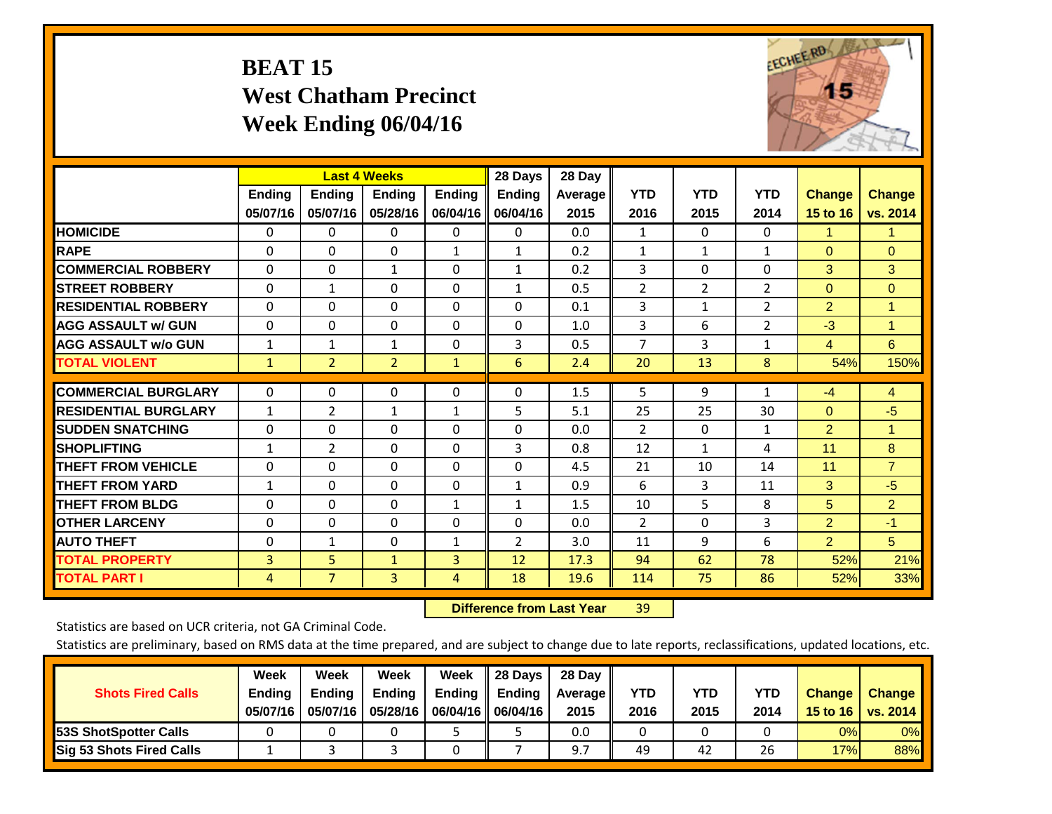# **BEAT 15 West Chatham Precinct Week Ending 06/04/16**



|                             |                           | <b>Last 4 Weeks</b>       |                           |                           | 28 Days                   | 28 Day            |                    |                    |                    |                           |                           |
|-----------------------------|---------------------------|---------------------------|---------------------------|---------------------------|---------------------------|-------------------|--------------------|--------------------|--------------------|---------------------------|---------------------------|
|                             | <b>Ending</b><br>05/07/16 | <b>Ending</b><br>05/07/16 | <b>Endina</b><br>05/28/16 | <b>Ending</b><br>06/04/16 | <b>Ending</b><br>06/04/16 | Average  <br>2015 | <b>YTD</b><br>2016 | <b>YTD</b><br>2015 | <b>YTD</b><br>2014 | <b>Change</b><br>15 to 16 | <b>Change</b><br>vs. 2014 |
| <b>HOMICIDE</b>             | 0                         | 0                         | $\Omega$                  | $\mathbf{0}$              | 0                         | 0.0               | 1                  | 0                  | 0                  | 1                         | 1.                        |
| <b>RAPE</b>                 | $\Omega$                  | $\Omega$                  | $\mathbf{0}$              | 1                         | $\mathbf{1}$              | 0.2               | 1                  | $\mathbf{1}$       | 1                  | $\Omega$                  | $\mathbf{0}$              |
| <b>COMMERCIAL ROBBERY</b>   | $\Omega$                  | 0                         | $\mathbf{1}$              | 0                         | $\mathbf{1}$              | 0.2               | 3                  | 0                  | 0                  | 3                         | 3                         |
| <b>ISTREET ROBBERY</b>      | $\Omega$                  | $\mathbf{1}$              | $\Omega$                  | $\Omega$                  | $\mathbf{1}$              | 0.5               | $\overline{2}$     | $\overline{2}$     | $\overline{2}$     | $\Omega$                  | $\Omega$                  |
| <b>RESIDENTIAL ROBBERY</b>  | $\Omega$                  | $\Omega$                  | $\mathbf{0}$              | $\Omega$                  | 0                         | 0.1               | 3                  | $\mathbf{1}$       | $\overline{2}$     | $\overline{2}$            | 1                         |
| <b>AGG ASSAULT w/ GUN</b>   | $\Omega$                  | 0                         | $\Omega$                  | $\Omega$                  | 0                         | 1.0               | 3                  | 6                  | $\overline{2}$     | $-3$                      | 1                         |
| <b>AGG ASSAULT w/o GUN</b>  | $\mathbf{1}$              | 1                         | $\mathbf{1}$              | 0                         | 3                         | 0.5               | 7                  | 3                  | $\mathbf{1}$       | 4                         | 6                         |
| <b>TOTAL VIOLENT</b>        | 1                         | $\overline{2}$            | $\overline{2}$            | $\mathbf{1}$              | 6                         | 2.4               | 20                 | 13                 | 8                  | 54%                       | 150%                      |
| <b>COMMERCIAL BURGLARY</b>  | 0                         | 0                         | $\mathbf{0}$              | 0                         | $\Omega$                  | 1.5               | 5                  | 9                  | 1                  | $-4$                      | 4                         |
| <b>RESIDENTIAL BURGLARY</b> | 1                         | 2                         | $\mathbf{1}$              | $\mathbf{1}$              | 5                         | 5.1               | 25                 | 25                 | 30                 | $\Omega$                  | $-5$                      |
| <b>ISUDDEN SNATCHING</b>    | $\Omega$                  | 0                         | $\mathbf{0}$              | 0                         | 0                         | 0.0               | 2                  | 0                  | $\mathbf{1}$       | 2                         | 1                         |
| <b>SHOPLIFTING</b>          | $\mathbf{1}$              | $\overline{2}$            | $\mathbf{0}$              | $\Omega$                  | 3                         | 0.8               | 12                 | $\mathbf{1}$       | 4                  | 11                        | 8                         |
| <b>THEFT FROM VEHICLE</b>   | $\Omega$                  | $\Omega$                  | $\Omega$                  | $\Omega$                  | $\Omega$                  | 4.5               | 21                 | 10                 | 14                 | 11                        | $\overline{7}$            |
| <b>THEFT FROM YARD</b>      | 1                         | $\Omega$                  | $\mathbf{0}$              | $\Omega$                  | $\mathbf{1}$              | 0.9               | 6                  | 3                  | 11                 | 3                         | $-5$                      |
| <b>THEFT FROM BLDG</b>      | $\Omega$                  | 0                         | $\mathbf{0}$              | 1                         | 1                         | 1.5               | 10                 | 5                  | 8                  | 5                         | $\overline{2}$            |
| <b>OTHER LARCENY</b>        | 0                         | 0                         | $\mathbf{0}$              | 0                         | 0                         | 0.0               | 2                  | 0                  | 3                  | 2                         | $-1$                      |
| <b>AUTO THEFT</b>           | $\Omega$                  | $\mathbf{1}$              | $\mathbf{0}$              | $\mathbf{1}$              | $\overline{2}$            | 3.0               | 11                 | 9                  | 6                  | $\overline{2}$            | 5                         |
| <b>TOTAL PROPERTY</b>       | 3                         | 5 <sup>5</sup>            | $\mathbf{1}$              | 3                         | 12                        | 17.3              | 94                 | 62                 | 78                 | 52%                       | 21%                       |
| <b>TOTAL PART I</b>         | 4                         | $\overline{7}$            | $\overline{3}$            | 4                         | 18                        | 19.6              | 114                | 75                 | 86                 | 52%                       | 33%                       |

 **Difference from Last Year**r 39

Statistics are based on UCR criteria, not GA Criminal Code.

| <b>Shots Fired Calls</b>        | Week<br><b>Ending</b><br>05/07/16 | Week<br><b>Endina</b><br>05/07/16 | Week<br>Ending<br>05/28/16 | Week<br>Ending | 28 Days<br><b>Ending</b><br>06/04/16    06/04/16 | 28 Day<br>Average II<br>2015 | YTD<br>2016 | YTD<br>2015 | <b>YTD</b><br>2014 | <b>Change</b><br>15 to 16 $\vert$ | <b>Change</b><br>vs. 2014 |
|---------------------------------|-----------------------------------|-----------------------------------|----------------------------|----------------|--------------------------------------------------|------------------------------|-------------|-------------|--------------------|-----------------------------------|---------------------------|
| <b>153S ShotSpotter Calls</b>   |                                   |                                   |                            |                |                                                  | 0.0                          |             |             |                    | 0%                                | 0%                        |
| <b>Sig 53 Shots Fired Calls</b> |                                   |                                   |                            |                |                                                  |                              | 49          | 42          | 26                 | 17%                               | 88%                       |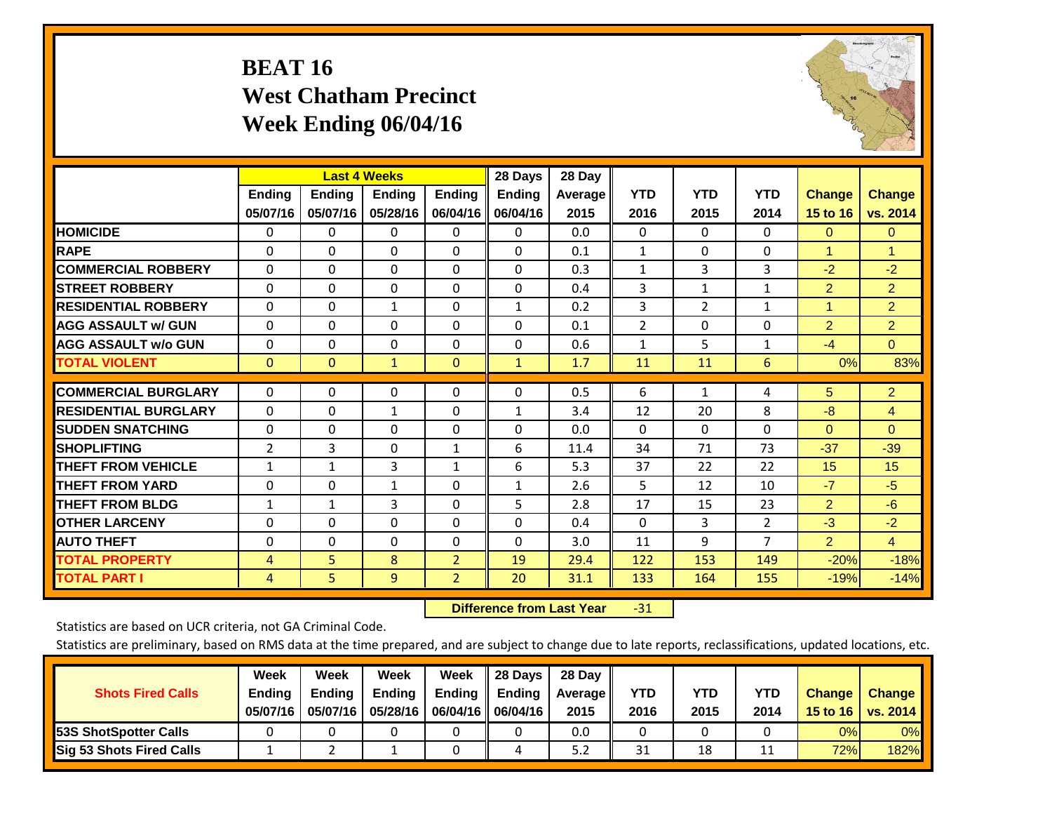# **BEAT 16 West Chatham Precinct Week Ending 06/04/16**



|                             |                           | <b>Last 4 Weeks</b>       |                           |                           | 28 Days                   | 28 Day             |                    |                    |                    |                           |                           |
|-----------------------------|---------------------------|---------------------------|---------------------------|---------------------------|---------------------------|--------------------|--------------------|--------------------|--------------------|---------------------------|---------------------------|
|                             | <b>Ending</b><br>05/07/16 | <b>Ending</b><br>05/07/16 | <b>Endina</b><br>05/28/16 | <b>Ending</b><br>06/04/16 | <b>Endina</b><br>06/04/16 | Average II<br>2015 | <b>YTD</b><br>2016 | <b>YTD</b><br>2015 | <b>YTD</b><br>2014 | <b>Change</b><br>15 to 16 | <b>Change</b><br>vs. 2014 |
| <b>HOMICIDE</b>             | 0                         | 0                         | $\Omega$                  | 0                         | 0                         | 0.0                | $\mathbf{0}$       | $\Omega$           | 0                  | $\mathbf{0}$              | $\Omega$                  |
| <b>RAPE</b>                 | 0                         | $\Omega$                  | $\Omega$                  | $\Omega$                  | $\Omega$                  | 0.1                | $\mathbf{1}$       | $\Omega$           | $\Omega$           | 1                         | 1                         |
| <b>COMMERCIAL ROBBERY</b>   | $\Omega$                  | $\Omega$                  | $\Omega$                  | $\mathbf{0}$              | $\Omega$                  | 0.3                | $\mathbf{1}$       | 3                  | 3                  | $-2$                      | $-2$                      |
| <b>ISTREET ROBBERY</b>      | $\Omega$                  | $\Omega$                  | $\Omega$                  | $\Omega$                  | $\Omega$                  | 0.4                | 3                  | $\mathbf{1}$       | 1                  | $\overline{2}$            | $\overline{2}$            |
| <b>RESIDENTIAL ROBBERY</b>  | $\Omega$                  | 0                         | 1                         | $\mathbf{0}$              | $\mathbf{1}$              | 0.2                | 3                  | 2                  | 1                  | 1                         | $\overline{2}$            |
| <b>AGG ASSAULT w/ GUN</b>   | $\Omega$                  | 0                         | $\Omega$                  | $\mathbf{0}$              | $\Omega$                  | 0.1                | $\overline{2}$     | $\Omega$           | 0                  | $\overline{2}$            | $\overline{2}$            |
| <b>AGG ASSAULT w/o GUN</b>  | $\Omega$                  | 0                         | $\mathbf{0}$              | $\Omega$                  | $\Omega$                  | 0.6                | 1                  | 5                  | $\mathbf{1}$       | $-4$                      | $\mathbf{0}$              |
| <b>TOTAL VIOLENT</b>        | $\Omega$                  | $\Omega$                  | $\mathbf{1}$              | $\mathbf{0}$              | $\mathbf{1}$              | 1.7                | 11                 | 11                 | 6                  | 0%                        | 83%                       |
| <b>COMMERCIAL BURGLARY</b>  | $\Omega$                  | $\Omega$                  | $\Omega$                  | $\mathbf{0}$              | $\Omega$                  | 0.5                | 6                  | 1                  | 4                  | 5                         | $\overline{2}$            |
| <b>RESIDENTIAL BURGLARY</b> | 0                         | 0                         | 1                         | $\Omega$                  | 1                         | 3.4                | 12                 | 20                 | 8                  | -8                        | $\overline{4}$            |
| <b>SUDDEN SNATCHING</b>     | 0                         | 0                         | $\Omega$                  | $\mathbf{0}$              | $\Omega$                  | 0.0                | $\Omega$           | $\Omega$           | 0                  | $\Omega$                  | $\Omega$                  |
| <b>SHOPLIFTING</b>          | 2                         | 3                         | $\mathbf{0}$              | 1                         | 6                         | 11.4               | 34                 | 71                 | 73                 | $-37$                     | $-39$                     |
| <b>THEFT FROM VEHICLE</b>   | $\mathbf{1}$              | $\mathbf{1}$              | 3                         | $\mathbf{1}$              | 6                         | 5.3                | 37                 | 22                 | 22                 | 15                        | 15                        |
| <b>THEFT FROM YARD</b>      | $\Omega$                  | $\Omega$                  | $\mathbf{1}$              | $\mathbf{0}$              | $\mathbf{1}$              | 2.6                | 5                  | 12                 | 10                 | $-7$                      | $-5$                      |
| <b>THEFT FROM BLDG</b>      | 1                         | 1                         | 3                         | $\Omega$                  | 5                         | 2.8                | 17                 | 15                 | 23                 | $\overline{2}$            | $-6$                      |
| <b>OTHER LARCENY</b>        | $\Omega$                  | $\Omega$                  | $\Omega$                  | $\Omega$                  | $\Omega$                  | 0.4                | $\Omega$           | 3                  | $\overline{2}$     | $-3$                      | $-2$                      |
| <b>AUTO THEFT</b>           | $\Omega$                  | $\Omega$                  | $\Omega$                  | $\Omega$                  | $\Omega$                  | 3.0                | 11                 | 9                  | $\overline{7}$     | $\overline{2}$            | $\overline{4}$            |
| <b>TOTAL PROPERTY</b>       | 4                         | 5                         | 8                         | $\overline{2}$            | 19                        | 29.4               | 122                | 153                | 149                | $-20%$                    | $-18%$                    |
| <b>TOTAL PART I</b>         | 4                         | 5                         | 9                         | $\overline{2}$            | 20                        | 31.1               | 133                | 164                | 155                | $-19%$                    | $-14%$                    |

 **Difference from Last Year**‐31

Statistics are based on UCR criteria, not GA Criminal Code.

| <b>Shots Fired Calls</b>        | Week<br><b>Ending</b><br>05/07/16 | Week<br><b>Endina</b><br>05/07/16 | Week<br>Ending<br>05/28/16 | Week<br>Ending | 28 Days<br><b>Ending</b><br>06/04/16   06/04/16 | 28 Day<br>Average II<br>2015 | YTD<br>2016 | YTD<br>2015 | <b>YTD</b><br>2014 | <b>Change</b><br>15 to $16$ | <b>Change</b><br>vs. 2014 |
|---------------------------------|-----------------------------------|-----------------------------------|----------------------------|----------------|-------------------------------------------------|------------------------------|-------------|-------------|--------------------|-----------------------------|---------------------------|
| <b>153S ShotSpotter Calls</b>   |                                   |                                   |                            |                |                                                 | 0.0                          |             |             |                    | 0%                          | 0%                        |
| <b>Sig 53 Shots Fired Calls</b> |                                   |                                   |                            |                |                                                 | 5.2                          | 31          | 18          |                    | 72%                         | 182%                      |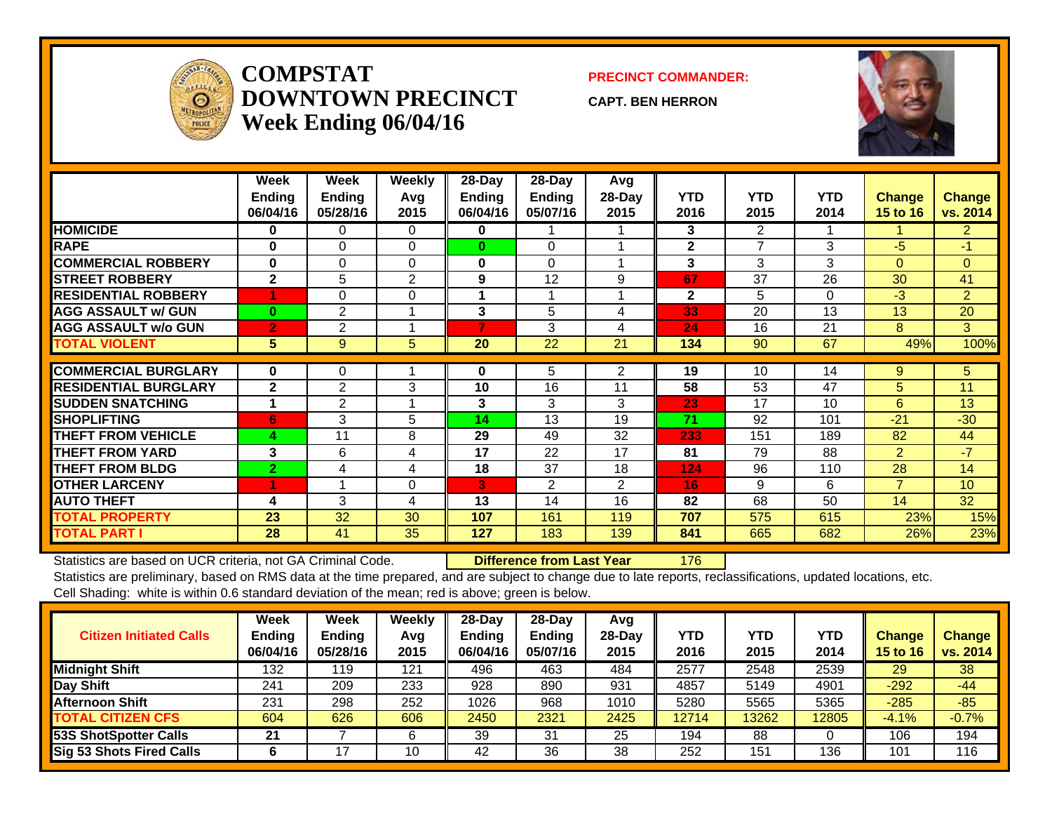

### **COMPSTATDOWNTOWN PRECINCTWeek Ending 06/04/16**

#### **PRECINCT COMMANDER:**

**CAPT. BEN HERRON**



|                             | Week<br><b>Ending</b><br>06/04/16 | Week<br><b>Ending</b><br>05/28/16 | <b>Weekly</b><br>Avg<br>2015 | 28-Day<br><b>Ending</b><br>06/04/16 | 28-Day<br><b>Ending</b><br>05/07/16 | Avg<br>28-Day<br>2015 | <b>YTD</b><br>2016 | <b>YTD</b><br>2015 | <b>YTD</b><br>2014 | <b>Change</b><br>15 to 16 | <b>Change</b><br>vs. 2014 |
|-----------------------------|-----------------------------------|-----------------------------------|------------------------------|-------------------------------------|-------------------------------------|-----------------------|--------------------|--------------------|--------------------|---------------------------|---------------------------|
| <b>HOMICIDE</b>             | $\bf{0}$                          | $\Omega$                          | $\Omega$                     | 0                                   |                                     |                       | 3                  | $\overline{2}$     |                    |                           | $\overline{2}$            |
| <b>RAPE</b>                 | $\bf{0}$                          | $\Omega$                          | $\Omega$                     | $\bf{0}$                            | $\Omega$                            |                       | $\mathbf{2}$       | $\overline{ }$     | 3                  | $-5$                      | $-1$                      |
| <b>COMMERCIAL ROBBERY</b>   | $\bf{0}$                          | 0                                 | $\Omega$                     | 0                                   | $\Omega$                            |                       | 3                  | 3                  | 3                  | $\Omega$                  | $\Omega$                  |
| <b>STREET ROBBERY</b>       | $\mathbf{2}$                      | 5                                 | $\overline{2}$               | 9                                   | 12                                  | 9                     | 67                 | 37                 | 26                 | 30                        | 41                        |
| <b>RESIDENTIAL ROBBERY</b>  |                                   | $\Omega$                          | $\Omega$                     |                                     |                                     |                       | $\mathbf{2}$       | 5                  | $\Omega$           | $-3$                      | 2                         |
| <b>AGG ASSAULT w/ GUN</b>   | $\mathbf{0}$                      | $\overline{2}$                    |                              | 3                                   | 5                                   | 4                     | 33                 | 20                 | 13                 | 13                        | 20                        |
| <b>AGG ASSAULT w/o GUN</b>  | $\overline{2}$                    | 2                                 |                              | 7                                   | 3                                   | 4                     | 24                 | 16                 | 21                 | 8                         | 3                         |
| <b>TOTAL VIOLENT</b>        | 5 <sup>5</sup>                    | 9                                 | 5                            | 20                                  | 22                                  | 21                    | 134                | 90                 | 67                 | 49%                       | 100%                      |
|                             |                                   |                                   |                              |                                     |                                     |                       |                    |                    |                    |                           |                           |
| <b>COMMERCIAL BURGLARY</b>  | $\bf{0}$                          | 0                                 |                              | 0                                   | 5                                   | 2                     | 19                 | 10                 | 14                 | 9                         | 5 <sup>5</sup>            |
| <b>RESIDENTIAL BURGLARY</b> | $\mathbf{2}$                      | $\overline{2}$                    | 3                            | 10                                  | 16                                  | 11                    | 58                 | 53                 | 47                 | 5                         | 11                        |
| <b>SUDDEN SNATCHING</b>     |                                   | 2                                 |                              | 3                                   | 3                                   | 3                     | 23                 | 17                 | 10                 | 6                         | 13                        |
| <b>SHOPLIFTING</b>          | 6                                 | 3                                 | 5                            | 14                                  | 13                                  | 19                    | 71                 | 92                 | 101                | $-21$                     | $-30$                     |
| <b>THEFT FROM VEHICLE</b>   | 4                                 | 11                                | 8                            | 29                                  | 49                                  | 32                    | 233                | 151                | 189                | 82                        | 44                        |
| <b>THEFT FROM YARD</b>      | 3                                 | 6                                 | 4                            | 17                                  | 22                                  | 17                    | 81                 | 79                 | 88                 | $\overline{2}$            | $-7$                      |
| <b>THEFT FROM BLDG</b>      | $\overline{2}$                    | 4                                 | 4                            | 18                                  | 37                                  | 18                    | 124                | 96                 | 110                | 28                        | 14                        |
| <b>OTHER LARCENY</b>        | 4                                 |                                   | 0                            | 3                                   | 2                                   | $\overline{2}$        | 16                 | 9                  | 6                  | 7                         | 10                        |
| <b>AUTO THEFT</b>           | 4                                 | 3                                 | 4                            | 13                                  | 14                                  | 16                    | 82                 | 68                 | 50                 | 14                        | 32                        |
| <b>TOTAL PROPERTY</b>       | 23                                | 32                                | 30                           | 107                                 | 161                                 | 119                   | 707                | 575                | 615                | 23%                       | 15%                       |
| <b>TOTAL PART I</b>         | 28                                | 41                                | 35                           | 127                                 | 183                                 | 139                   | 841                | 665                | 682                | 26%                       | 23%                       |

Statistics are based on UCR criteria, not GA Criminal Code. **Difference from Last Year** 176

| <b>Citizen Initiated Calls</b> | Week<br><b>Ending</b><br>06/04/16 | <b>Week</b><br>Ending<br>05/28/16 | Weekly<br>Avg<br>2015 | $28 - Day$<br><b>Ending</b><br>06/04/16 | $28-Dav$<br><b>Ending</b><br>05/07/16 | Avg<br>$28$ -Day<br>2015 | YTD<br>2016 | <b>YTD</b><br>2015 | YTD<br>2014 | <b>Change</b><br><b>15 to 16</b> | <b>Change</b><br>vs. 2014 |
|--------------------------------|-----------------------------------|-----------------------------------|-----------------------|-----------------------------------------|---------------------------------------|--------------------------|-------------|--------------------|-------------|----------------------------------|---------------------------|
| <b>Midnight Shift</b>          | 132                               | 119                               | 121                   | 496                                     | 463                                   | 484                      | 2577        | 2548               | 2539        | 29                               | 38                        |
| Day Shift                      | 241                               | 209                               | 233                   | 928                                     | 890                                   | 931                      | 4857        | 5149               | 4901        | $-292$                           | $-44$                     |
| <b>Afternoon Shift</b>         | 231                               | 298                               | 252                   | 1026                                    | 968                                   | 1010                     | 5280        | 5565               | 5365        | $-285$                           | $-85$                     |
| <b>TOTAL CITIZEN CFS</b>       | 604                               | 626                               | 606                   | 2450                                    | 2321                                  | 2425                     | 12714       | 13262              | 12805       | $-4.1%$                          | $-0.7%$                   |
| 53S ShotSpotter Calls          | 21                                |                                   | 6                     | 39                                      | 31                                    | 25                       | 194         | 88                 |             | 106                              | 194                       |
| Sig 53 Shots Fired Calls       | b                                 | 7                                 | 10                    | 42                                      | 36                                    | 38                       | 252         | 151                | 136         | 101                              | 116                       |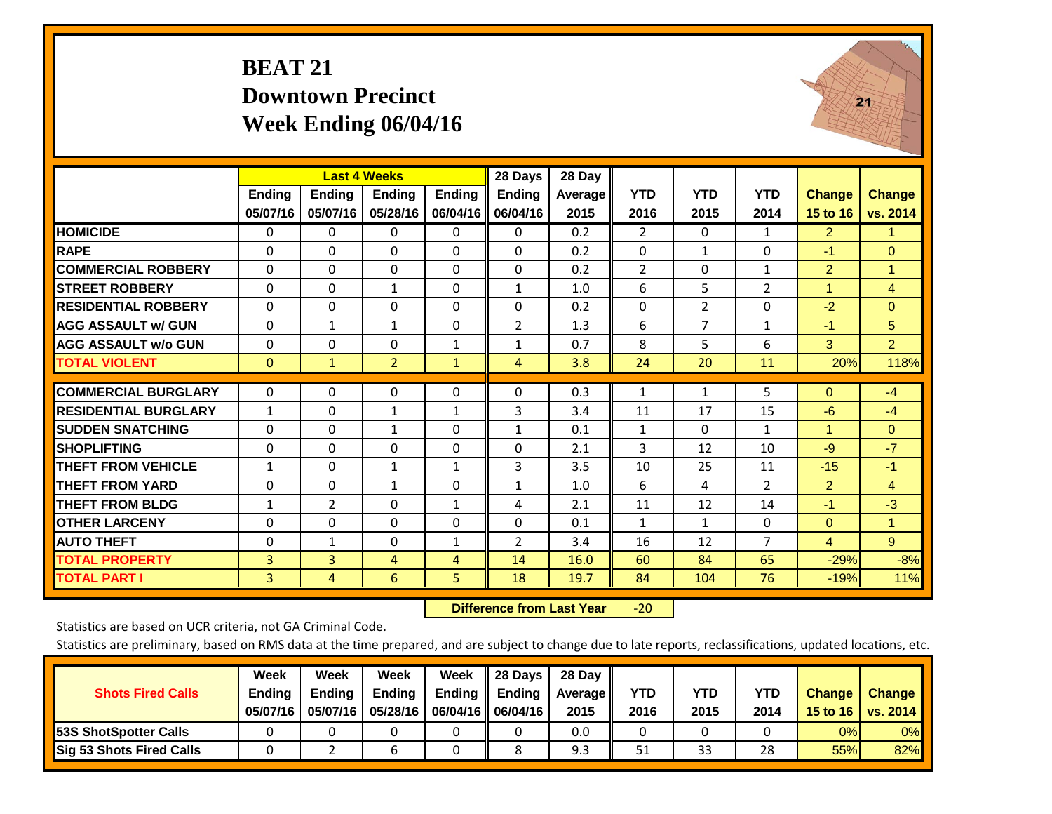# **BEAT 21 Downtown Precinct Week Ending 06/04/16**



|                             |               | <b>Last 4 Weeks</b> |                |               | 28 Days        | 28 Day  |                |              |                |                      |                |
|-----------------------------|---------------|---------------------|----------------|---------------|----------------|---------|----------------|--------------|----------------|----------------------|----------------|
|                             | <b>Ending</b> | <b>Ending</b>       | <b>Endina</b>  | <b>Ending</b> | <b>Ending</b>  | Average | <b>YTD</b>     | <b>YTD</b>   | <b>YTD</b>     | <b>Change</b>        | <b>Change</b>  |
|                             | 05/07/16      | 05/07/16            | 05/28/16       | 06/04/16      | 06/04/16       | 2015    | 2016           | 2015         | 2014           | 15 to 16             | vs. 2014       |
| <b>HOMICIDE</b>             | $\Omega$      | 0                   | 0              | 0             | $\Omega$       | 0.2     | $\overline{2}$ | $\Omega$     | $\mathbf{1}$   | 2                    | 1.             |
| <b>RAPE</b>                 | $\Omega$      | 0                   | $\Omega$       | $\Omega$      | 0              | 0.2     | $\Omega$       | 1            | 0              | $-1$                 | $\mathbf{0}$   |
| <b>COMMERCIAL ROBBERY</b>   | $\Omega$      | $\Omega$            | $\Omega$       | 0             | 0              | 0.2     | $\overline{2}$ | $\Omega$     | $\mathbf{1}$   | 2                    | $\mathbf{1}$   |
| <b>STREET ROBBERY</b>       | $\Omega$      | $\Omega$            | $\mathbf{1}$   | $\Omega$      | $\mathbf{1}$   | 1.0     | 6              | 5            | $\overline{2}$ | $\blacktriangleleft$ | $\overline{4}$ |
| <b>RESIDENTIAL ROBBERY</b>  | $\Omega$      | $\Omega$            | $\Omega$       | $\Omega$      | 0              | 0.2     | $\Omega$       | 2            | $\Omega$       | $-2$                 | $\Omega$       |
| <b>AGG ASSAULT w/ GUN</b>   | $\Omega$      | $\mathbf{1}$        | 1              | $\Omega$      | 2              | 1.3     | 6              | 7            | 1              | $-1$                 | 5              |
| <b>AGG ASSAULT w/o GUN</b>  | $\Omega$      | $\Omega$            | $\Omega$       | $\mathbf{1}$  | $\mathbf{1}$   | 0.7     | 8              | 5            | 6              | 3                    | $\overline{2}$ |
| <b>TOTAL VIOLENT</b>        | $\mathbf{0}$  | $\mathbf{1}$        | $\overline{2}$ | $\mathbf{1}$  | 4              | 3.8     | 24             | 20           | 11             | 20%                  | 118%           |
|                             |               |                     |                |               |                |         |                |              |                |                      |                |
| <b>COMMERCIAL BURGLARY</b>  | $\mathbf{0}$  | $\Omega$            | $\Omega$       | $\Omega$      | 0              | 0.3     | 1              | $\mathbf{1}$ | 5              | $\Omega$             | $-4$           |
| <b>RESIDENTIAL BURGLARY</b> | $\mathbf{1}$  | $\Omega$            | 1              | $\mathbf{1}$  | 3              | 3.4     | 11             | 17           | 15             | $-6$                 | $-4$           |
| <b>SUDDEN SNATCHING</b>     | $\mathbf 0$   | $\Omega$            | 1              | $\Omega$      | 1              | 0.1     | 1              | 0            | $\mathbf{1}$   | $\blacktriangleleft$ | $\Omega$       |
| <b>SHOPLIFTING</b>          | $\Omega$      | $\Omega$            | $\Omega$       | 0             | 0              | 2.1     | 3              | 12           | 10             | -9                   | $-7$           |
| THEFT FROM VEHICLE          | $\mathbf{1}$  | $\Omega$            | 1              | $\mathbf{1}$  | 3              | 3.5     | 10             | 25           | 11             | $-15$                | $-1$           |
| <b>THEFT FROM YARD</b>      | $\mathbf 0$   | $\Omega$            | $\mathbf{1}$   | $\Omega$      | $\mathbf{1}$   | 1.0     | 6              | 4            | $\overline{2}$ | $\overline{2}$       | $\overline{4}$ |
| <b>THEFT FROM BLDG</b>      | $\mathbf{1}$  | $\overline{2}$      | $\Omega$       | $\mathbf{1}$  | 4              | 2.1     | 11             | 12           | 14             | $-1$                 | $-3$           |
| <b>OTHER LARCENY</b>        | 0             | $\Omega$            | $\Omega$       | $\Omega$      | 0              | 0.1     | $\mathbf{1}$   | $\mathbf{1}$ | 0              | $\mathbf{0}$         | 1.             |
| <b>AUTO THEFT</b>           | 0             | $\mathbf{1}$        | $\Omega$       | $\mathbf{1}$  | $\overline{2}$ | 3.4     | 16             | 12           | $\overline{7}$ | $\overline{4}$       | 9 <sup>°</sup> |
| <b>TOTAL PROPERTY</b>       | 3             | 3                   | 4              | 4             | 14             | 16.0    | 60             | 84           | 65             | $-29%$               | $-8%$          |
| <b>TOTAL PART I</b>         | 3             | 4                   | 6              | 5.            | 18             | 19.7    | 84             | 104          | 76             | $-19%$               | 11%            |

 **Difference from Last Year**‐20

Statistics are based on UCR criteria, not GA Criminal Code.

| <b>Shots Fired Calls</b>        | Week<br><b>Ending</b><br>05/07/16 | Week<br><b>Endina</b><br>05/07/16 | Week<br>Ending<br>05/28/16 | Week<br>Ending | 28 Days<br><b>Ending</b><br>06/04/16   06/04/16 | 28 Day<br>Average II<br>2015 | YTD<br>2016 | YTD<br>2015 | YTD<br>2014 | <b>Change</b><br>15 to $16$ | <b>Change</b><br>vs. 2014 |
|---------------------------------|-----------------------------------|-----------------------------------|----------------------------|----------------|-------------------------------------------------|------------------------------|-------------|-------------|-------------|-----------------------------|---------------------------|
| <b>153S ShotSpotter Calls</b>   |                                   |                                   |                            |                |                                                 | 0.0                          |             |             |             | 0%                          | 0%                        |
| <b>Sig 53 Shots Fired Calls</b> |                                   |                                   |                            |                |                                                 | 9.3                          | 51          | 33          | 28          | 55%                         | 82%                       |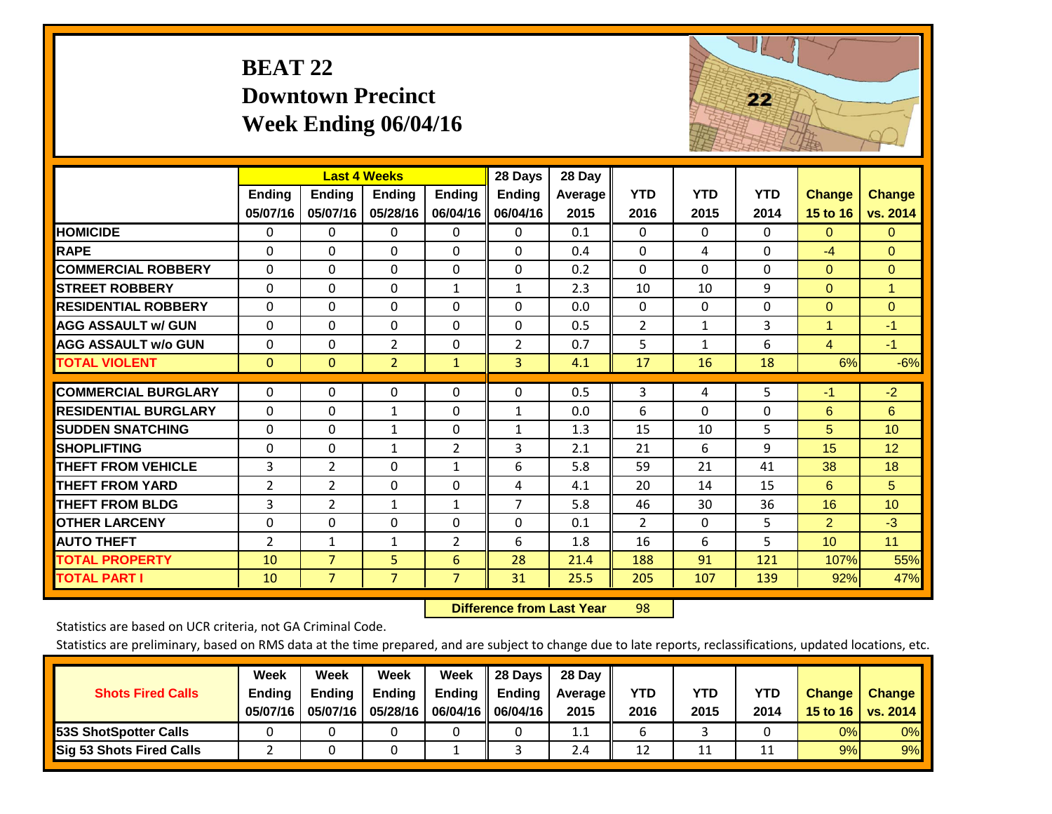# **BEAT 22 Downtown Precinct Week Ending 06/04/16**



|                             |                | <b>Last 4 Weeks</b> |                |                | 28 Days        | 28 Day         |                |              |            |                      |                 |
|-----------------------------|----------------|---------------------|----------------|----------------|----------------|----------------|----------------|--------------|------------|----------------------|-----------------|
|                             | Ending         | <b>Ending</b>       | <b>Endina</b>  | <b>Ending</b>  | <b>Ending</b>  | <b>Average</b> | <b>YTD</b>     | <b>YTD</b>   | <b>YTD</b> | <b>Change</b>        | <b>Change</b>   |
|                             | 05/07/16       | 05/07/16            | 05/28/16       | 06/04/16       | 06/04/16       | 2015           | 2016           | 2015         | 2014       | 15 to 16             | vs. 2014        |
| <b>HOMICIDE</b>             | 0              | 0                   | 0              | 0              | 0              | 0.1            | $\Omega$       | $\Omega$     | $\Omega$   | $\mathbf{0}$         | $\mathbf{0}$    |
| <b>RAPE</b>                 | $\Omega$       | 0                   | $\Omega$       | $\Omega$       | $\Omega$       | 0.4            | $\mathbf{0}$   | 4            | 0          | $-4$                 | $\overline{0}$  |
| <b>COMMERCIAL ROBBERY</b>   | $\Omega$       | $\Omega$            | $\Omega$       | $\Omega$       | $\Omega$       | 0.2            | $\Omega$       | $\Omega$     | $\Omega$   | $\Omega$             | $\mathbf{0}$    |
| <b>STREET ROBBERY</b>       | $\Omega$       | 0                   | $\Omega$       | $\mathbf{1}$   | $\mathbf{1}$   | 2.3            | 10             | 10           | 9          | $\mathbf{0}$         | 1               |
| <b>RESIDENTIAL ROBBERY</b>  | $\Omega$       | 0                   | $\mathbf{0}$   | $\Omega$       | $\Omega$       | 0.0            | $\mathbf{0}$   | 0            | 0          | $\Omega$             | $\mathbf{0}$    |
| <b>AGG ASSAULT W/ GUN</b>   | $\Omega$       | 0                   | $\Omega$       | $\Omega$       | $\Omega$       | 0.5            | $\overline{2}$ | $\mathbf{1}$ | 3          | $\blacktriangleleft$ | $-1$            |
| <b>AGG ASSAULT w/o GUN</b>  | $\Omega$       | 0                   | $\overline{2}$ | $\Omega$       | $\overline{2}$ | 0.7            | 5              | $\mathbf{1}$ | 6          | $\overline{4}$       | $-1$            |
| <b>TOTAL VIOLENT</b>        | $\overline{0}$ | $\overline{0}$      | $\overline{2}$ | $\mathbf{1}$   | 3              | 4.1            | 17             | 16           | 18         | 6%                   | $-6%$           |
|                             |                |                     |                |                |                |                |                |              |            |                      |                 |
| <b>COMMERCIAL BURGLARY</b>  | 0              | 0                   | 0              | 0              | $\Omega$       | 0.5            | 3              | 4            | 5          | $-1$                 | $-2$            |
| <b>RESIDENTIAL BURGLARY</b> | $\Omega$       | 0                   | $\mathbf{1}$   | $\Omega$       | $\mathbf{1}$   | 0.0            | 6              | $\Omega$     | $\Omega$   | 6                    | 6               |
| <b>SUDDEN SNATCHING</b>     | $\Omega$       | 0                   | $\mathbf{1}$   | $\Omega$       | $\mathbf{1}$   | 1.3            | 15             | 10           | 5          | 5                    | 10 <sup>1</sup> |
| <b>SHOPLIFTING</b>          | $\Omega$       | 0                   | 1              | $\overline{2}$ | 3              | 2.1            | 21             | 6            | 9          | 15                   | 12              |
| <b>THEFT FROM VEHICLE</b>   | 3              | 2                   | $\Omega$       | $\mathbf{1}$   | 6              | 5.8            | 59             | 21           | 41         | 38                   | 18              |
| <b>THEFT FROM YARD</b>      | $\overline{2}$ | $\overline{2}$      | $\mathbf 0$    | $\mathbf 0$    | 4              | 4.1            | 20             | 14           | 15         | 6                    | 5               |
| <b>THEFT FROM BLDG</b>      | 3              | 2                   | 1              | $\mathbf{1}$   | 7              | 5.8            | 46             | 30           | 36         | 16                   | 10 <sup>1</sup> |
| <b>OTHER LARCENY</b>        | $\Omega$       | 0                   | $\Omega$       | $\Omega$       | $\Omega$       | 0.1            | $\overline{2}$ | $\Omega$     | 5          | $\overline{2}$       | $-3$            |
| <b>AUTO THEFT</b>           | 2              | 1                   | $\mathbf{1}$   | $\overline{2}$ | 6              | 1.8            | 16             | 6            | 5          | 10 <sup>1</sup>      | 11              |
| <b>TOTAL PROPERTY</b>       | 10             | $\overline{7}$      | 5 <sup>1</sup> | 6              | 28             | 21.4           | 188            | 91           | 121        | 107%                 | 55%             |
| <b>TOTAL PART I</b>         | 10             | $\overline{7}$      | $\overline{7}$ | $\overline{7}$ | 31             | 25.5           | 205            | 107          | 139        | 92%                  | 47%             |

 **Difference from Last Year**r 98

Statistics are based on UCR criteria, not GA Criminal Code.

|                                 | Week          | Week          | <b>Week</b> | Week        | 28 Days       | 28 Day     |      |      |      |                  |                 |
|---------------------------------|---------------|---------------|-------------|-------------|---------------|------------|------|------|------|------------------|-----------------|
| <b>Shots Fired Calls</b>        | <b>Ending</b> | <b>Ending</b> | Ending      | Ending      | <b>Ending</b> | Average II | YTD  | YTD  | YTD  | <b>Change</b>    | <b>Change</b>   |
|                                 | 05/07/16      | 05/07/16      | 05/28/16    | 06/04/16 II | 06/04/16      | 2015       | 2016 | 2015 | 2014 | 15 to 16 $\vert$ | <b>VS. 2014</b> |
| <b>153S ShotSpotter Calls</b>   |               |               |             |             |               | 1.1        |      |      |      | 0%               | 0%              |
| <b>Sig 53 Shots Fired Calls</b> |               |               |             |             |               | 2.4        | 12   | 11   |      | 9%               | 9%              |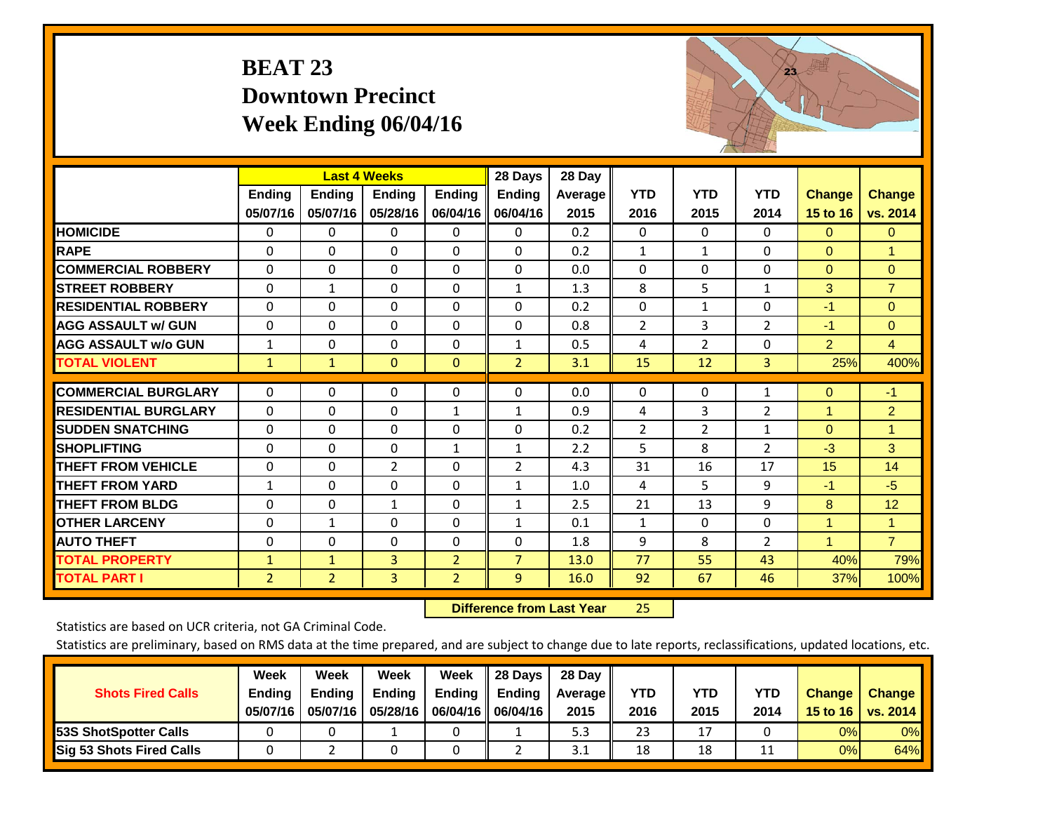# **BEAT 23 Downtown Precinct Week Ending 06/04/16**



|                             |               | <b>Last 4 Weeks</b> |               |                | 28 Days        | 28 Day  |                |                |                |                |                |
|-----------------------------|---------------|---------------------|---------------|----------------|----------------|---------|----------------|----------------|----------------|----------------|----------------|
|                             | <b>Ending</b> | <b>Ending</b>       | <b>Endina</b> | Ending         | <b>Ending</b>  | Average | <b>YTD</b>     | <b>YTD</b>     | <b>YTD</b>     | <b>Change</b>  | <b>Change</b>  |
|                             | 05/07/16      | 05/07/16            | 05/28/16      | 06/04/16       | 06/04/16       | 2015    | 2016           | 2015           | 2014           | 15 to 16       | vs. 2014       |
| <b>HOMICIDE</b>             | $\mathbf{0}$  | 0                   | $\mathbf{0}$  | $\Omega$       | $\mathbf{0}$   | 0.2     | $\Omega$       | $\Omega$       | $\Omega$       | $\mathbf{0}$   | $\mathbf{0}$   |
| <b>RAPE</b>                 | $\Omega$      | $\Omega$            | $\Omega$      | 0              | $\Omega$       | 0.2     | 1              | 1              | $\Omega$       | $\mathbf{0}$   | 1              |
| <b>COMMERCIAL ROBBERY</b>   | $\Omega$      | $\Omega$            | $\Omega$      | $\Omega$       | $\Omega$       | 0.0     | $\Omega$       | $\Omega$       | $\Omega$       | $\mathbf{0}$   | $\Omega$       |
| <b>STREET ROBBERY</b>       | 0             | $\mathbf{1}$        | $\Omega$      | 0              | 1              | 1.3     | 8              | 5              | 1              | 3              | $\overline{7}$ |
| <b>RESIDENTIAL ROBBERY</b>  | $\Omega$      | $\Omega$            | $\Omega$      | 0              | $\Omega$       | 0.2     | $\Omega$       | 1              | $\Omega$       | $-1$           | $\Omega$       |
| <b>AGG ASSAULT w/ GUN</b>   | $\Omega$      | $\Omega$            | $\Omega$      | $\Omega$       | $\Omega$       | 0.8     | $\overline{2}$ | 3              | 2              | $-1$           | $\Omega$       |
| <b>AGG ASSAULT w/o GUN</b>  | $\mathbf{1}$  | $\Omega$            | $\Omega$      | 0              | $\mathbf{1}$   | 0.5     | 4              | $\overline{2}$ | $\Omega$       | $\overline{2}$ | $\overline{4}$ |
| <b>TOTAL VIOLENT</b>        | $\mathbf{1}$  | $\mathbf{1}$        | $\mathbf{0}$  | $\mathbf{0}$   | $\overline{2}$ | 3.1     | 15             | 12             | 3              | 25%            | 400%           |
| <b>COMMERCIAL BURGLARY</b>  |               | $\Omega$            |               | $\Omega$       | $\Omega$       |         |                | $\Omega$       |                |                | $-1$           |
|                             | 0             |                     | 0             |                |                | 0.0     | 0              |                | 1              | $\mathbf{0}$   |                |
| <b>RESIDENTIAL BURGLARY</b> | $\Omega$      | $\Omega$            | $\Omega$      | $\mathbf{1}$   | 1              | 0.9     | 4              | 3              | $\overline{2}$ | $\mathbf{1}$   | $\overline{2}$ |
| <b>SUDDEN SNATCHING</b>     | $\Omega$      | $\Omega$            | $\mathbf{0}$  | 0              | 0              | 0.2     | $\overline{2}$ | $\overline{2}$ | 1              | $\Omega$       | 1              |
| <b>SHOPLIFTING</b>          | $\Omega$      | $\Omega$            | $\Omega$      | 1              | 1              | 2.2     | 5              | 8              | 2              | $-3$           | 3              |
| <b>THEFT FROM VEHICLE</b>   | $\Omega$      | $\Omega$            | 2             | 0              | $\overline{2}$ | 4.3     | 31             | 16             | 17             | 15             | 14             |
| <b>THEFT FROM YARD</b>      | $\mathbf{1}$  | $\Omega$            | $\mathbf 0$   | $\Omega$       | $\mathbf{1}$   | 1.0     | 4              | 5              | 9              | $-1$           | $-5$           |
| <b>THEFT FROM BLDG</b>      | $\Omega$      | $\Omega$            | $\mathbf{1}$  | $\Omega$       | 1              | 2.5     | 21             | 13             | 9              | 8              | 12             |
| <b>OTHER LARCENY</b>        | 0             | $\mathbf{1}$        | $\Omega$      | 0              | 1              | 0.1     | 1              | 0              | $\Omega$       | 1              | $\mathbf{1}$   |
| <b>AUTO THEFT</b>           | $\Omega$      | $\Omega$            | $\Omega$      | $\Omega$       | $\Omega$       | 1.8     | 9              | 8              | $\overline{2}$ | $\overline{1}$ | $\overline{7}$ |
| <b>TOTAL PROPERTY</b>       | $\mathbf{1}$  | $\mathbf{1}$        | 3             | $\overline{2}$ | $\overline{7}$ | 13.0    | 77             | 55             | 43             | 40%            | 79%            |
| <b>TOTAL PART I</b>         | 2             | $\overline{2}$      | 3             | $\overline{2}$ | 9              | 16.0    | 92             | 67             | 46             | 37%            | 100%           |

 **Difference from Last Year**25

Statistics are based on UCR criteria, not GA Criminal Code.

| <b>Shots Fired Calls</b>        | Week<br><b>Ending</b><br>05/07/16 | Week<br><b>Endina</b><br>05/07/16 | <b>Week</b><br>Ending<br>05/28/16 | Week<br>Ending | 28 Days<br>Ending<br>06/04/16   06/04/16 | 28 Day<br><b>Average II</b><br>2015 | YTD<br>2016 | YTD<br>2015 | <b>YTD</b><br>2014 | <b>Change</b><br>15 to $16$ | <b>Change</b><br>vs. 2014 |
|---------------------------------|-----------------------------------|-----------------------------------|-----------------------------------|----------------|------------------------------------------|-------------------------------------|-------------|-------------|--------------------|-----------------------------|---------------------------|
| 53S ShotSpotter Calls           |                                   |                                   |                                   |                |                                          | 5.3                                 | 23          | 17          |                    | 0%                          | 0%                        |
| <b>Sig 53 Shots Fired Calls</b> |                                   |                                   |                                   |                |                                          | 3.1                                 | 18          | 18          |                    | 0%                          | 64%                       |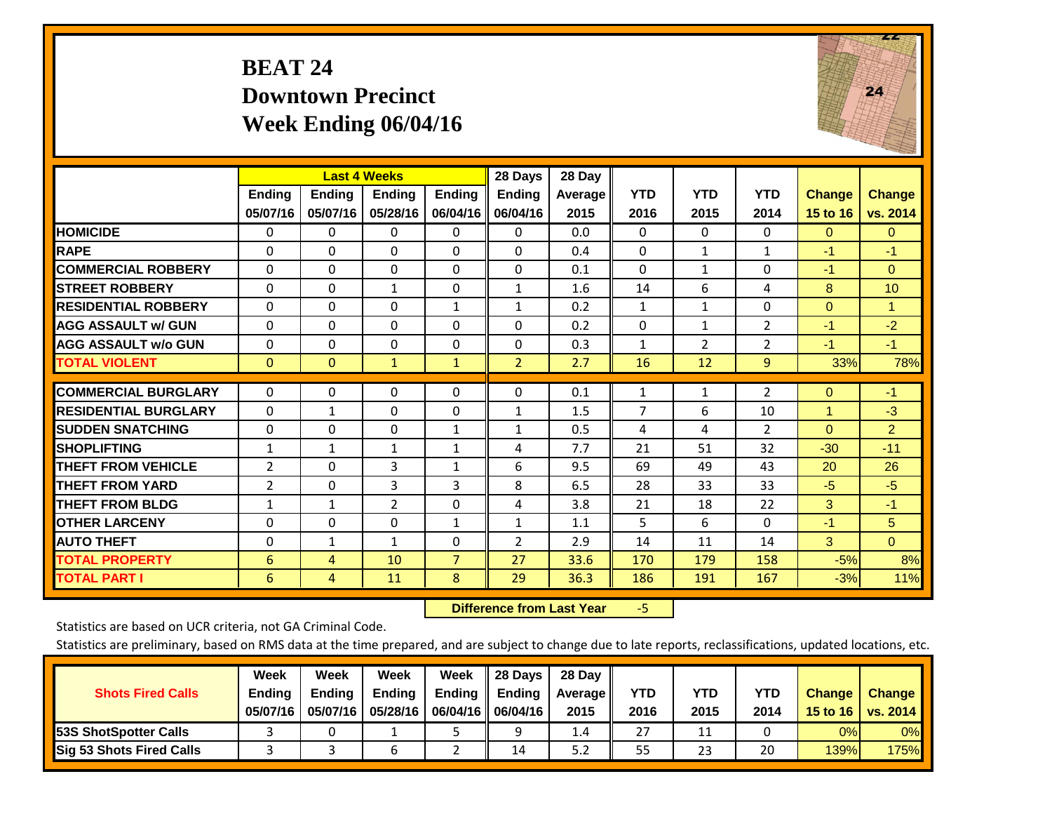# **BEAT 24 Downtown Precinct Week Ending 06/04/16**



|                             |                           | <b>Last 4 Weeks</b>       |                           |                           | 28 Days                   | 28 Day          |                    |                    |                    |                           |                           |
|-----------------------------|---------------------------|---------------------------|---------------------------|---------------------------|---------------------------|-----------------|--------------------|--------------------|--------------------|---------------------------|---------------------------|
|                             | <b>Ending</b><br>05/07/16 | <b>Ending</b><br>05/07/16 | <b>Endina</b><br>05/28/16 | <b>Ending</b><br>06/04/16 | <b>Ending</b><br>06/04/16 | Average<br>2015 | <b>YTD</b><br>2016 | <b>YTD</b><br>2015 | <b>YTD</b><br>2014 | <b>Change</b><br>15 to 16 | <b>Change</b><br>vs. 2014 |
| <b>HOMICIDE</b>             | $\Omega$                  | 0                         | $\Omega$                  | $\mathbf{0}$              | 0                         | 0.0             | 0                  | 0                  | 0                  | $\mathbf{0}$              | $\Omega$                  |
| <b>RAPE</b>                 | $\Omega$                  | $\Omega$                  | $\Omega$                  | $\Omega$                  | $\Omega$                  | 0.4             | $\mathbf{0}$       | $\mathbf{1}$       | $\mathbf{1}$       | $-1$                      | $-1$                      |
| <b>COMMERCIAL ROBBERY</b>   | $\Omega$                  | $\Omega$                  | $\Omega$                  | $\mathbf{0}$              | $\Omega$                  | 0.1             | $\mathbf{0}$       | 1                  | $\Omega$           | $-1$                      | $\Omega$                  |
| <b>STREET ROBBERY</b>       | $\Omega$                  | $\Omega$                  | $\mathbf{1}$              | $\mathbf{0}$              | $\mathbf{1}$              | 1.6             | 14                 | 6                  | 4                  | 8                         | 10                        |
| <b>RESIDENTIAL ROBBERY</b>  | $\Omega$                  | 0                         | $\Omega$                  | 1                         | $\mathbf{1}$              | 0.2             | 1                  | 1                  | 0                  | $\mathbf{0}$              | $\mathbf{1}$              |
| <b>AGG ASSAULT w/ GUN</b>   | 0                         | $\Omega$                  | $\Omega$                  | $\Omega$                  | 0                         | 0.2             | $\Omega$           | $\mathbf{1}$       | $\overline{2}$     | $-1$                      | $-2$                      |
| <b>AGG ASSAULT w/o GUN</b>  | $\Omega$                  | $\Omega$                  | $\Omega$                  | $\Omega$                  | $\Omega$                  | 0.3             | $\mathbf{1}$       | $\overline{2}$     | $\overline{2}$     | $-1$                      | $-1$                      |
| <b>TOTAL VIOLENT</b>        | $\mathbf{0}$              | $\Omega$                  | $\mathbf{1}$              | $\mathbf{1}$              | $\overline{2}$            | 2.7             | 16                 | 12                 | 9                  | 33%                       | 78%                       |
| <b>COMMERCIAL BURGLARY</b>  | $\Omega$                  | $\Omega$                  | $\Omega$                  | 0                         | $\Omega$                  | 0.1             | 1                  | 1                  | $\overline{2}$     | $\mathbf{0}$              | $-1$                      |
| <b>RESIDENTIAL BURGLARY</b> | $\Omega$                  | 1                         | $\Omega$                  | 0                         | $\mathbf{1}$              | 1.5             | 7                  | 6                  | 10                 | 4                         | $-3$                      |
| <b>ISUDDEN SNATCHING</b>    | $\Omega$                  | $\Omega$                  | $\Omega$                  | $\mathbf{1}$              | $\mathbf{1}$              | 0.5             | 4                  | 4                  | $\overline{2}$     | $\Omega$                  | $\overline{2}$            |
| <b>SHOPLIFTING</b>          | 1                         | $\mathbf{1}$              | $\mathbf{1}$              | 1                         | 4                         | 7.7             | 21                 | 51                 | 32                 | $-30$                     | $-11$                     |
| <b>THEFT FROM VEHICLE</b>   | $\overline{2}$            | 0                         | 3                         | $\mathbf{1}$              | 6                         | 9.5             | 69                 | 49                 | 43                 | 20                        | 26                        |
| <b>THEFT FROM YARD</b>      | 2                         | $\Omega$                  | 3                         | 3                         | 8                         | 6.5             | 28                 | 33                 | 33                 | $-5$                      | $-5$                      |
| <b>THEFT FROM BLDG</b>      | 1                         | 1                         | 2                         | $\Omega$                  | 4                         | 3.8             | 21                 | 18                 | 22                 | 3                         | $-1$                      |
| <b>OTHER LARCENY</b>        | 0                         | $\Omega$                  | $\Omega$                  | 1                         | $\mathbf{1}$              | 1.1             | 5                  | 6                  | $\Omega$           | $-1$                      | 5                         |
| <b>AUTO THEFT</b>           | $\Omega$                  | $\mathbf{1}$              | $\mathbf{1}$              | $\Omega$                  | $\overline{2}$            | 2.9             | 14                 | 11                 | 14                 | 3                         | $\Omega$                  |
| <b>TOTAL PROPERTY</b>       | 6                         | 4                         | 10                        | $\overline{7}$            | 27                        | 33.6            | 170                | 179                | 158                | $-5%$                     | 8%                        |
| <b>TOTAL PART I</b>         | 6                         | 4                         | 11                        | 8                         | 29                        | 36.3            | 186                | 191                | 167                | $-3%$                     | 11%                       |

 **Difference from Last Year**‐5

Statistics are based on UCR criteria, not GA Criminal Code.

|                                 | Week          | Week          | Week          | Week                      | 28 Days             | 28 Day  |      |            |            |               |               |
|---------------------------------|---------------|---------------|---------------|---------------------------|---------------------|---------|------|------------|------------|---------------|---------------|
| <b>Shots Fired Calls</b>        | <b>Ending</b> | <b>Endina</b> | <b>Ending</b> | Ending $\parallel$ Ending |                     | Average | YTD  | <b>YTD</b> | <b>YTD</b> | <b>Change</b> | <b>Change</b> |
|                                 | 05/07/16      | 05/07/16      | 05/28/16      |                           | 06/04/16   06/04/16 | 2015    | 2016 | 2015       | 2014       | 15 to 16      | vs. 2014      |
| <b>153S ShotSpotter Calls</b>   |               |               |               |                           |                     | 1.4     | 27   | 11         |            | 0%            | $0\%$         |
| <b>Sig 53 Shots Fired Calls</b> |               |               |               |                           | 14                  | 5.2     | 55   | 23         | 20         | 139%          | <b>175%</b>   |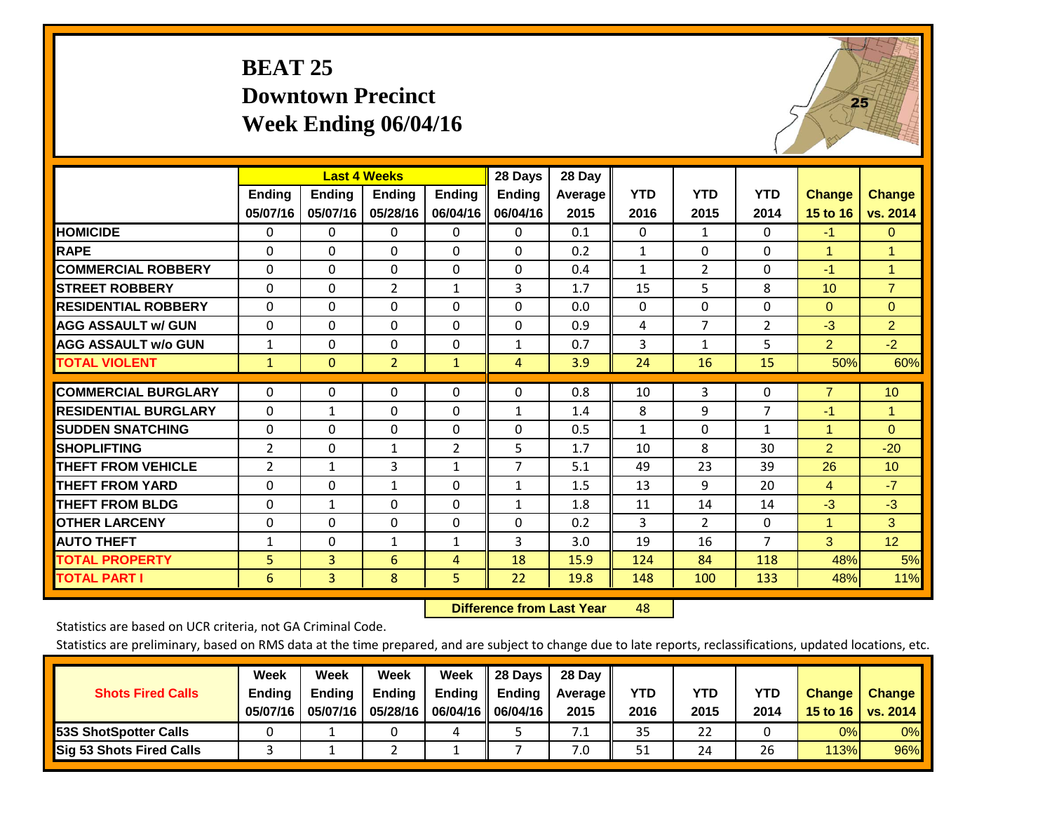# **BEAT 25 Downtown Precinct Week Ending 06/04/16**



|                             |                           | <b>Last 4 Weeks</b>       |                           |                           | 28 Days                   | 28 Day          |                    |                    |                    |                           |                           |
|-----------------------------|---------------------------|---------------------------|---------------------------|---------------------------|---------------------------|-----------------|--------------------|--------------------|--------------------|---------------------------|---------------------------|
|                             | <b>Ending</b><br>05/07/16 | <b>Ending</b><br>05/07/16 | <b>Ending</b><br>05/28/16 | <b>Endina</b><br>06/04/16 | <b>Ending</b><br>06/04/16 | Average<br>2015 | <b>YTD</b><br>2016 | <b>YTD</b><br>2015 | <b>YTD</b><br>2014 | <b>Change</b><br>15 to 16 | <b>Change</b><br>vs. 2014 |
| <b>HOMICIDE</b>             | 0                         | 0                         | 0                         | 0                         | $\Omega$                  | 0.1             | $\mathbf{0}$       | 1                  | 0                  | $-1$                      | $\mathbf{0}$              |
| <b>RAPE</b>                 | 0                         | 0                         | $\Omega$                  | $\Omega$                  | 0                         | 0.2             | 1                  | $\Omega$           | $\Omega$           | 1                         | 1.                        |
|                             |                           |                           |                           |                           |                           |                 |                    |                    |                    |                           |                           |
| <b>COMMERCIAL ROBBERY</b>   | 0                         | $\Omega$                  | $\mathbf{0}$              | 0                         | $\Omega$                  | 0.4             | 1                  | $\overline{2}$     | 0                  | $-1$                      | $\mathbf{1}$              |
| <b>ISTREET ROBBERY</b>      | $\Omega$                  | $\Omega$                  | $\overline{2}$            | $\mathbf{1}$              | 3                         | 1.7             | 15                 | 5                  | 8                  | 10 <sup>1</sup>           | $\overline{7}$            |
| <b>RESIDENTIAL ROBBERY</b>  | $\Omega$                  | $\Omega$                  | $\Omega$                  | 0                         | $\Omega$                  | 0.0             | $\mathbf{0}$       | 0                  | 0                  | $\mathbf{0}$              | $\Omega$                  |
| <b>AGG ASSAULT w/ GUN</b>   | $\Omega$                  | 0                         | $\Omega$                  | $\Omega$                  | 0                         | 0.9             | 4                  | $\overline{7}$     | $\overline{2}$     | $-3$                      | $\overline{2}$            |
| <b>AGG ASSAULT w/o GUN</b>  | $\mathbf{1}$              | $\Omega$                  | $\Omega$                  | 0                         | $\mathbf{1}$              | 0.7             | 3                  | 1                  | 5                  | $\overline{2}$            | $-2$                      |
| <b>TOTAL VIOLENT</b>        | $\mathbf{1}$              | $\mathbf{0}$              | $\overline{2}$            | $\mathbf{1}$              | 4                         | 3.9             | 24                 | 16                 | 15                 | 50%                       | 60%                       |
|                             |                           |                           |                           |                           |                           |                 |                    |                    |                    |                           |                           |
| <b>COMMERCIAL BURGLARY</b>  | $\Omega$                  | $\Omega$                  | $\Omega$                  | $\Omega$                  | 0                         | 0.8             | 10                 | 3                  | 0                  | $\overline{7}$            | 10                        |
| <b>RESIDENTIAL BURGLARY</b> | $\Omega$                  | 1                         | $\Omega$                  | 0                         | $\mathbf{1}$              | 1.4             | 8                  | 9                  | 7                  | $-1$                      | $\mathbf{1}$              |
| <b>ISUDDEN SNATCHING</b>    | $\Omega$                  | 0                         | $\Omega$                  | $\Omega$                  | 0                         | 0.5             | $\mathbf{1}$       | 0                  | $\mathbf{1}$       | 1                         | $\Omega$                  |
| <b>SHOPLIFTING</b>          | $\overline{2}$            | $\Omega$                  | $\mathbf{1}$              | $\overline{2}$            | 5                         | 1.7             | 10                 | 8                  | 30                 | $\overline{2}$            | $-20$                     |
| <b>THEFT FROM VEHICLE</b>   | 2                         | $\mathbf{1}$              | 3                         | $\mathbf{1}$              | $\overline{7}$            | 5.1             | 49                 | 23                 | 39                 | 26                        | 10                        |
| <b>THEFT FROM YARD</b>      | $\Omega$                  | $\Omega$                  | $\mathbf{1}$              | 0                         | $\mathbf{1}$              | 1.5             | 13                 | 9                  | 20                 | $\overline{4}$            | $-7$                      |
| <b>THEFT FROM BLDG</b>      | 0                         | 1                         | $\Omega$                  | 0                         | $\mathbf{1}$              | 1.8             | 11                 | 14                 | 14                 | $-3$                      | $-3$                      |
| <b>OTHER LARCENY</b>        | 0                         | $\Omega$                  | $\Omega$                  | 0                         | 0                         | 0.2             | 3                  | $\overline{2}$     | 0                  | $\mathbf{1}$              | 3                         |
| <b>AUTO THEFT</b>           | $\mathbf{1}$              | $\Omega$                  | $\mathbf{1}$              | $\mathbf{1}$              | 3                         | 3.0             | 19                 | 16                 | $\overline{7}$     | 3                         | 12                        |
| <b>TOTAL PROPERTY</b>       | 5                         | 3                         | 6                         | 4                         | 18                        | 15.9            | 124                | 84                 | 118                | 48%                       | 5%                        |
| <b>TOTAL PART I</b>         | 6                         | $\overline{3}$            | 8                         | 5                         | 22                        | 19.8            | 148                | 100                | 133                | 48%                       | 11%                       |

 **Difference from Last Year**r 48

Statistics are based on UCR criteria, not GA Criminal Code.

| <b>Shots Fired Calls</b>        | Week<br><b>Ending</b><br>05/07/16 | Week<br><b>Endina</b><br>05/07/16 | Week<br>Ending<br>05/28/16 | Week<br>Ending | 28 Days<br><b>Ending</b><br>06/04/16   06/04/16 | 28 Day<br>Average II<br>2015 | YTD<br>2016 | YTD<br>2015 | <b>YTD</b><br>2014 | <b>Change</b><br>15 to $16$ | <b>Change</b><br>vs. 2014 |
|---------------------------------|-----------------------------------|-----------------------------------|----------------------------|----------------|-------------------------------------------------|------------------------------|-------------|-------------|--------------------|-----------------------------|---------------------------|
| <b>153S ShotSpotter Calls</b>   |                                   |                                   |                            | 4              |                                                 | 7.1                          | 35          | 22          |                    | 0%                          | 0%                        |
| <b>Sig 53 Shots Fired Calls</b> |                                   |                                   |                            |                |                                                 | 7.0                          | 51          | 24          | 26                 | 113%                        | 96%                       |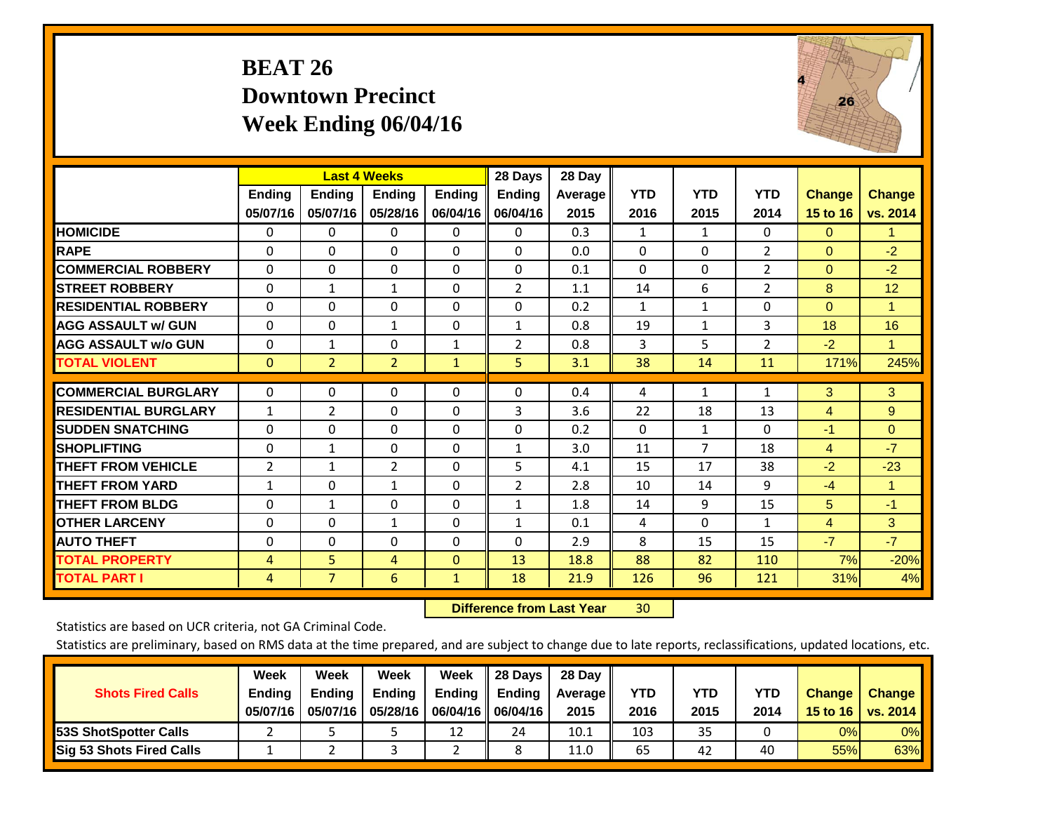# **BEAT 26 Downtown Precinct Week Ending 06/04/16**



|                             |                           | <b>Last 4 Weeks</b>       |                           |                           | 28 Days                   | 28 Day             |                    |                    |                    |                           |                           |
|-----------------------------|---------------------------|---------------------------|---------------------------|---------------------------|---------------------------|--------------------|--------------------|--------------------|--------------------|---------------------------|---------------------------|
|                             | <b>Ending</b><br>05/07/16 | <b>Ending</b><br>05/07/16 | <b>Endina</b><br>05/28/16 | <b>Ending</b><br>06/04/16 | <b>Endina</b><br>06/04/16 | Average   <br>2015 | <b>YTD</b><br>2016 | <b>YTD</b><br>2015 | <b>YTD</b><br>2014 | <b>Change</b><br>15 to 16 | <b>Change</b><br>vs. 2014 |
| <b>HOMICIDE</b>             | 0                         | 0                         | $\Omega$                  | 0                         | 0                         | 0.3                | 1                  | 1                  | 0                  | $\mathbf{0}$              | $\blacktriangleleft$      |
| <b>RAPE</b>                 | 0                         | $\Omega$                  | $\Omega$                  | $\Omega$                  | $\Omega$                  | 0.0                | $\Omega$           | $\Omega$           | $\overline{2}$     | $\Omega$                  | $-2$                      |
| <b>COMMERCIAL ROBBERY</b>   | $\Omega$                  | $\Omega$                  | $\Omega$                  | $\mathbf{0}$              | $\Omega$                  | 0.1                | $\Omega$           | $\Omega$           | $\overline{2}$     | $\mathbf{0}$              | $-2$                      |
| <b>ISTREET ROBBERY</b>      | $\Omega$                  | $\mathbf{1}$              | $\mathbf{1}$              | $\Omega$                  | 2                         | 1.1                | 14                 | 6                  | 2                  | 8                         | 12                        |
| <b>RESIDENTIAL ROBBERY</b>  | 0                         | 0                         | $\mathbf{0}$              | 0                         | $\Omega$                  | 0.2                | $\mathbf{1}$       | 1                  | 0                  | $\mathbf{0}$              | 1                         |
| <b>AGG ASSAULT w/ GUN</b>   | $\Omega$                  | 0                         | $\mathbf{1}$              | $\mathbf{0}$              | 1                         | 0.8                | 19                 | $\mathbf{1}$       | 3                  | 18                        | 16                        |
| <b>AGG ASSAULT w/o GUN</b>  | $\Omega$                  | $\mathbf{1}$              | $\mathbf{0}$              | $\mathbf{1}$              | $\overline{2}$            | 0.8                | 3                  | 5                  | $\overline{2}$     | $-2$                      | $\mathbf{1}$              |
| <b>TOTAL VIOLENT</b>        | $\Omega$                  | $\overline{2}$            | $\overline{2}$            | $\mathbf{1}$              | 5.                        | 3.1                | 38                 | 14                 | 11                 | 171%                      | 245%                      |
| <b>COMMERCIAL BURGLARY</b>  | $\Omega$                  | $\Omega$                  | $\Omega$                  | $\mathbf{0}$              | $\Omega$                  | 0.4                | 4                  | 1                  | 1                  | 3                         | 3                         |
| <b>RESIDENTIAL BURGLARY</b> | 1                         | 2                         | $\mathbf{0}$              | $\Omega$                  | 3                         | 3.6                | 22                 | 18                 | 13                 | 4                         | 9                         |
| <b>SUDDEN SNATCHING</b>     | 0                         | 0                         | $\mathbf{0}$              | $\mathbf{0}$              | $\Omega$                  | 0.2                | $\Omega$           | 1                  | $\Omega$           | $-1$                      | $\mathbf{0}$              |
| <b>SHOPLIFTING</b>          | 0                         | 1                         | $\mathbf{0}$              | 0                         | 1                         | 3.0                | 11                 | 7                  | 18                 | 4                         | $-7$                      |
| <b>THEFT FROM VEHICLE</b>   | $\overline{2}$            | $\mathbf{1}$              | $\overline{2}$            | $\mathbf{0}$              | 5                         | 4.1                | 15                 | 17                 | 38                 | $-2$                      | $-23$                     |
| <b>THEFT FROM YARD</b>      | $\mathbf{1}$              | $\Omega$                  | $\mathbf{1}$              | $\Omega$                  | 2                         | 2.8                | 10                 | 14                 | 9                  | $-4$                      | $\blacktriangleleft$      |
| <b>THEFT FROM BLDG</b>      | 0                         | $\mathbf{1}$              | $\Omega$                  | $\mathbf{0}$              | $\mathbf{1}$              | 1.8                | 14                 | 9                  | 15                 | 5                         | $-1$                      |
| <b>OTHER LARCENY</b>        | 0                         | $\Omega$                  | 1                         | $\Omega$                  | $\mathbf{1}$              | 0.1                | 4                  | $\Omega$           | $\mathbf{1}$       | $\overline{4}$            | 3                         |
| <b>AUTO THEFT</b>           | $\Omega$                  | $\Omega$                  | $\Omega$                  | $\Omega$                  | $\Omega$                  | 2.9                | 8                  | 15                 | 15                 | $-7$                      | $-7$                      |
| <b>TOTAL PROPERTY</b>       | 4                         | 5                         | 4                         | $\mathbf{0}$              | 13                        | 18.8               | 88                 | 82                 | 110                | 7%                        | $-20%$                    |
| <b>TOTAL PART I</b>         | 4                         | $\overline{7}$            | 6                         | $\mathbf{1}$              | 18                        | 21.9               | 126                | 96                 | 121                | 31%                       | 4%                        |

 **Difference from Last Year**r 30

Statistics are based on UCR criteria, not GA Criminal Code.

| <b>Shots Fired Calls</b>        | Week<br><b>Ending</b><br>05/07/16 | Week<br><b>Endina</b><br>05/07/16 | <b>Week</b><br>Ending<br>05/28/16 | Week<br>Ending | 28 Days<br><b>Ending</b><br>06/04/16   06/04/16 | 28 Day<br>Average II<br>2015 | YTD<br>2016 | YTD<br>2015 | <b>YTD</b><br>2014 | <b>Change</b><br>15 to 16 | <b>Change</b><br>vs. 2014 |
|---------------------------------|-----------------------------------|-----------------------------------|-----------------------------------|----------------|-------------------------------------------------|------------------------------|-------------|-------------|--------------------|---------------------------|---------------------------|
| <b>153S ShotSpotter Calls</b>   |                                   |                                   |                                   |                | 24                                              | 10.1                         | 103         | 35          |                    | 0%                        | 0%                        |
| <b>Sig 53 Shots Fired Calls</b> |                                   |                                   |                                   |                |                                                 | 11.0                         | 65          | 42          | 40                 | 55%                       | 63%                       |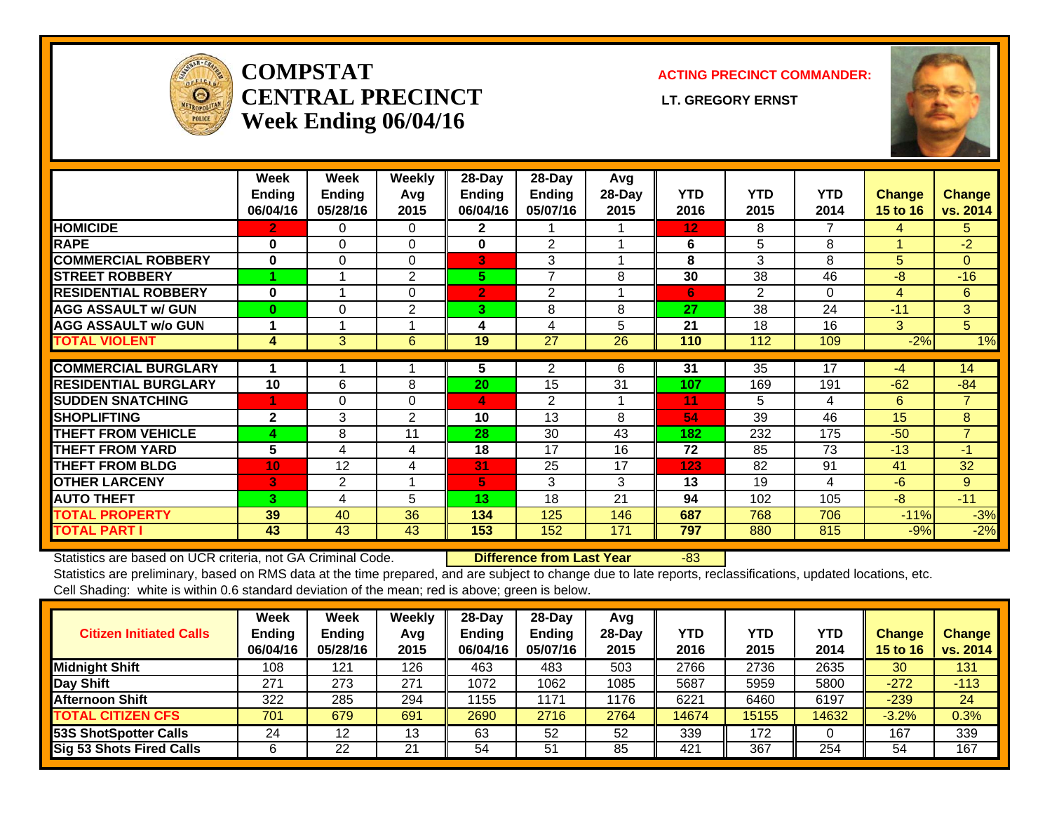

### **COMPSTATCENTRAL PRECINCT** LT. GREGORY ERNST **Week Ending 06/04/16**

#### **ACTING PRECINCT COMMANDER:**



|                             | Week<br><b>Ending</b><br>06/04/16 | Week<br><b>Ending</b><br>05/28/16 | <b>Weekly</b><br>Avg<br>2015 | 28-Day<br><b>Endina</b><br>06/04/16 | 28-Day<br>Ending<br>05/07/16 | Avg<br>28-Day<br>2015 | <b>YTD</b><br>2016 | <b>YTD</b><br>2015 | <b>YTD</b><br>2014 | <b>Change</b><br><b>15 to 16</b> | Change<br>vs. 2014 |
|-----------------------------|-----------------------------------|-----------------------------------|------------------------------|-------------------------------------|------------------------------|-----------------------|--------------------|--------------------|--------------------|----------------------------------|--------------------|
| <b>HOMICIDE</b>             | 2                                 | 0                                 | $\Omega$                     | 2                                   |                              |                       | 12                 | 8                  | 7                  | 4                                | $5^{\circ}$        |
| <b>RAPE</b>                 | $\bf{0}$                          | 0                                 | 0                            | 0                                   | $\overline{2}$               |                       | 6                  | 5                  | 8                  |                                  | $-2$               |
| <b>COMMERCIAL ROBBERY</b>   | $\bf{0}$                          | 0                                 | $\Omega$                     | 3                                   | 3                            |                       | 8                  | 3                  | 8                  | 5                                | $\Omega$           |
| <b>STREET ROBBERY</b>       |                                   |                                   | 2                            | 5.                                  | 7                            | 8                     | 30                 | 38                 | 46                 | $-8$                             | $-16$              |
| <b>RESIDENTIAL ROBBERY</b>  | $\bf{0}$                          |                                   | $\Omega$                     | $\overline{2}$                      | $\overline{2}$               |                       | 6                  | 2                  | $\Omega$           | $\overline{4}$                   | 6                  |
| <b>AGG ASSAULT w/ GUN</b>   | $\bf{0}$                          | 0                                 | $\overline{2}$               | 3.                                  | 8                            | 8                     | 27                 | 38                 | 24                 | $-11$                            | 3 <sup>1</sup>     |
| <b>AGG ASSAULT w/o GUN</b>  |                                   |                                   |                              | 4                                   | 4                            | 5                     | 21                 | 18                 | 16                 | 3                                | 5 <sup>5</sup>     |
| <b>TOTAL VIOLENT</b>        | 4                                 | 3                                 | 6                            | 19                                  | 27                           | 26                    | 110                | 112                | 109                | $-2%$                            | 1%                 |
|                             |                                   |                                   |                              |                                     |                              |                       |                    |                    |                    |                                  |                    |
| <b>COMMERCIAL BURGLARY</b>  |                                   |                                   |                              | 5                                   | 2                            | 6                     | 31                 | 35                 | 17                 | $-4$                             | 14                 |
| <b>RESIDENTIAL BURGLARY</b> | 10                                | 6                                 | 8                            | 20                                  | 15                           | 31                    | 107                | 169                | 191                | $-62$                            | $-84$              |
| <b>SUDDEN SNATCHING</b>     | 4                                 | 0                                 | $\Omega$                     | 4                                   | $\mathfrak{p}$               |                       | 11                 | 5.                 | 4                  | 6                                | $\overline{7}$     |
| <b>SHOPLIFTING</b>          | $\mathbf{2}$                      | 3                                 | $\overline{2}$               | 10                                  | 13                           | 8                     | 54                 | 39                 | 46                 | 15                               | 8                  |
| <b>THEFT FROM VEHICLE</b>   | 4                                 | 8                                 | 11                           | 28                                  | 30                           | 43                    | 182                | 232                | 175                | $-50$                            | $\overline{7}$     |
| <b>THEFT FROM YARD</b>      | 5                                 | 4                                 | 4                            | 18                                  | 17                           | 16                    | 72                 | 85                 | 73                 | $-13$                            | $-1$               |
| <b>THEFT FROM BLDG</b>      | 10 <sub>1</sub>                   | 12                                | 4                            | 31                                  | 25                           | 17                    | 123                | 82                 | 91                 | 41                               | 32                 |
| <b>OTHER LARCENY</b>        | 3                                 | $\overline{2}$                    | 1                            | 5                                   | 3                            | 3                     | 13                 | 19                 | 4                  | -6                               | 9                  |
| <b>AUTO THEFT</b>           | 3                                 | 4                                 | 5                            | 13                                  | 18                           | 21                    | 94                 | 102                | 105                | $-8$                             | $-11$              |
| <b>TOTAL PROPERTY</b>       | 39                                | 40                                | 36                           | 134                                 | 125                          | 146                   | 687                | 768                | 706                | $-11%$                           | $-3%$              |
| <b>TOTAL PART I</b>         | 43                                | 43                                | 43                           | 153                                 | 152                          | 171                   | 797                | 880                | 815                | $-9%$                            | $-2%$              |

Statistics are based on UCR criteria, not GA Criminal Code. **Difference from Last Year** -83

| <b>Citizen Initiated Calls</b>  | Week<br><b>Ending</b><br>06/04/16 | <b>Week</b><br><b>Ending</b><br>05/28/16 | Weekly<br>Avg<br>2015 | $28-Dav$<br><b>Ending</b><br>06/04/16 | 28-Dav<br>Ending<br>05/07/16 | Avg<br>28-Dav<br>2015 | YTD<br>2016 | <b>YTD</b><br>2015 | <b>YTD</b><br>2014 | <b>Change</b><br><b>15 to 16</b> | <b>Change</b><br>vs. 2014 |
|---------------------------------|-----------------------------------|------------------------------------------|-----------------------|---------------------------------------|------------------------------|-----------------------|-------------|--------------------|--------------------|----------------------------------|---------------------------|
| <b>Midnight Shift</b>           | 108                               | 121                                      | 126                   | 463                                   | 483                          | 503                   | 2766        | 2736               | 2635               | 30                               | 131                       |
| Day Shift                       | 271                               | 273                                      | 271                   | 1072                                  | 1062                         | 1085                  | 5687        | 5959               | 5800               | $-272$                           | $-113$                    |
| <b>Afternoon Shift</b>          | 322                               | 285                                      | 294                   | 1155                                  | 1171                         | 1176                  | 6221        | 6460               | 6197               | $-239$                           | 24                        |
| <b>TOTAL CITIZEN CFS</b>        | 701                               | 679                                      | 691                   | 2690                                  | 2716                         | 2764                  | 14674       | 15155              | 14632              | $-3.2%$                          | 0.3%                      |
| 53S ShotSpotter Calls           | 24                                | 12                                       | 13                    | 63                                    | 52                           | 52                    | 339         | 172                |                    | 167                              | 339                       |
| <b>Sig 53 Shots Fired Calls</b> |                                   | 22                                       | 21                    | 54                                    | 51                           | 85                    | 421         | 367                | 254                | 54                               | 167                       |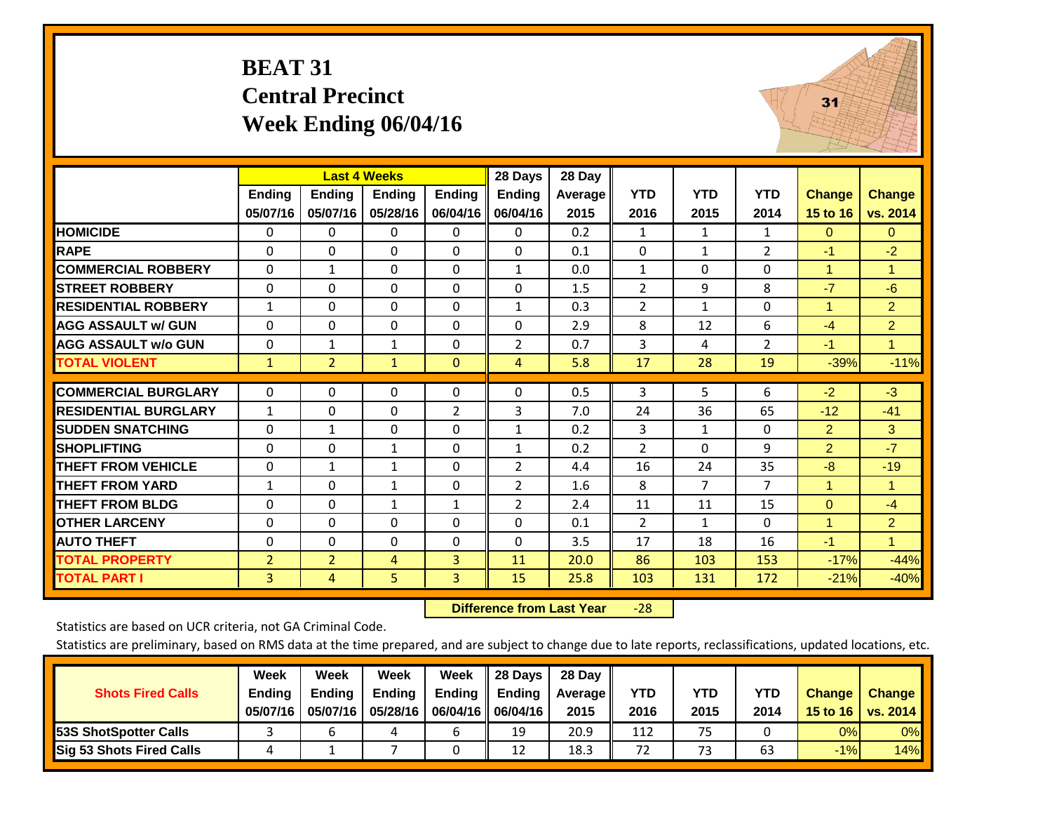# **BEAT 31 Central Precinct Week Ending 06/04/16**



|                             |                           |                           | <b>Last 4 Weeks</b>       |                           | 28 Days                   | 28 Day          |                    |                    |                    |                    |                           |
|-----------------------------|---------------------------|---------------------------|---------------------------|---------------------------|---------------------------|-----------------|--------------------|--------------------|--------------------|--------------------|---------------------------|
|                             | <b>Endina</b><br>05/07/16 | <b>Ending</b><br>05/07/16 | <b>Ending</b><br>05/28/16 | <b>Endina</b><br>06/04/16 | <b>Ending</b><br>06/04/16 | Average<br>2015 | <b>YTD</b><br>2016 | <b>YTD</b><br>2015 | <b>YTD</b><br>2014 | Change<br>15 to 16 | <b>Change</b><br>vs. 2014 |
| <b>HOMICIDE</b>             | 0                         | 0                         | 0                         | $\Omega$                  | 0                         | 0.2             | 1                  | $\mathbf{1}$       | 1                  | $\mathbf{0}$       | $\overline{0}$            |
| <b>RAPE</b>                 | $\Omega$                  | 0                         | 0                         | $\mathbf{0}$              | $\Omega$                  | 0.1             | 0                  | $\mathbf{1}$       | 2                  | $-1$               | $-2$                      |
| <b>COMMERCIAL ROBBERY</b>   | $\mathbf{0}$              | $\mathbf{1}$              | $\Omega$                  | $\Omega$                  | $\mathbf{1}$              | 0.0             | $\mathbf{1}$       | $\Omega$           | 0                  | 1                  | $\blacktriangleleft$      |
| <b>STREET ROBBERY</b>       | 0                         | $\Omega$                  | $\Omega$                  | $\mathbf{0}$              | $\Omega$                  | 1.5             | $\overline{2}$     | 9                  | 8                  | $-7$               | $-6$                      |
| <b>RESIDENTIAL ROBBERY</b>  | $\mathbf{1}$              | $\Omega$                  | 0                         | $\Omega$                  | $\mathbf{1}$              | 0.3             | $\overline{2}$     | $\mathbf{1}$       | 0                  | 1                  | $\overline{2}$            |
| <b>AGG ASSAULT w/ GUN</b>   | $\mathbf{0}$              | 0                         | $\Omega$                  | $\Omega$                  | $\Omega$                  | 2.9             | 8                  | 12                 | 6                  | $-4$               | $\overline{2}$            |
| <b>AGG ASSAULT w/o GUN</b>  | 0                         | 1                         | 1                         | $\mathbf 0$               | $\overline{2}$            | 0.7             | 3                  | 4                  | $\overline{2}$     | $-1$               | $\mathbf{1}$              |
| <b>TOTAL VIOLENT</b>        | $\mathbf{1}$              | $\overline{2}$            | $\mathbf{1}$              | $\mathbf{0}$              | $\overline{4}$            | 5.8             | 17                 | 28                 | 19                 | $-39%$             | $-11%$                    |
| <b>COMMERCIAL BURGLARY</b>  | $\mathbf{0}$              | $\Omega$                  | 0                         | $\mathbf{0}$              | $\Omega$                  | 0.5             | 3                  | 5                  | 6                  | $-2$               | $-3$                      |
|                             |                           |                           |                           |                           |                           |                 |                    |                    |                    |                    |                           |
| <b>RESIDENTIAL BURGLARY</b> | 1                         | 0                         | 0                         | $\overline{2}$            | 3                         | 7.0             | 24                 | 36                 | 65                 | $-12$              | $-41$                     |
| <b>SUDDEN SNATCHING</b>     | $\Omega$                  | $\mathbf{1}$              | 0                         | $\mathbf{0}$              | $\mathbf{1}$              | 0.2             | 3                  | 1                  | 0                  | $\overline{2}$     | 3                         |
| <b>SHOPLIFTING</b>          | 0                         | $\Omega$                  | 1                         | $\mathbf{0}$              | $\mathbf{1}$              | 0.2             | $\overline{2}$     | $\Omega$           | 9                  | $\overline{2}$     | $-7$                      |
| <b>THEFT FROM VEHICLE</b>   | $\Omega$                  | $\mathbf{1}$              | $\mathbf{1}$              | $\Omega$                  | 2                         | 4.4             | 16                 | 24                 | 35                 | $-8$               | $-19$                     |
| <b>THEFT FROM YARD</b>      | $\mathbf{1}$              | $\Omega$                  | 1                         | $\mathbf 0$               | 2                         | 1.6             | 8                  | 7                  | 7                  | 1                  | -1                        |
| <b>THEFT FROM BLDG</b>      | $\Omega$                  | $\Omega$                  | $\mathbf{1}$              | $\mathbf{1}$              | 2                         | 2.4             | 11                 | 11                 | 15                 | $\Omega$           | $-4$                      |
| <b>OTHER LARCENY</b>        | $\Omega$                  | $\Omega$                  | $\Omega$                  | $\mathbf{0}$              | $\Omega$                  | 0.1             | $\overline{2}$     | $\mathbf{1}$       | 0                  | 1                  | $\overline{2}$            |
| <b>AUTO THEFT</b>           | 0                         | $\Omega$                  | $\Omega$                  | $\Omega$                  | $\Omega$                  | 3.5             | 17                 | 18                 | 16                 | $-1$               | $\blacktriangleleft$      |
| <b>TOTAL PROPERTY</b>       | $\overline{2}$            | $\overline{2}$            | 4                         | 3                         | 11                        | 20.0            | 86                 | 103                | 153                | $-17%$             | $-44%$                    |
| <b>TOTAL PART I</b>         | 3                         | 4                         | 5                         | 3                         | 15                        | 25.8            | 103                | 131                | 172                | $-21%$             | $-40%$                    |

 **Difference from Last Year**‐28

Statistics are based on UCR criteria, not GA Criminal Code.

|                                 | Week          | Week          | <b>Week</b>   | Week          | 28 Days       | 28 Dav     |            |      |            |               |                     |
|---------------------------------|---------------|---------------|---------------|---------------|---------------|------------|------------|------|------------|---------------|---------------------|
| <b>Shots Fired Calls</b>        | <b>Ending</b> | <b>Endina</b> | <b>Ending</b> | <b>Ending</b> | <b>Ending</b> | Average II | <b>YTD</b> | YTD  | <b>YTD</b> | <b>Change</b> | <b>Change</b>       |
|                                 | 05/07/16      | 05/07/16      | 05/28/16      |               |               | 2015       | 2016       | 2015 | 2014       |               | 15 to 16   vs. 2014 |
| 53S ShotSpotter Calls           |               |               |               |               | 19            | 20.9       | 112        | 75   |            | 0%            | $0\%$               |
| <b>Sig 53 Shots Fired Calls</b> | 4             |               |               |               | 12            | 18.3       | 72         | 73   | 63         | $-1%$         | 14%                 |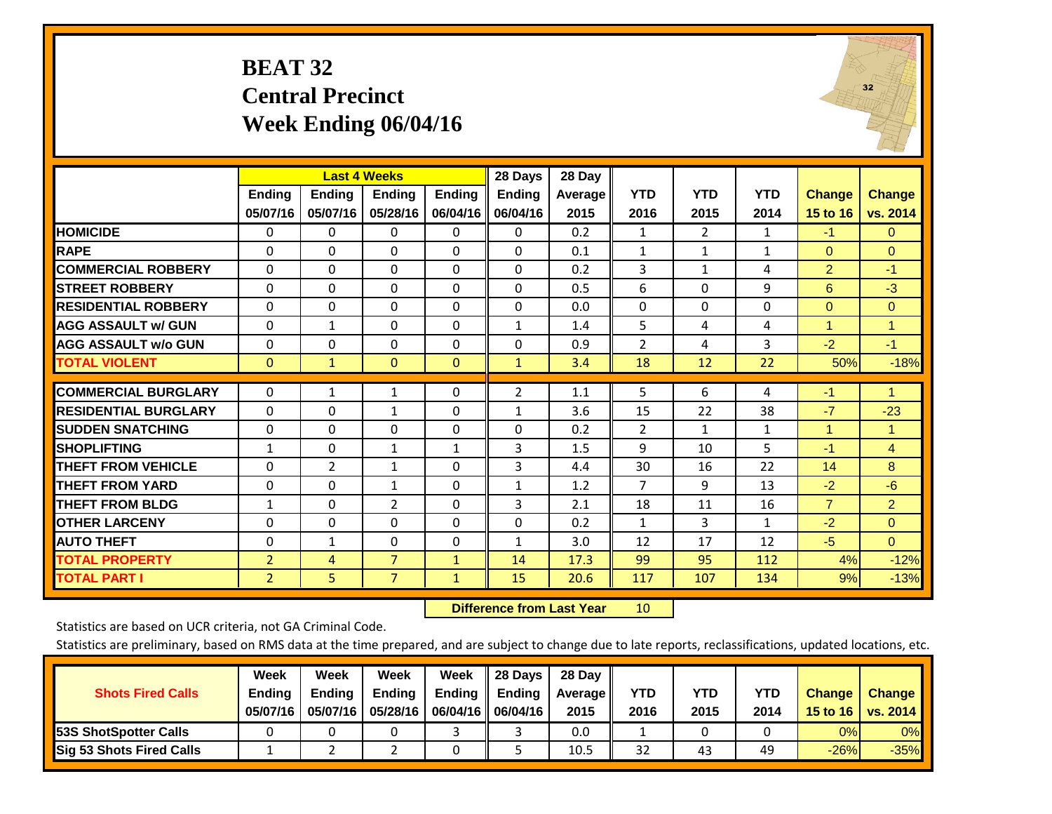# **BEAT 32 Central Precinct Week Ending 06/04/16**



|                             |                |               | <b>Last 4 Weeks</b> |               | 28 Days       | 28 Day  |                |                |              |                |                      |
|-----------------------------|----------------|---------------|---------------------|---------------|---------------|---------|----------------|----------------|--------------|----------------|----------------------|
|                             | <b>Ending</b>  | <b>Ending</b> | <b>Endina</b>       | <b>Ending</b> | <b>Ending</b> | Average | <b>YTD</b>     | <b>YTD</b>     | <b>YTD</b>   | <b>Change</b>  | <b>Change</b>        |
|                             | 05/07/16       | 05/07/16      | 05/28/16            | 06/04/16      | 06/04/16      | 2015    | 2016           | 2015           | 2014         | 15 to 16       | vs. 2014             |
| <b>HOMICIDE</b>             | 0              | 0             | 0                   | 0             | 0             | 0.2     | 1              | $\overline{2}$ | 1            | $-1$           | $\overline{0}$       |
| <b>RAPE</b>                 | $\Omega$       | $\Omega$      | $\Omega$            | $\mathbf{0}$  | $\Omega$      | 0.1     | $\mathbf{1}$   | $\mathbf{1}$   | 1            | $\mathbf{0}$   | $\Omega$             |
| <b>COMMERCIAL ROBBERY</b>   | $\Omega$       | $\Omega$      | $\Omega$            | $\Omega$      | $\Omega$      | 0.2     | 3              | $\mathbf{1}$   | 4            | $\overline{2}$ | $-1$                 |
| <b>STREET ROBBERY</b>       | $\mathbf 0$    | 0             | 0                   | $\mathbf{0}$  | $\Omega$      | 0.5     | 6              | $\Omega$       | 9            | 6              | $-3$                 |
| <b>RESIDENTIAL ROBBERY</b>  | $\Omega$       | 0             | 0                   | $\mathbf{0}$  | $\Omega$      | 0.0     | 0              | 0              | 0            | $\Omega$       | $\Omega$             |
| <b>AGG ASSAULT w/ GUN</b>   | $\mathbf{0}$   | $\mathbf{1}$  | 0                   | $\mathbf{0}$  | $\mathbf{1}$  | 1.4     | 5              | 4              | 4            | 1              | $\overline{1}$       |
| <b>AGG ASSAULT w/o GUN</b>  | 0              | $\Omega$      | $\Omega$            | $\Omega$      | $\Omega$      | 0.9     | $\overline{2}$ | 4              | 3            | $-2$           | $-1$                 |
| <b>TOTAL VIOLENT</b>        | $\mathbf{0}$   | $\mathbf{1}$  | $\mathbf{0}$        | $\mathbf{0}$  | $\mathbf{1}$  | 3.4     | 18             | 12             | 22           | 50%            | $-18%$               |
|                             |                |               |                     |               |               |         |                |                |              |                |                      |
| <b>COMMERCIAL BURGLARY</b>  | $\mathbf{0}$   | 1             | 1                   | $\Omega$      | 2             | 1.1     | 5              | 6              | 4            | $-1$           | $\blacktriangleleft$ |
| <b>RESIDENTIAL BURGLARY</b> | $\Omega$       | 0             | $\mathbf{1}$        | $\mathbf{0}$  | $\mathbf{1}$  | 3.6     | 15             | 22             | 38           | $-7$           | $-23$                |
| <b>SUDDEN SNATCHING</b>     | $\Omega$       | $\Omega$      | $\Omega$            | $\mathbf{0}$  | $\Omega$      | 0.2     | $\overline{2}$ | $\mathbf{1}$   | $\mathbf{1}$ | 1              | -1                   |
| <b>SHOPLIFTING</b>          | $\mathbf{1}$   | $\Omega$      | $\mathbf{1}$        | $\mathbf{1}$  | 3             | 1.5     | 9              | 10             | 5            | $-1$           | $\overline{4}$       |
| <b>THEFT FROM VEHICLE</b>   | 0              | 2             | 1                   | $\mathbf{0}$  | 3             | 4.4     | 30             | 16             | 22           | 14             | 8                    |
| <b>THEFT FROM YARD</b>      | 0              | 0             | $\mathbf{1}$        | $\mathbf{0}$  | $\mathbf{1}$  | 1.2     | $\overline{7}$ | 9              | 13           | $-2$           | $-6$                 |
| <b>THEFT FROM BLDG</b>      | $\mathbf{1}$   | $\Omega$      | $\overline{2}$      | $\Omega$      | 3             | 2.1     | 18             | 11             | 16           | $\overline{7}$ | $\overline{2}$       |
| <b>OTHER LARCENY</b>        | 0              | $\Omega$      | $\Omega$            | $\mathbf{0}$  | $\Omega$      | 0.2     | $\mathbf{1}$   | 3              | $\mathbf{1}$ | $-2$           | $\Omega$             |
| <b>AUTO THEFT</b>           | $\mathbf{0}$   | $\mathbf{1}$  | 0                   | $\mathbf{0}$  | $\mathbf{1}$  | 3.0     | 12             | 17             | 12           | $-5$           | $\overline{0}$       |
| <b>TOTAL PROPERTY</b>       | $\overline{2}$ | 4             | $\overline{7}$      | $\mathbf{1}$  | 14            | 17.3    | 99             | 95             | 112          | 4%             | $-12%$               |
| TOTAL PART I                | $\overline{2}$ | 5.            | $\overline{7}$      | $\mathbf{1}$  | 15            | 20.6    | 117            | 107            | 134          | 9%             | $-13%$               |

 **Difference from Last Year**r 10

Statistics are based on UCR criteria, not GA Criminal Code.

| <b>Shots Fired Calls</b>        | Week<br><b>Ending</b><br>05/07/16 | Week<br><b>Ending</b><br>05/07/16 | <b>Week</b><br><b>Ending</b><br>05/28/16 | Week<br>Ending | 28 Days<br><b>Ending</b><br>06/04/16   06/04/16 | 28 Dav<br>Average II<br>2015 | YTD<br>2016 | YTD<br>2015 | <b>YTD</b><br>2014 | <b>Change</b><br>15 to 16 | <b>Change</b><br>vs. 2014 |
|---------------------------------|-----------------------------------|-----------------------------------|------------------------------------------|----------------|-------------------------------------------------|------------------------------|-------------|-------------|--------------------|---------------------------|---------------------------|
| <b>53S ShotSpotter Calls</b>    |                                   |                                   |                                          |                |                                                 | 0.0                          |             |             |                    | 0%                        | $0\%$                     |
| <b>Sig 53 Shots Fired Calls</b> |                                   |                                   |                                          |                |                                                 | 10.5                         | 32          | 43          | 49                 | $-26%$                    | $-35%$                    |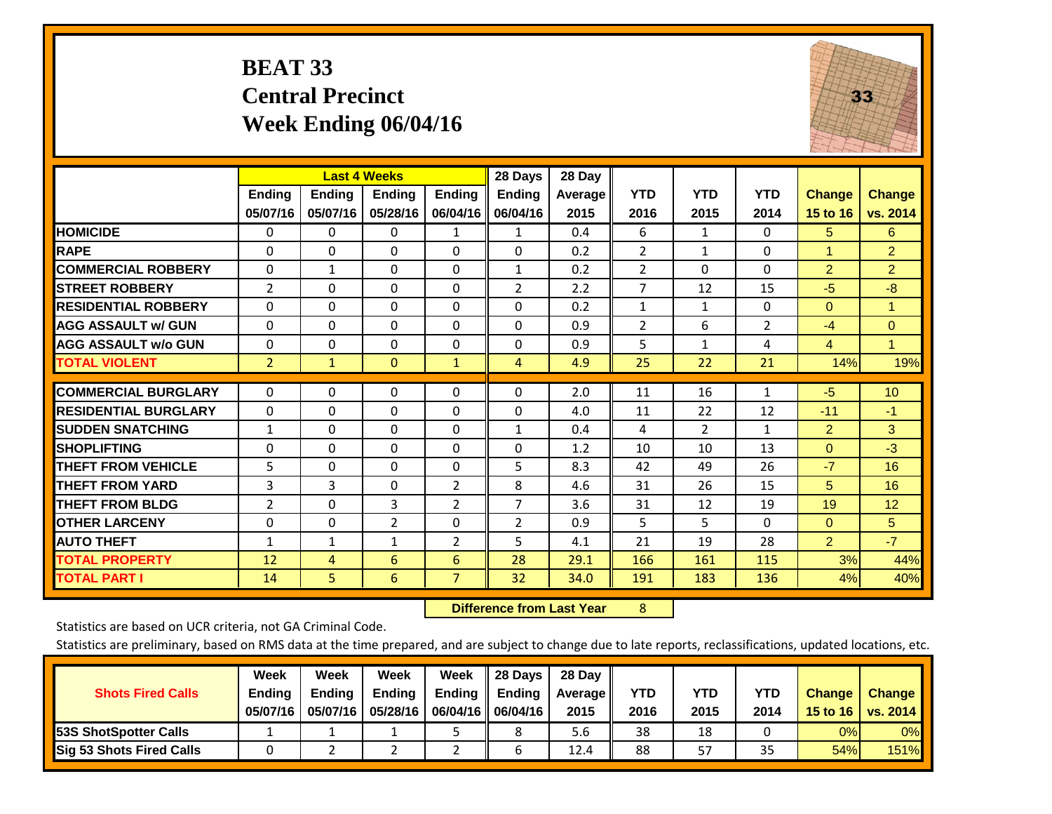# **BEAT 33 Central Precinct Week Ending 06/04/16**



|                             |                | <b>Last 4 Weeks</b> |                |               | 28 Days        | 28 Day  |                |              |                |                |                      |
|-----------------------------|----------------|---------------------|----------------|---------------|----------------|---------|----------------|--------------|----------------|----------------|----------------------|
|                             | <b>Ending</b>  | <b>Ending</b>       | Ending         | <b>Endina</b> | Ending         | Average | <b>YTD</b>     | <b>YTD</b>   | <b>YTD</b>     | <b>Change</b>  | <b>Change</b>        |
|                             | 05/07/16       | 05/07/16            | 05/28/16       | 06/04/16      | 06/04/16       | 2015    | 2016           | 2015         | 2014           | 15 to 16       | vs. 2014             |
| <b>HOMICIDE</b>             | 0              | $\mathbf{0}$        | $\Omega$       | 1             | 1              | 0.4     | 6              | $\mathbf{1}$ | 0              | 5              | 6                    |
| <b>RAPE</b>                 | 0              | 0                   | $\Omega$       | $\mathbf{0}$  | $\Omega$       | 0.2     | $\overline{2}$ | 1            | 0              | 1              | $\overline{2}$       |
| <b>COMMERCIAL ROBBERY</b>   | $\Omega$       | $\mathbf{1}$        | $\Omega$       | $\Omega$      | $\mathbf{1}$   | 0.2     | $\overline{2}$ | $\mathbf{0}$ | 0              | 2              | $\overline{2}$       |
| <b>STREET ROBBERY</b>       | $\overline{2}$ | $\Omega$            | $\Omega$       | 0             | 2              | 2.2     | $\overline{7}$ | 12           | 15             | $-5$           | $-8$                 |
| <b>RESIDENTIAL ROBBERY</b>  | $\Omega$       | 0                   | $\Omega$       | $\Omega$      | $\Omega$       | 0.2     | $\mathbf{1}$   | $\mathbf{1}$ | 0              | $\mathbf{0}$   | $\blacktriangleleft$ |
| <b>AGG ASSAULT w/ GUN</b>   | $\Omega$       | $\Omega$            | $\Omega$       | $\mathbf{0}$  | $\Omega$       | 0.9     | $\overline{2}$ | 6            | $\overline{2}$ | $-4$           | $\Omega$             |
| <b>AGG ASSAULT w/o GUN</b>  | $\Omega$       | 0                   | $\Omega$       | $\Omega$      | $\Omega$       | 0.9     | 5              | $\mathbf{1}$ | 4              | $\overline{4}$ | $\blacksquare$       |
| <b>TOTAL VIOLENT</b>        | $\overline{2}$ | $\mathbf{1}$        | $\mathbf{0}$   | $\mathbf{1}$  | 4              | 4.9     | 25             | 22           | 21             | 14%            | 19%                  |
| <b>COMMERCIAL BURGLARY</b>  | $\Omega$       | 0                   | $\mathbf{0}$   | $\mathbf{0}$  | 0              | 2.0     | 11             | 16           | 1              | $-5$           | 10                   |
|                             |                |                     |                |               |                |         |                |              |                |                |                      |
| <b>RESIDENTIAL BURGLARY</b> | $\Omega$       | $\Omega$            | $\Omega$       | $\mathbf{0}$  | $\Omega$       | 4.0     | 11             | 22           | 12             | $-11$          | $-1$                 |
| <b>SUDDEN SNATCHING</b>     | $\mathbf{1}$   | 0                   | $\Omega$       | $\mathbf{0}$  | $\mathbf{1}$   | 0.4     | 4              | 2            | $\mathbf{1}$   | 2              | 3                    |
| <b>SHOPLIFTING</b>          | $\Omega$       | 0                   | $\Omega$       | $\Omega$      | $\Omega$       | 1.2     | 10             | 10           | 13             | $\mathbf{0}$   | $-3$                 |
| <b>THEFT FROM VEHICLE</b>   | 5              | 0                   | $\Omega$       | 0             | 5              | 8.3     | 42             | 49           | 26             | $-7$           | 16                   |
| <b>THEFT FROM YARD</b>      | 3              | 3                   | $\mathbf{0}$   | 2             | 8              | 4.6     | 31             | 26           | 15             | 5              | 16                   |
| <b>THEFT FROM BLDG</b>      | 2              | 0                   | 3              | 2             | 7              | 3.6     | 31             | 12           | 19             | 19             | 12                   |
| <b>OTHER LARCENY</b>        | $\Omega$       | 0                   | $\overline{2}$ | $\Omega$      | $\overline{2}$ | 0.9     | 5              | 5.           | 0              | $\mathbf{0}$   | 5                    |
| <b>AUTO THEFT</b>           | $\mathbf{1}$   | $\mathbf{1}$        | $\mathbf{1}$   | 2             | 5              | 4.1     | 21             | 19           | 28             | $\overline{2}$ | $-7$                 |
| <b>TOTAL PROPERTY</b>       | 12             | 4                   | 6              | 6             | 28             | 29.1    | 166            | 161          | 115            | 3%             | 44%                  |
| <b>TOTAL PART I</b>         | 14             | 5.                  | 6              | 7             | 32             | 34.0    | 191            | 183          | 136            | 4%             | 40%                  |

 **Difference from Last Year**r 8

Statistics are based on UCR criteria, not GA Criminal Code.

|                                 | Week          | Week          | Week          | Week | II 28 Davs                | 28 Day  |            |            |      |               |               |
|---------------------------------|---------------|---------------|---------------|------|---------------------------|---------|------------|------------|------|---------------|---------------|
| <b>Shots Fired Calls</b>        | <b>Ending</b> | <b>Endina</b> | <b>Ending</b> |      | Ending $\parallel$ Ending | Average | <b>YTD</b> | <b>YTD</b> | YTD  | <b>Change</b> | <b>Change</b> |
|                                 | 05/07/16      | 05/07/16      | 05/28/16      |      | 06/04/16   06/04/16       | 2015    | 2016       | 2015       | 2014 | 15 to 16      | vs. 2014      |
| <b>153S ShotSpotter Calls</b>   |               |               |               |      |                           | 5.6     | 38         | 18         |      | 0%            | $0\%$         |
| <b>Sig 53 Shots Fired Calls</b> |               |               |               |      |                           | 12.4    | 88         | 57         | 35   | 54%           | <b>151%</b>   |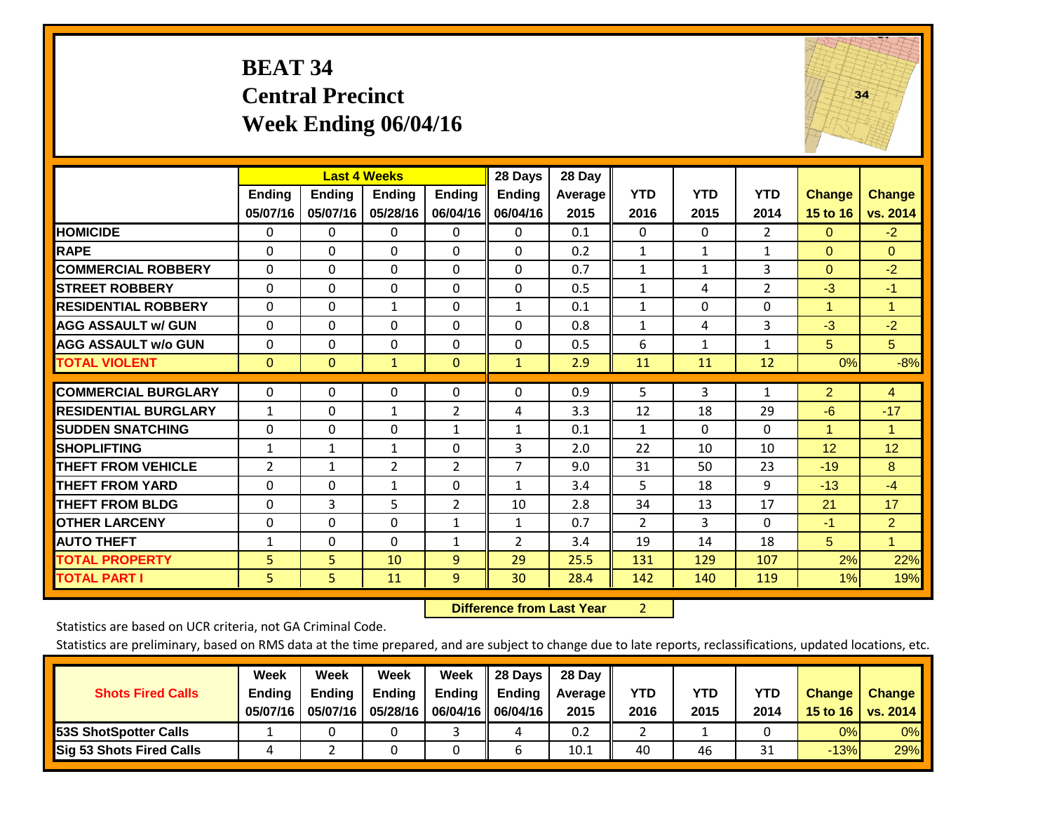# **BEAT 34 Central Precinct Week Ending 06/04/16**



|                             |                           | <b>Last 4 Weeks</b>       |                           |                           | 28 Days                   | 28 Day             |                    |                    |                    |                           |                      |
|-----------------------------|---------------------------|---------------------------|---------------------------|---------------------------|---------------------------|--------------------|--------------------|--------------------|--------------------|---------------------------|----------------------|
|                             | <b>Ending</b><br>05/07/16 | <b>Ending</b><br>05/07/16 | <b>Ending</b><br>05/28/16 | <b>Ending</b><br>06/04/16 | <b>Ending</b><br>06/04/16 | Average   <br>2015 | <b>YTD</b><br>2016 | <b>YTD</b><br>2015 | <b>YTD</b><br>2014 | <b>Change</b><br>15 to 16 | <b>Change</b>        |
|                             |                           |                           |                           |                           |                           |                    |                    |                    |                    |                           | vs. 2014             |
| <b>HOMICIDE</b>             | 0                         | 0                         | 0                         | 0                         | 0                         | 0.1                | $\mathbf{0}$       | $\Omega$           | $\overline{2}$     | $\Omega$                  | $-2$                 |
| <b>RAPE</b>                 | $\Omega$                  | $\Omega$                  | $\Omega$                  | 0                         | $\Omega$                  | 0.2                | $\mathbf{1}$       | $\mathbf{1}$       | $\mathbf{1}$       | $\Omega$                  | $\Omega$             |
| <b>COMMERCIAL ROBBERY</b>   | $\Omega$                  | $\Omega$                  | $\mathbf{0}$              | $\Omega$                  | $\Omega$                  | 0.7                | $\mathbf{1}$       | $\mathbf{1}$       | 3                  | $\Omega$                  | $-2$                 |
| <b>STREET ROBBERY</b>       | $\mathbf 0$               | $\Omega$                  | $\Omega$                  | $\Omega$                  | $\Omega$                  | 0.5                | $\mathbf{1}$       | 4                  | 2                  | $-3$                      | $-1$                 |
| <b>RESIDENTIAL ROBBERY</b>  | $\Omega$                  | $\Omega$                  | $\mathbf{1}$              | $\Omega$                  | $\mathbf{1}$              | 0.1                | $\mathbf{1}$       | $\Omega$           | 0                  | $\mathbf{1}$              | $\blacktriangleleft$ |
| <b>AGG ASSAULT w/ GUN</b>   | $\Omega$                  | $\Omega$                  | $\Omega$                  | $\Omega$                  | 0                         | 0.8                | $\mathbf{1}$       | 4                  | 3                  | $-3$                      | $-2$                 |
| <b>AGG ASSAULT w/o GUN</b>  | $\mathbf 0$               | $\Omega$                  | $\Omega$                  | $\Omega$                  | $\Omega$                  | 0.5                | 6                  | $\mathbf{1}$       | $\mathbf{1}$       | 5                         | 5 <sup>5</sup>       |
| <b>TOTAL VIOLENT</b>        | $\mathbf{0}$              | $\mathbf{0}$              | $\mathbf{1}$              | $\mathbf{0}$              | $\mathbf{1}$              | 2.9                | 11                 | 11                 | 12                 | 0%                        | $-8%$                |
|                             |                           |                           |                           |                           |                           |                    |                    |                    |                    |                           |                      |
| <b>COMMERCIAL BURGLARY</b>  | $\Omega$                  | $\Omega$                  | $\Omega$                  | $\Omega$                  | 0                         | 0.9                | 5                  | 3                  | 1                  | $\overline{2}$            | $\overline{4}$       |
| <b>RESIDENTIAL BURGLARY</b> | $\mathbf{1}$              | $\Omega$                  | 1                         | $\overline{2}$            | 4                         | 3.3                | 12                 | 18                 | 29                 | $-6$                      | $-17$                |
| <b>SUDDEN SNATCHING</b>     | $\Omega$                  | $\Omega$                  | $\Omega$                  | $\mathbf{1}$              | 1                         | 0.1                | $\mathbf{1}$       | $\Omega$           | $\Omega$           | 1                         | 1                    |
| <b>SHOPLIFTING</b>          | 1                         | 1                         | $\mathbf{1}$              | 0                         | 3                         | 2.0                | 22                 | 10                 | 10                 | 12                        | 12                   |
| <b>THEFT FROM VEHICLE</b>   | 2                         | $\mathbf{1}$              | $\overline{2}$            | $\overline{2}$            | $\overline{7}$            | 9.0                | 31                 | 50                 | 23                 | $-19$                     | 8                    |
| <b>THEFT FROM YARD</b>      | $\Omega$                  | $\Omega$                  | $\mathbf{1}$              | $\Omega$                  | $\mathbf{1}$              | 3.4                | 5                  | 18                 | 9                  | $-13$                     | $-4$                 |
| <b>THEFT FROM BLDG</b>      | 0                         | 3                         | 5                         | $\overline{2}$            | 10                        | 2.8                | 34                 | 13                 | 17                 | 21                        | 17                   |
| <b>OTHER LARCENY</b>        | $\Omega$                  | $\Omega$                  | $\Omega$                  | $\mathbf{1}$              | $\mathbf{1}$              | 0.7                | $\overline{2}$     | 3                  | $\Omega$           | $-1$                      | $\overline{2}$       |
| <b>AUTO THEFT</b>           | $\mathbf{1}$              | $\Omega$                  | $\Omega$                  | 1                         | $\overline{2}$            | 3.4                | 19                 | 14                 | 18                 | 5                         | $\mathbf{1}$         |
| <b>TOTAL PROPERTY</b>       | 5                         | 5                         | 10                        | $\overline{9}$            | 29                        | 25.5               | 131                | 129                | 107                | 2%                        | 22%                  |
| <b>TOTAL PART I</b>         | 5                         | 5.                        | 11                        | 9                         | 30                        | 28.4               | 142                | 140                | 119                | $1\%$                     | 19%                  |

 **Difference from Last Year**r 2

Statistics are based on UCR criteria, not GA Criminal Code.

| <b>Shots Fired Calls</b>        | Week<br><b>Ending</b><br>05/07/16 | Week<br><b>Endina</b><br>05/07/16 | <b>Week</b><br>Ending<br>05/28/16 | Week<br>Ending | 28 Days<br><b>Ending</b><br>06/04/16   06/04/16 | 28 Day<br>Average II<br>2015 | YTD<br>2016 | YTD<br>2015 | <b>YTD</b><br>2014 | <b>Change</b><br>15 to 16 | <b>Change</b><br>vs. 2014 |
|---------------------------------|-----------------------------------|-----------------------------------|-----------------------------------|----------------|-------------------------------------------------|------------------------------|-------------|-------------|--------------------|---------------------------|---------------------------|
| <b>153S ShotSpotter Calls</b>   |                                   |                                   |                                   |                | 4                                               | 0.2                          |             |             |                    | 0%                        | 0%                        |
| <b>Sig 53 Shots Fired Calls</b> |                                   |                                   |                                   |                |                                                 | 10.1                         | 40          | 46          | <b>n</b><br>⊥ر     | $-13%$                    | 29%                       |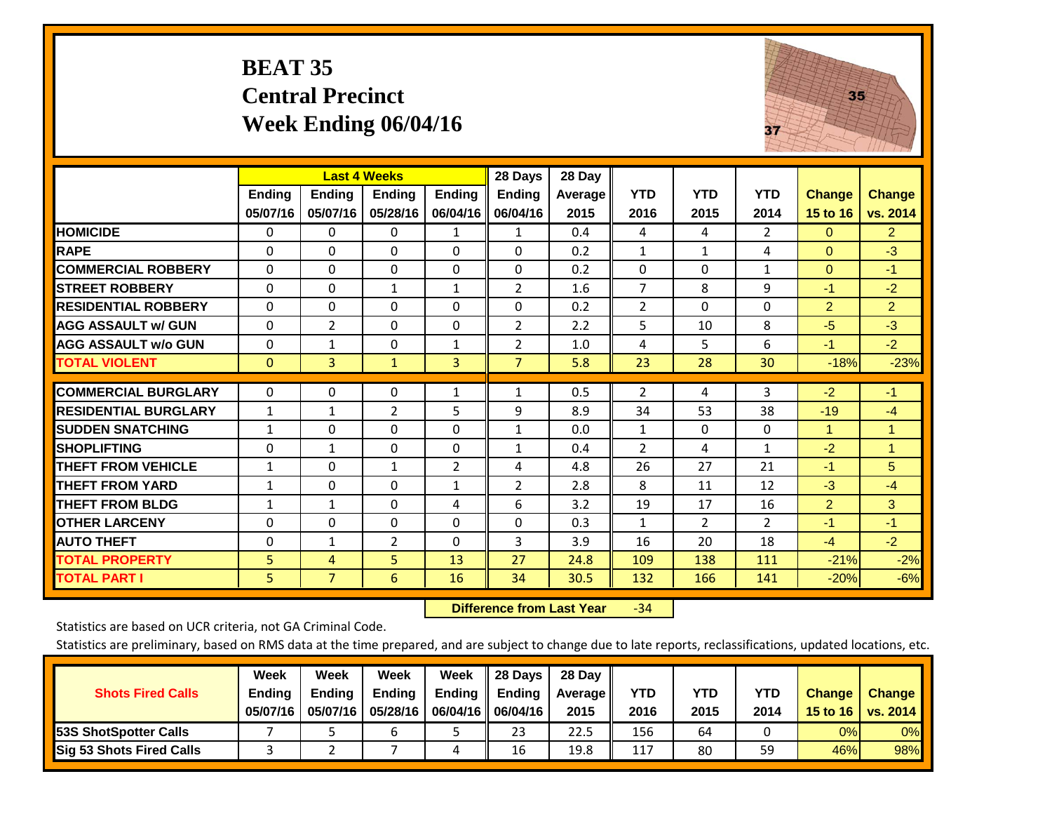# **BEAT 35 Central Precinct Week Ending 06/04/16**



|                             |                           | <b>Last 4 Weeks</b>       |                           |                           | 28 Days                   | 28 Day             |                    |                    |                    |                           |                           |
|-----------------------------|---------------------------|---------------------------|---------------------------|---------------------------|---------------------------|--------------------|--------------------|--------------------|--------------------|---------------------------|---------------------------|
|                             | <b>Ending</b><br>05/07/16 | <b>Ending</b><br>05/07/16 | <b>Endina</b><br>05/28/16 | <b>Ending</b><br>06/04/16 | <b>Ending</b><br>06/04/16 | Average   <br>2015 | <b>YTD</b><br>2016 | <b>YTD</b><br>2015 | <b>YTD</b><br>2014 | <b>Change</b><br>15 to 16 | <b>Change</b><br>vs. 2014 |
| <b>HOMICIDE</b>             | 0                         | 0                         | $\mathbf{0}$              | 1                         | 1                         | 0.4                | 4                  | 4                  | $\overline{2}$     | $\mathbf{0}$              | $\overline{2}$            |
| <b>RAPE</b>                 | 0                         | $\Omega$                  | $\Omega$                  | $\mathbf{0}$              | $\Omega$                  | 0.2                | $\mathbf{1}$       | 1                  | 4                  | $\Omega$                  | $-3$                      |
| <b>COMMERCIAL ROBBERY</b>   | $\Omega$                  | 0                         | $\Omega$                  | $\Omega$                  | $\Omega$                  | 0.2                | $\Omega$           | $\mathbf{0}$       | $\mathbf{1}$       | $\mathbf{0}$              | $-1$                      |
| <b>STREET ROBBERY</b>       | 0                         | 0                         | 1                         | 1                         | 2                         | 1.6                | $\overline{7}$     | 8                  | 9                  | -1                        | $-2$                      |
| <b>IRESIDENTIAL ROBBERY</b> | $\Omega$                  | $\Omega$                  | $\mathbf{0}$              | $\Omega$                  | $\Omega$                  | 0.2                | $\overline{2}$     | $\mathbf{0}$       | 0                  | $\overline{2}$            | $\overline{2}$            |
| <b>AGG ASSAULT w/ GUN</b>   | $\Omega$                  | $\overline{2}$            | $\Omega$                  | $\mathbf{0}$              | $\overline{2}$            | 2.2                | 5                  | 10                 | 8                  | $-5$                      | $-3$                      |
| <b>AGG ASSAULT w/o GUN</b>  | $\Omega$                  | 1                         | $\mathbf{0}$              | 1                         | $\overline{2}$            | 1.0                | 4                  | 5.                 | 6                  | $-1$                      | $-2$                      |
| <b>TOTAL VIOLENT</b>        | $\mathbf{0}$              | 3                         | $\mathbf{1}$              | 3                         | $\overline{7}$            | 5.8                | 23                 | 28                 | 30                 | $-18%$                    | $-23%$                    |
| <b>COMMERCIAL BURGLARY</b>  | $\Omega$                  | 0                         | $\Omega$                  | 1                         | $\mathbf{1}$              | 0.5                | $\overline{2}$     | 4                  | 3                  | $-2$                      | $-1$                      |
| <b>RESIDENTIAL BURGLARY</b> | 1                         | $\mathbf{1}$              | $\overline{2}$            | 5                         | 9                         | 8.9                | 34                 | 53                 | 38                 | $-19$                     | $-4$                      |
| <b>SUDDEN SNATCHING</b>     | 1                         | 0                         | $\mathbf{0}$              | $\mathbf{0}$              | 1                         | 0.0                | $\mathbf{1}$       | $\Omega$           | 0                  | 1                         | 1                         |
| <b>SHOPLIFTING</b>          | 0                         | 1                         | $\Omega$                  | 0                         | 1                         | 0.4                | $\overline{2}$     | 4                  | 1                  | $-2$                      | $\blacktriangleleft$      |
| <b>THEFT FROM VEHICLE</b>   | $\mathbf{1}$              | $\Omega$                  | $\mathbf{1}$              | 2                         | 4                         | 4.8                | 26                 | 27                 | 21                 | $-1$                      | 5                         |
| <b>THEFT FROM YARD</b>      | $\mathbf{1}$              | $\Omega$                  | $\Omega$                  | $\mathbf{1}$              | 2                         | 2.8                | 8                  | 11                 | 12                 | $-3$                      | $-4$                      |
| <b>THEFT FROM BLDG</b>      | 1                         | 1                         | $\Omega$                  | 4                         | 6                         | 3.2                | 19                 | 17                 | 16                 | $\overline{2}$            | 3                         |
| <b>OTHER LARCENY</b>        | 0                         | 0                         | $\mathbf{0}$              | $\mathbf{0}$              | $\Omega$                  | 0.3                | $\mathbf{1}$       | $\overline{2}$     | $\overline{2}$     | $-1$                      | $-1$                      |
| <b>AUTO THEFT</b>           | $\Omega$                  | $\mathbf{1}$              | $\overline{2}$            | $\Omega$                  | 3                         | 3.9                | 16                 | 20                 | 18                 | $-4$                      | $-2$                      |
| <b>TOTAL PROPERTY</b>       | 5                         | 4                         | 5                         | 13                        | 27                        | 24.8               | 109                | 138                | 111                | $-21%$                    | $-2%$                     |
| <b>TOTAL PART I</b>         | 5                         | $\overline{7}$            | 6                         | 16                        | 34                        | 30.5               | 132                | 166                | 141                | $-20%$                    | $-6%$                     |

 **Difference from Last Year**r -34

Statistics are based on UCR criteria, not GA Criminal Code.

| <b>Shots Fired Calls</b>        | Week<br><b>Ending</b><br>05/07/16 | Week<br><b>Endina</b><br>05/07/16 | <b>Week</b><br>Ending<br>05/28/16 | Week<br>Ending | 28 Days<br><b>Ending</b><br>06/04/16   06/04/16 | 28 Day<br>Average II<br>2015 | YTD<br>2016 | YTD<br>2015 | <b>YTD</b><br>2014 | <b>Change</b><br>15 to 16 | <b>Change</b><br>vs. 2014 |
|---------------------------------|-----------------------------------|-----------------------------------|-----------------------------------|----------------|-------------------------------------------------|------------------------------|-------------|-------------|--------------------|---------------------------|---------------------------|
| <b>153S ShotSpotter Calls</b>   |                                   |                                   | h                                 |                | 23                                              | 22.5                         | 156         | 64          |                    | 0%                        | 0%                        |
| <b>Sig 53 Shots Fired Calls</b> |                                   |                                   |                                   |                | 16                                              | 19.8                         | 117         | 80          | 59                 | 46%l                      | 98%                       |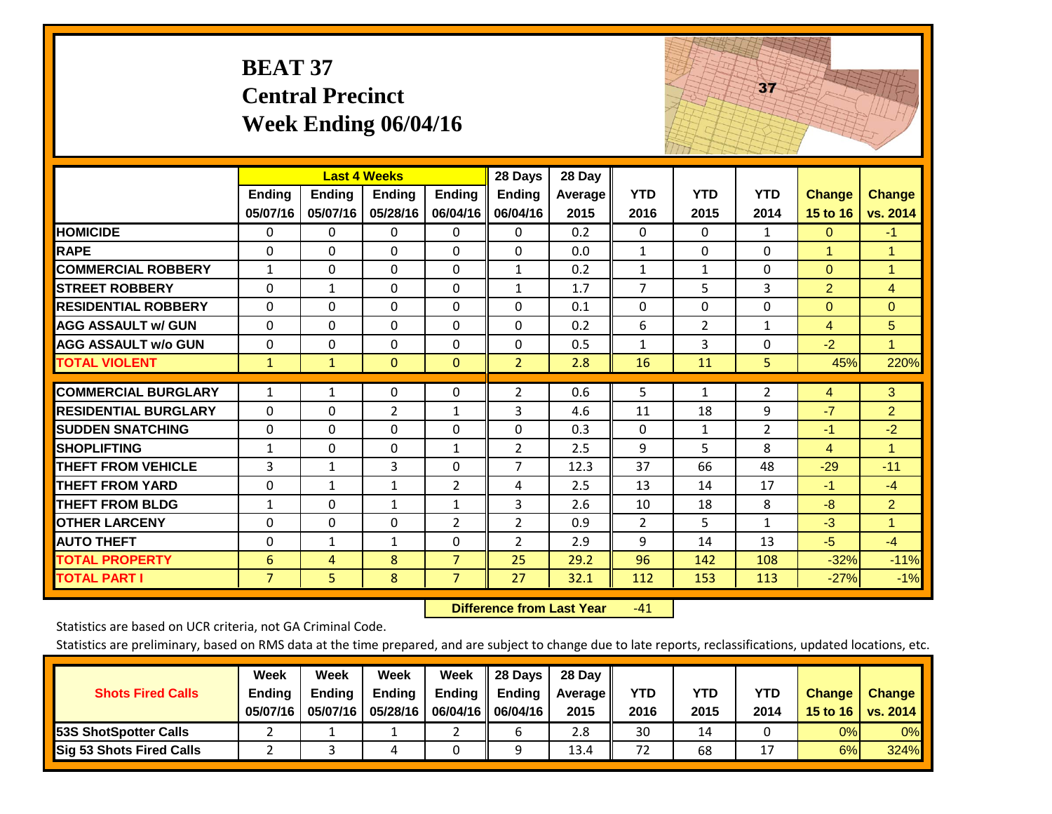|                             | <b>BEAT 37</b>            | <b>Central Precinct</b>   | Week Ending 06/04/16                      |                           |                                      |                           |                    |                    | 37                 |                           |                           |
|-----------------------------|---------------------------|---------------------------|-------------------------------------------|---------------------------|--------------------------------------|---------------------------|--------------------|--------------------|--------------------|---------------------------|---------------------------|
|                             | <b>Ending</b><br>05/07/16 | <b>Ending</b><br>05/07/16 | <b>Last 4 Weeks</b><br>Ending<br>05/28/16 | <b>Ending</b><br>06/04/16 | 28 Days<br><b>Ending</b><br>06/04/16 | 28 Day<br>Average<br>2015 | <b>YTD</b><br>2016 | <b>YTD</b><br>2015 | <b>YTD</b><br>2014 | <b>Change</b><br>15 to 16 | <b>Change</b><br>vs. 2014 |
| <b>HOMICIDE</b>             | 0                         | 0                         | $\mathbf 0$                               | 0                         | 0                                    | 0.2                       | $\Omega$           | 0                  | $\mathbf{1}$       | $\mathbf{0}$              | $-1$                      |
| <b>RAPE</b>                 | $\Omega$                  | $\Omega$                  | $\overline{0}$                            | $\Omega$                  | $\Omega$                             | 0.0                       | $\mathbf{1}$       | $\Omega$           | $\Omega$           | $\mathbf{1}$              | $\mathbf{1}$              |
| <b>COMMERCIAL ROBBERY</b>   | $\mathbf{1}$              | $\Omega$                  | $\Omega$                                  | $\Omega$                  | $\mathbf{1}$                         | 0.2                       | $\mathbf{1}$       | $\mathbf{1}$       | $\Omega$           | $\Omega$                  | 1                         |
| <b>STREET ROBBERY</b>       | $\Omega$                  | $\mathbf{1}$              | $\Omega$                                  | $\Omega$                  | $\mathbf{1}$                         | 1.7                       | $\overline{7}$     | 5                  | 3                  | $\overline{2}$            | $\overline{4}$            |
| <b>RESIDENTIAL ROBBERY</b>  | $\Omega$                  | $\Omega$                  | $\Omega$                                  | $\Omega$                  | $\Omega$                             | 0.1                       | $\mathbf{0}$       | $\Omega$           | $\Omega$           | $\mathbf{0}$              | $\overline{0}$            |
| <b>AGG ASSAULT w/ GUN</b>   | $\mathbf{0}$              | $\Omega$                  | $\Omega$                                  | $\Omega$                  | 0                                    | 0.2                       | 6                  | $\overline{2}$     | $\mathbf{1}$       | 4                         | 5                         |
| <b>AGG ASSAULT w/o GUN</b>  | $\Omega$                  | $\Omega$                  | $\Omega$                                  | 0                         | $\Omega$                             | 0.5                       | $\mathbf{1}$       | 3                  | $\Omega$           | $-2$                      | $\mathbf{1}$              |
| <b>TOTAL VIOLENT</b>        | $\mathbf{1}$              | $\mathbf{1}$              | $\mathbf{0}$                              | $\Omega$                  | $\overline{2}$                       | 2.8                       | 16                 | 11                 | 5                  | 45%                       | 220%                      |
| <b>COMMERCIAL BURGLARY</b>  | $\mathbf{1}$              | 1                         | $\mathbf{0}$                              | 0                         | 2                                    | 0.6                       | 5                  | 1                  | $\overline{2}$     | 4                         | 3                         |
| <b>RESIDENTIAL BURGLARY</b> | $\Omega$                  | $\Omega$                  | $\overline{2}$                            | $\mathbf{1}$              | 3                                    | 4.6                       | 11                 | 18                 | 9                  | $-7$                      | $\overline{2}$            |
| <b>SUDDEN SNATCHING</b>     | $\Omega$                  | $\Omega$                  | $\Omega$                                  | 0                         | $\Omega$                             | 0.3                       | $\mathbf{0}$       | $\mathbf{1}$       | $\overline{2}$     | $-1$                      | $-2$                      |
| <b>SHOPLIFTING</b>          | $\mathbf{1}$              | 0                         | $\mathbf 0$                               | $\mathbf{1}$              | $\overline{2}$                       | 2.5                       | 9                  | 5                  | 8                  | $\overline{4}$            | $\mathbf{1}$              |
| <b>THEFT FROM VEHICLE</b>   | 3                         | $\mathbf{1}$              | 3                                         | 0                         | $\overline{7}$                       | 12.3                      | 37                 | 66                 | 48                 | $-29$                     | $-11$                     |
| <b>THEFT FROM YARD</b>      | 0                         | $\mathbf{1}$              | $\mathbf{1}$                              | $\overline{2}$            | 4                                    | 2.5                       | 13                 | 14                 | 17                 | $-1$                      | $-4$                      |
| <b>THEFT FROM BLDG</b>      | $\mathbf{1}$              | $\Omega$                  | $\mathbf{1}$                              | $\mathbf{1}$              | 3                                    | 2.6                       | 10                 | 18                 | 8                  | $-8$                      | $\overline{2}$            |
| <b>OTHER LARCENY</b>        | $\Omega$                  | $\Omega$                  | $\Omega$                                  | $\overline{2}$            | $\overline{2}$                       | 0.9                       | $\overline{2}$     | 5                  | $\mathbf{1}$       | $-3$                      | $\mathbf{1}$              |
| <b>AUTO THEFT</b>           | 0                         | $\mathbf{1}$              | $\mathbf{1}$                              | $\Omega$                  | $\overline{2}$                       | 2.9                       | 9                  | 14                 | 13                 | $-5$                      | $-4$                      |
| <b>TOTAL PROPERTY</b>       | 6                         | $\overline{4}$            | 8                                         | $\overline{7}$            | 25                                   | 29.2                      | 96                 | 142                | 108                | $-32%$                    | $-11%$                    |
| <b>TOTAL PART I</b>         | $\overline{7}$            | 5 <sup>1</sup>            | 8                                         | $\overline{7}$            | 27                                   | 32.1                      | 112                | 153                | 113                | $-27%$                    | $-1%$                     |

 **Difference from Last Year**r -41 The state of the state of the state

Statistics are based on UCR criteria, not GA Criminal Code.

| <b>Shots Fired Calls</b>        | Week<br><b>Ending</b><br>05/07/16 | Week<br><b>Endina</b><br>05/07/16 | <b>Week</b><br>Ending<br>05/28/16 | Week<br>Ending | 28 Days<br><b>Ending</b><br>06/04/16   06/04/16 | 28 Day<br>Average II<br>2015 | YTD<br>2016 | YTD<br>2015 | <b>YTD</b><br>2014 | <b>Change</b><br>15 to 16 | <b>Change</b><br>vs. 2014 |
|---------------------------------|-----------------------------------|-----------------------------------|-----------------------------------|----------------|-------------------------------------------------|------------------------------|-------------|-------------|--------------------|---------------------------|---------------------------|
| <b>153S ShotSpotter Calls</b>   |                                   |                                   |                                   |                |                                                 | 2.8                          | 30          | 14          |                    | 0%                        | 0%                        |
| <b>Sig 53 Shots Fired Calls</b> |                                   |                                   |                                   |                |                                                 | 13.4                         | 72          | 68          |                    | 6%                        | 324%                      |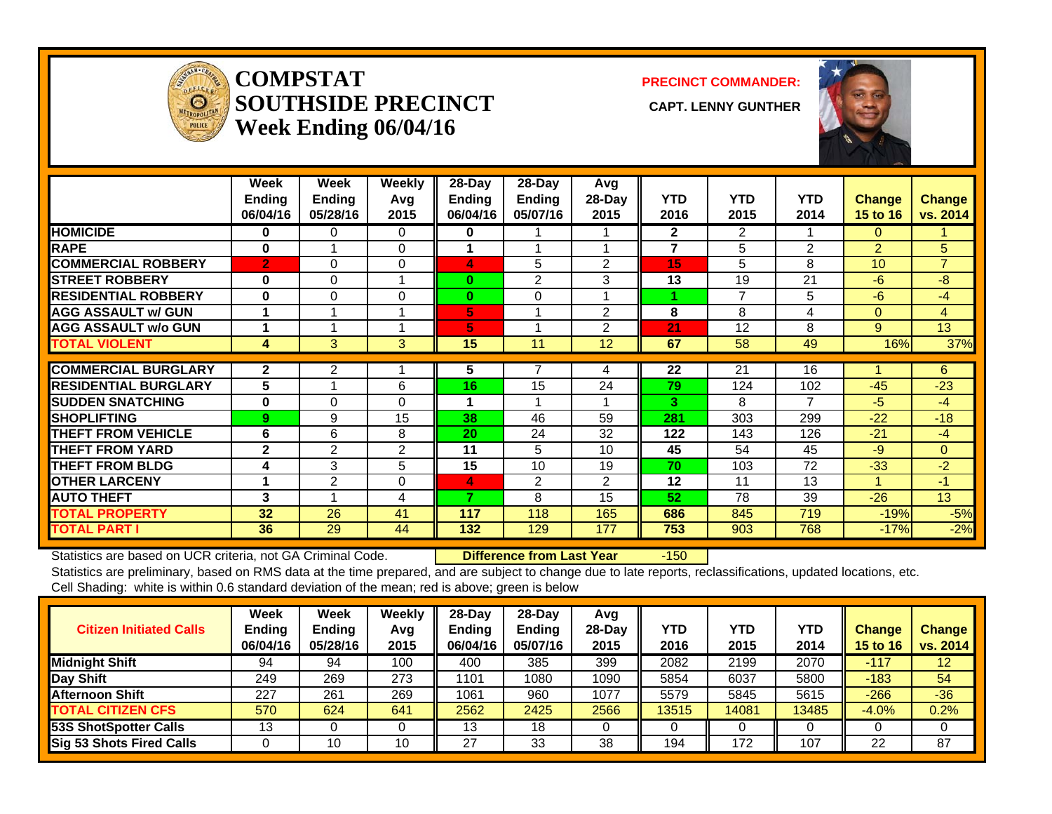

#### **COMPSTATSOUTHSIDE PRECINCT** CAPT. LENNY GUNTHER **Week Ending 06/04/16**

**PRECINCT COMMANDER:**



|                             | Week<br><b>Ending</b><br>06/04/16 | Week<br><b>Ending</b><br>05/28/16 | Weekly<br>Avq<br>2015 | $28$ -Day<br><b>Ending</b><br>06/04/16 | $28 - Day$<br><b>Ending</b><br>05/07/16 | Avg<br>28-Day<br>2015 | <b>YTD</b><br>2016 | <b>YTD</b><br>2015 | <b>YTD</b><br>2014 | <b>Change</b><br><b>15 to 16</b> | <b>Change</b><br>vs. 2014 |
|-----------------------------|-----------------------------------|-----------------------------------|-----------------------|----------------------------------------|-----------------------------------------|-----------------------|--------------------|--------------------|--------------------|----------------------------------|---------------------------|
| <b>HOMICIDE</b>             | 0                                 | 0                                 | 0                     | 0                                      |                                         |                       | $\mathbf{2}$       | $\overline{2}$     | 1                  | 0                                |                           |
| <b>RAPE</b>                 | $\bf{0}$                          |                                   | 0                     |                                        |                                         |                       | 7                  | 5                  | 2                  | $\overline{2}$                   | 5                         |
| <b>COMMERCIAL ROBBERY</b>   | $\overline{2}$                    | $\Omega$                          | $\Omega$              | 4                                      | 5                                       | $\overline{2}$        | 15                 | 5                  | 8                  | 10                               | $\overline{7}$            |
| <b>ISTREET ROBBERY</b>      | $\bf{0}$                          | $\Omega$                          |                       | $\bf{0}$                               | $\overline{2}$                          | 3                     | 13                 | 19                 | 21                 | $-6$                             | $-8$                      |
| <b>RESIDENTIAL ROBBERY</b>  | $\bf{0}$                          | $\Omega$                          | 0                     | $\bf{0}$                               | 0                                       |                       |                    | 7                  | 5                  | $-6$                             | $-4$                      |
| <b>AGG ASSAULT w/ GUN</b>   |                                   |                                   |                       | 5                                      |                                         | 2                     | 8                  | 8                  | 4                  | 0                                | 4                         |
| <b>AGG ASSAULT w/o GUN</b>  |                                   |                                   |                       | 5                                      |                                         | 2                     | 21                 | 12                 | 8                  | 9                                | 13                        |
| <b>TOTAL VIOLENT</b>        | 4                                 | 3                                 | 3                     | 15                                     | 11                                      | 12                    | 67                 | 58                 | 49                 | 16%                              | 37%                       |
|                             |                                   |                                   |                       |                                        |                                         |                       |                    |                    |                    |                                  |                           |
| <b>COMMERCIAL BURGLARY</b>  | $\mathbf{2}$                      | 2                                 |                       | 5                                      |                                         | 4                     | 22                 | 21                 | 16                 |                                  | 6                         |
| <b>RESIDENTIAL BURGLARY</b> | 5                                 |                                   | 6                     | 16                                     | 15                                      | 24                    | 79                 | 124                | 102                | $-45$                            | $-23$                     |
| <b>ISUDDEN SNATCHING</b>    | $\bf{0}$                          | $\Omega$                          | $\Omega$              |                                        |                                         |                       | 3                  | 8                  | 7                  | $-5$                             | $-4$                      |
| <b>SHOPLIFTING</b>          | 9                                 | 9                                 | 15                    | 38                                     | 46                                      | 59                    | 281                | 303                | 299                | $-22$                            | $-18$                     |
| <b>THEFT FROM VEHICLE</b>   | 6                                 | 6                                 | 8                     | 20                                     | 24                                      | 32                    | 122                | 143                | 126                | $-21$                            | $-4$                      |
| <b>THEFT FROM YARD</b>      | $\mathbf{2}$                      | $\overline{2}$                    | $\overline{2}$        | 11                                     | 5                                       | 10                    | 45                 | 54                 | 45                 | $-9$                             | $\mathbf{0}$              |
| <b>THEFT FROM BLDG</b>      | 4                                 | 3                                 | 5                     | 15                                     | 10                                      | 19                    | 70                 | 103                | 72                 | $-33$                            | $-2$                      |
| <b>OTHER LARCENY</b>        |                                   | $\overline{2}$                    | 0                     | 4                                      | 2                                       | 2                     | 12                 | 11                 | 13                 | 4                                | $-1$                      |
| <b>AUTO THEFT</b>           | 3                                 |                                   | 4                     | 7                                      | 8                                       | 15                    | 52                 | 78                 | 39                 | $-26$                            | 13                        |
| <b>TOTAL PROPERTY</b>       | 32                                | 26                                | 41                    | 117                                    | 118                                     | 165                   | 686                | 845                | 719                | $-19%$                           | $-5%$                     |
| <b>TOTAL PART I</b>         | 36                                | 29                                | 44                    | 132                                    | 129                                     | 177                   | 753                | 903                | 768                | $-17%$                           | $-2%$                     |

Statistics are based on UCR criteria, not GA Criminal Code. **Difference from Last Year** -150 Statistics are preliminary, based on RMS data at the time prepared, and are subject to change due to late reports, reclassifications, updated locations, etc.

Cell Shading: white is within 0.6 standard deviation of the mean; red is above; green is below

| <b>Citizen Initiated Calls</b>  | Week<br>Ending<br>06/04/16 | <b>Week</b><br>Ending<br>05/28/16 | Weekly<br>Avg<br>2015 | 28-Day<br><b>Endina</b><br>06/04/16 | $28$ -Day<br><b>Ending</b><br>05/07/16 | Avg<br>28-Day<br>2015 | YTD<br>2016 | YTD<br>2015 | YTD<br>2014 | <b>Change</b><br>15 to 16 | <b>Change</b><br>vs. 2014 |
|---------------------------------|----------------------------|-----------------------------------|-----------------------|-------------------------------------|----------------------------------------|-----------------------|-------------|-------------|-------------|---------------------------|---------------------------|
| <b>Midnight Shift</b>           | 94                         | 94                                | 100                   | 400                                 | 385                                    | 399                   | 2082        | 2199        | 2070        | $-117$                    | 12 <sup>°</sup>           |
| Day Shift                       | 249                        | 269                               | 273                   | 1101                                | 1080                                   | 1090                  | 5854        | 6037        | 5800        | $-183$                    | 54                        |
| <b>Afternoon Shift</b>          | 227                        | 261                               | 269                   | 1061                                | 960                                    | 1077                  | 5579        | 5845        | 5615        | $-266$                    | $-36$                     |
| <b>TOTAL CITIZEN CFS</b>        | 570                        | 624                               | 641                   | 2562                                | 2425                                   | 2566                  | 13515       | 14081       | 13485       | $-4.0%$                   | 0.2%                      |
| 53S ShotSpotter Calls           | 13                         |                                   |                       | 13                                  | 18                                     |                       |             |             |             |                           |                           |
| <b>Sig 53 Shots Fired Calls</b> |                            | 10                                | 10                    | 27                                  | 33                                     | 38                    | 194         | 172         | 107         | 22                        | 87                        |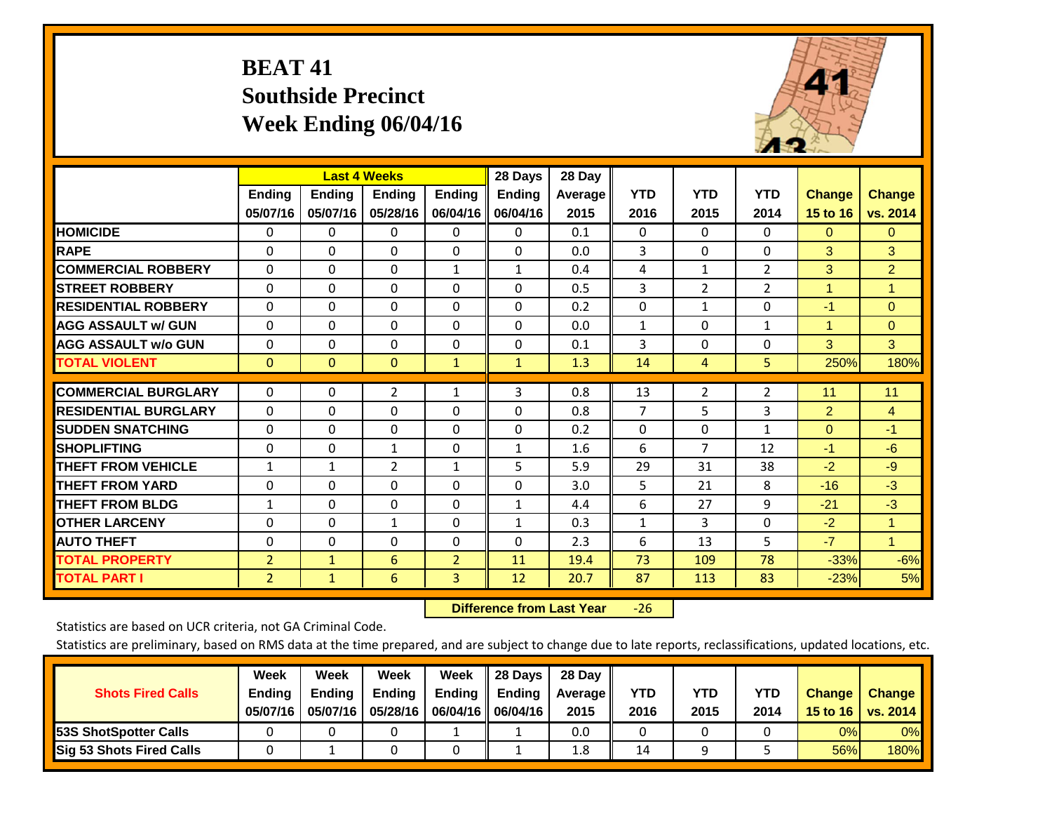# **BEAT 41 Southside Precinct Week Ending 06/04/16**



|                             |                | <b>Last 4 Weeks</b> |                |                | 28 Days       | 28 Day  |                |                |                |                      |                |
|-----------------------------|----------------|---------------------|----------------|----------------|---------------|---------|----------------|----------------|----------------|----------------------|----------------|
|                             | <b>Ending</b>  | <b>Ending</b>       | <b>Endina</b>  | <b>Ending</b>  | <b>Ending</b> | Average | <b>YTD</b>     | <b>YTD</b>     | <b>YTD</b>     | <b>Change</b>        | Change         |
|                             | 05/07/16       | 05/07/16            | 05/28/16       | 06/04/16       | 06/04/16      | 2015    | 2016           | 2015           | 2014           | 15 to 16             | vs. 2014       |
| <b>HOMICIDE</b>             | $\mathbf{0}$   | 0                   | $\Omega$       | $\mathbf{0}$   | 0             | 0.1     | $\mathbf{0}$   | $\Omega$       | 0              | $\Omega$             | 0              |
| <b>RAPE</b>                 | 0              | $\Omega$            | $\Omega$       | $\Omega$       | $\Omega$      | 0.0     | 3              | $\Omega$       | $\Omega$       | 3                    | 3              |
| <b>COMMERCIAL ROBBERY</b>   | $\Omega$       | 0                   | $\Omega$       | $\mathbf{1}$   | $\mathbf{1}$  | 0.4     | 4              | 1              | $\overline{2}$ | 3                    | $\overline{2}$ |
| <b>STREET ROBBERY</b>       | $\Omega$       | $\Omega$            | $\Omega$       | $\mathbf{0}$   | $\Omega$      | 0.5     | 3              | 2              | $\overline{2}$ | $\blacktriangleleft$ | $\mathbf{1}$   |
| <b>RESIDENTIAL ROBBERY</b>  | 0              | $\Omega$            | $\Omega$       | $\Omega$       | $\Omega$      | 0.2     | $\Omega$       | 1              | $\Omega$       | $-1$                 | $\Omega$       |
| <b>AGG ASSAULT w/ GUN</b>   | $\Omega$       | $\Omega$            | $\Omega$       | $\Omega$       | $\Omega$      | 0.0     | 1              | $\Omega$       | $\mathbf{1}$   | 1                    | $\Omega$       |
| <b>AGG ASSAULT w/o GUN</b>  | $\Omega$       | $\Omega$            | $\Omega$       | $\mathbf{0}$   | $\Omega$      | 0.1     | 3              | $\Omega$       | $\Omega$       | 3                    | 3              |
| <b>TOTAL VIOLENT</b>        | $\mathbf{0}$   | $\mathbf{0}$        | $\mathbf{0}$   | $\mathbf{1}$   | $\mathbf{1}$  | 1.3     | 14             | 4              | 5              | 250%                 | 180%           |
|                             |                |                     |                |                |               |         |                |                |                |                      |                |
| <b>COMMERCIAL BURGLARY</b>  | $\mathbf 0$    | 0                   | $\overline{2}$ | 1              | 3             | 0.8     | 13             | $\overline{2}$ | 2              | 11                   | 11             |
| <b>RESIDENTIAL BURGLARY</b> | $\Omega$       | $\Omega$            | $\Omega$       | $\Omega$       | $\Omega$      | 0.8     | $\overline{7}$ | 5              | 3              | $\overline{2}$       | $\overline{4}$ |
| <b>ISUDDEN SNATCHING</b>    | $\Omega$       | 0                   | $\Omega$       | $\Omega$       | $\Omega$      | 0.2     | $\mathbf{0}$   | $\Omega$       | $\mathbf{1}$   | $\mathbf{0}$         | $-1$           |
| <b>SHOPLIFTING</b>          | $\Omega$       | $\Omega$            | $\mathbf{1}$   | $\mathbf 0$    | $\mathbf{1}$  | 1.6     | 6              | 7              | 12             | $-1$                 | $-6$           |
| <b>THEFT FROM VEHICLE</b>   | $\mathbf{1}$   | $\mathbf{1}$        | $\overline{2}$ | $\mathbf{1}$   | 5             | 5.9     | 29             | 31             | 38             | $-2$                 | $-9$           |
| <b>THEFT FROM YARD</b>      | $\Omega$       | 0                   | $\Omega$       | $\mathbf{0}$   | $\Omega$      | 3.0     | 5              | 21             | 8              | $-16$                | $-3$           |
| <b>THEFT FROM BLDG</b>      | $\mathbf{1}$   | $\Omega$            | $\Omega$       | $\Omega$       | $\mathbf{1}$  | 4.4     | 6              | 27             | 9              | $-21$                | $-3$           |
| <b>OTHER LARCENY</b>        | $\mathbf 0$    | 0                   | $\mathbf{1}$   | $\mathbf 0$    | $\mathbf{1}$  | 0.3     | $\mathbf{1}$   | 3              | 0              | $-2$                 | $\mathbf{1}$   |
| <b>AUTO THEFT</b>           | $\Omega$       | $\Omega$            | $\Omega$       | $\Omega$       | $\Omega$      | 2.3     | 6              | 13             | 5              | $-7$                 | $\mathbf{1}$   |
| <b>TOTAL PROPERTY</b>       | $\overline{2}$ | $\mathbf{1}$        | 6              | $\overline{2}$ | 11            | 19.4    | 73             | 109            | 78             | $-33%$               | $-6%$          |
| <b>TOTAL PART I</b>         | $\overline{2}$ | $\mathbf{1}$        | 6              | 3              | 12            | 20.7    | 87             | 113            | 83             | $-23%$               | 5%             |

 **Difference from Last Year**‐26

Statistics are based on UCR criteria, not GA Criminal Code.

| <b>Shots Fired Calls</b>        | Week<br><b>Ending</b><br>05/07/16 | Week<br><b>Endina</b><br>05/07/16 | <b>Week</b><br>Ending<br>05/28/16 | Week<br>Ending | 28 Days<br><b>Ending</b><br>06/04/16   06/04/16 | 28 Day<br>Average II<br>2015 | YTD<br>2016 | YTD<br>2015 | <b>YTD</b><br>2014 | <b>Change</b><br>15 to 16 $\vert$ | <b>Change</b><br>vs. 2014 |
|---------------------------------|-----------------------------------|-----------------------------------|-----------------------------------|----------------|-------------------------------------------------|------------------------------|-------------|-------------|--------------------|-----------------------------------|---------------------------|
| 53S ShotSpotter Calls           |                                   |                                   |                                   |                |                                                 | 0.0                          |             |             |                    | 0%                                | 0%                        |
| <b>Sig 53 Shots Fired Calls</b> |                                   |                                   |                                   |                |                                                 | 1.8                          | 14          |             |                    | 56%                               | 180%                      |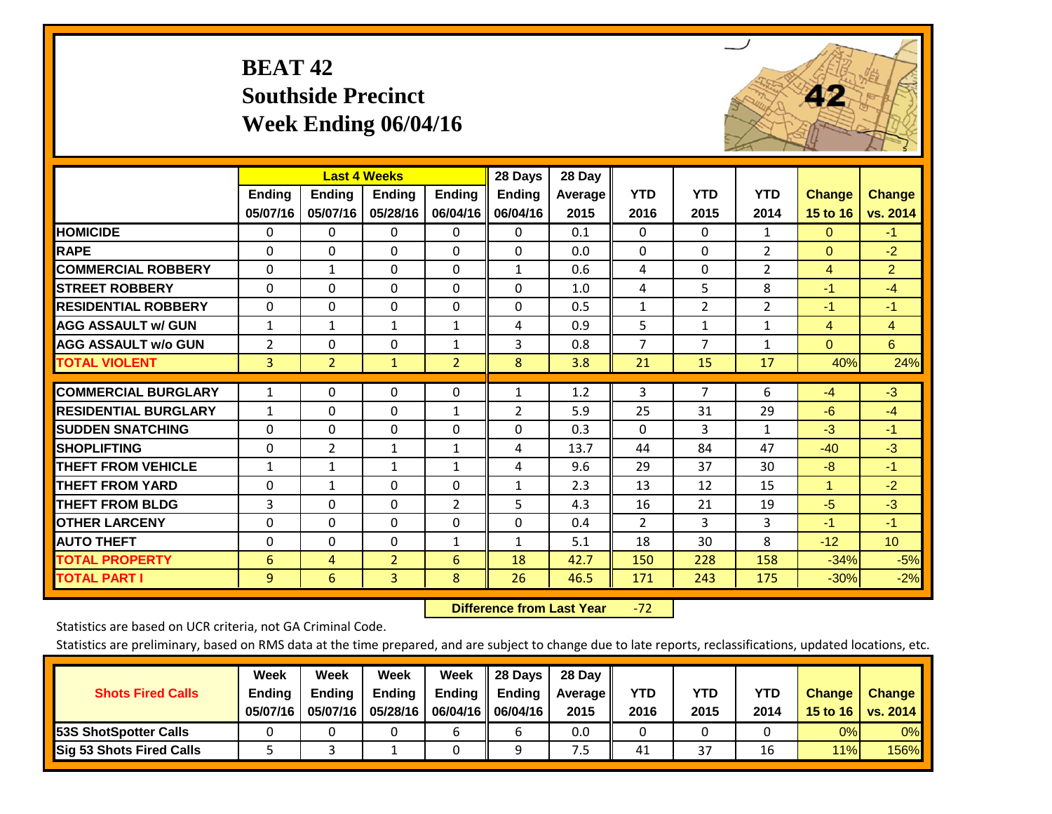# **BEAT 42 Southside Precinct Week Ending 06/04/16**



|                             |                | <b>Last 4 Weeks</b> |                |                | 28 Days        | 28 Day  |                |                |                |                |                 |
|-----------------------------|----------------|---------------------|----------------|----------------|----------------|---------|----------------|----------------|----------------|----------------|-----------------|
|                             | <b>Ending</b>  | <b>Ending</b>       | <b>Ending</b>  | <b>Ending</b>  | <b>Ending</b>  | Average | <b>YTD</b>     | <b>YTD</b>     | <b>YTD</b>     | <b>Change</b>  | <b>Change</b>   |
|                             | 05/07/16       | 05/07/16            | 05/28/16       | 06/04/16       | 06/04/16       | 2015    | 2016           | 2015           | 2014           | 15 to 16       | vs. 2014        |
| <b>HOMICIDE</b>             | $\mathbf{0}$   | 0                   | 0              | 0              | $\Omega$       | 0.1     | $\Omega$       | $\Omega$       | $\mathbf{1}$   | $\mathbf{0}$   | $-1$            |
| <b>RAPE</b>                 | $\Omega$       | $\Omega$            | $\Omega$       | $\Omega$       | $\Omega$       | 0.0     | $\Omega$       | $\Omega$       | $\overline{2}$ | $\Omega$       | $-2$            |
| <b>COMMERCIAL ROBBERY</b>   | $\Omega$       | $\mathbf{1}$        | $\Omega$       | $\Omega$       | $\mathbf{1}$   | 0.6     | 4              | $\Omega$       | $\overline{2}$ | 4              | $\overline{2}$  |
| <b>ISTREET ROBBERY</b>      | $\Omega$       | $\Omega$            | $\Omega$       | $\Omega$       | $\Omega$       | 1.0     | 4              | 5              | 8              | $-1$           | $-4$            |
| <b>RESIDENTIAL ROBBERY</b>  | $\Omega$       | $\Omega$            | $\Omega$       | $\Omega$       | $\Omega$       | 0.5     | $\mathbf{1}$   | $\overline{2}$ | $\overline{2}$ | $-1$           | $-1$            |
| <b>AGG ASSAULT w/ GUN</b>   | $\mathbf{1}$   | 1                   | 1              | $\mathbf{1}$   | 4              | 0.9     | 5              | $\mathbf{1}$   | 1              | $\overline{4}$ | $\overline{4}$  |
| <b>AGG ASSAULT w/o GUN</b>  | $\overline{2}$ | $\Omega$            | $\Omega$       | $\mathbf{1}$   | 3              | 0.8     | $\overline{7}$ | 7              | 1              | $\Omega$       | 6               |
| <b>TOTAL VIOLENT</b>        | 3              | $\overline{2}$      | $\mathbf{1}$   | $\overline{2}$ | 8              | 3.8     | 21             | 15             | 17             | 40%            | 24%             |
| <b>COMMERCIAL BURGLARY</b>  | $\mathbf{1}$   | $\Omega$            | $\Omega$       | $\Omega$       | $\mathbf{1}$   | 1.2     | 3              | $\overline{7}$ | 6              | $-4$           | $-3$            |
| <b>RESIDENTIAL BURGLARY</b> | $\mathbf{1}$   | $\Omega$            | $\Omega$       | $\mathbf{1}$   | $\overline{2}$ | 5.9     | 25             | 31             | 29             | $-6$           | $-4$            |
| <b>ISUDDEN SNATCHING</b>    | $\Omega$       | $\Omega$            | $\Omega$       | $\Omega$       | $\Omega$       | 0.3     | $\mathbf{0}$   | 3              | $\mathbf{1}$   | $-3$           | $-1$            |
| <b>SHOPLIFTING</b>          | $\Omega$       | 2                   | $\mathbf 1$    | $\mathbf{1}$   | 4              | 13.7    | 44             | 84             | 47             | $-40$          | $-3$            |
| <b>THEFT FROM VEHICLE</b>   | $\mathbf{1}$   | 1                   | $\mathbf{1}$   | $\mathbf{1}$   | 4              | 9.6     | 29             | 37             | 30             | $-8$           | $-1$            |
| <b>THEFT FROM YARD</b>      | $\Omega$       | $\mathbf{1}$        | $\Omega$       | $\Omega$       | $\mathbf{1}$   | 2.3     | 13             | 12             | 15             | $\mathbf{1}$   | $-2$            |
| <b>THEFT FROM BLDG</b>      | 3              | $\Omega$            | $\Omega$       | $\overline{2}$ | 5              | 4.3     | 16             | 21             | 19             | $-5$           | $-3$            |
| <b>OTHER LARCENY</b>        | $\Omega$       | $\Omega$            | $\Omega$       | $\Omega$       | $\Omega$       | 0.4     | $\overline{2}$ | 3              | 3              | $-1$           | $-1$            |
|                             |                | $\Omega$            | $\Omega$       |                |                |         | 18             | 30             | 8              | $-12$          | 10 <sub>1</sub> |
| <b>AUTO THEFT</b>           | 0              |                     |                | 1              | $\mathbf{1}$   | 5.1     |                |                |                |                |                 |
| <b>TOTAL PROPERTY</b>       | 6              | 4                   | $\overline{2}$ | 6              | 18             | 42.7    | 150            | 228            | 158            | $-34%$         | $-5%$           |
| <b>TOTAL PART I</b>         | $\overline{9}$ | 6                   | $\overline{3}$ | 8              | 26             | 46.5    | 171            | 243            | 175            | $-30%$         | $-2%$           |

 **Difference from Last Year**‐72

Statistics are based on UCR criteria, not GA Criminal Code.

| <b>Shots Fired Calls</b>        | Week<br><b>Ending</b><br>05/07/16 | Week<br><b>Endina</b><br>05/07/16 | Week<br>Ending<br>05/28/16 | Week<br>Ending | 28 Days<br><b>Ending</b><br>06/04/16   06/04/16 | 28 Day<br>Average II<br>2015 | YTD<br>2016 | YTD<br>2015 | <b>YTD</b><br>2014 | <b>Change</b><br>15 to 16 | <b>Change</b><br>vs. 2014 |
|---------------------------------|-----------------------------------|-----------------------------------|----------------------------|----------------|-------------------------------------------------|------------------------------|-------------|-------------|--------------------|---------------------------|---------------------------|
| <b>153S ShotSpotter Calls</b>   |                                   |                                   |                            |                |                                                 | 0.0                          |             |             |                    | 0%                        | 0%                        |
| <b>Sig 53 Shots Fired Calls</b> |                                   |                                   |                            |                |                                                 | ט.                           | 41          | 37          |                    | 11%                       | 156%                      |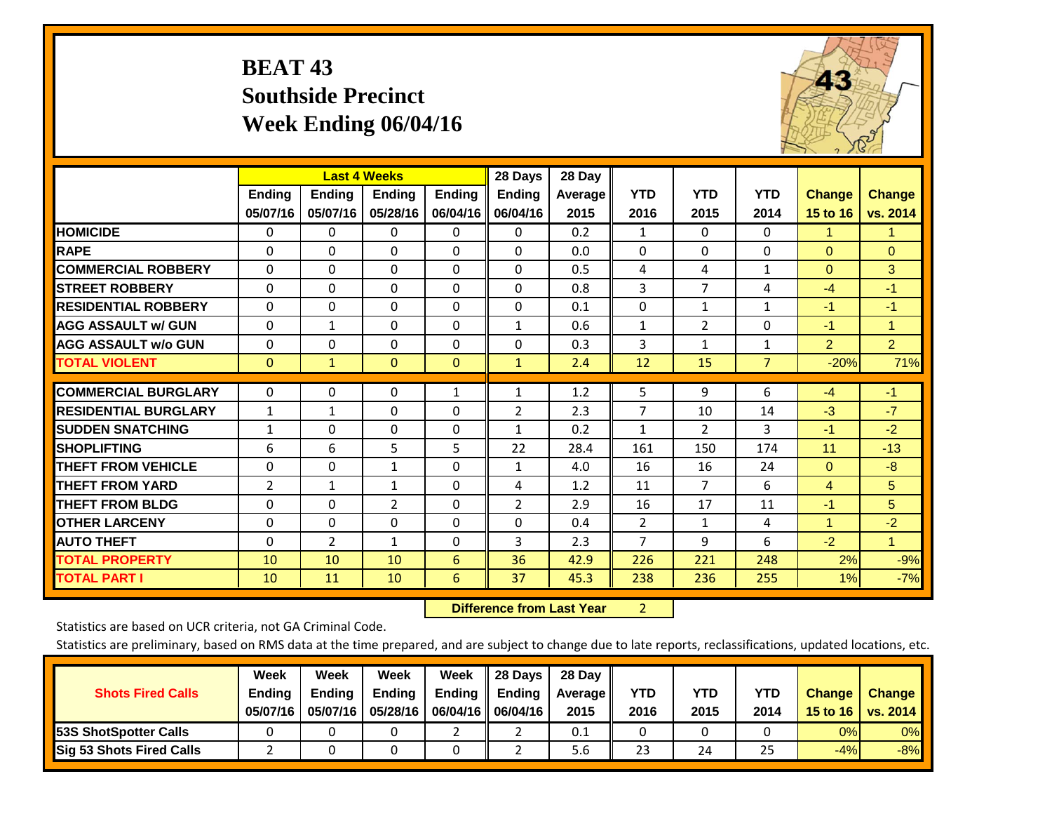# **BEAT 43 Southside Precinct Week Ending 06/04/16**



|                             |                |               | <b>Last 4 Weeks</b> |               | 28 Days        | 28 Day  |                |                |              |                |                |
|-----------------------------|----------------|---------------|---------------------|---------------|----------------|---------|----------------|----------------|--------------|----------------|----------------|
|                             | <b>Ending</b>  | <b>Ending</b> | <b>Ending</b>       | <b>Endina</b> | <b>Ending</b>  | Average | <b>YTD</b>     | <b>YTD</b>     | <b>YTD</b>   | <b>Change</b>  | <b>Change</b>  |
|                             | 05/07/16       | 05/07/16      | 05/28/16            | 06/04/16      | 06/04/16       | 2015    | 2016           | 2015           | 2014         | 15 to 16       | vs. 2014       |
| <b>HOMICIDE</b>             | 0              | 0             | 0                   | 0             | 0              | 0.2     | $\mathbf{1}$   | $\Omega$       | $\Omega$     | 1.             | 1.             |
| <b>RAPE</b>                 | $\Omega$       | 0             | $\Omega$            | 0             | $\Omega$       | 0.0     | 0              | 0              | $\Omega$     | $\Omega$       | $\Omega$       |
| <b>COMMERCIAL ROBBERY</b>   | $\Omega$       | 0             | $\Omega$            | $\Omega$      | $\Omega$       | 0.5     | 4              | 4              | $\mathbf{1}$ | $\Omega$       | 3              |
| <b>STREET ROBBERY</b>       | 0              | $\Omega$      | 0                   | $\Omega$      | $\Omega$       | 0.8     | 3              | $\overline{7}$ | 4            | $-4$           | $-1$           |
| <b>RESIDENTIAL ROBBERY</b>  | $\Omega$       | $\Omega$      | $\mathbf{0}$        | $\Omega$      | $\Omega$       | 0.1     | $\mathbf{0}$   | $\mathbf{1}$   | $\mathbf{1}$ | $-1$           | $-1$           |
| <b>AGG ASSAULT w/ GUN</b>   | $\Omega$       | 1             | $\Omega$            | $\Omega$      | $\mathbf{1}$   | 0.6     | $\mathbf{1}$   | $\overline{2}$ | $\Omega$     | $-1$           | $\mathbf{1}$   |
| <b>AGG ASSAULT w/o GUN</b>  | $\Omega$       | 0             | $\mathbf{0}$        | $\Omega$      | $\Omega$       | 0.3     | 3              | $\mathbf{1}$   | $\mathbf{1}$ | $\overline{2}$ | $\overline{2}$ |
| <b>TOTAL VIOLENT</b>        | $\mathbf 0$    | $\mathbf{1}$  | $\mathbf{0}$        | $\mathbf{0}$  | $\mathbf{1}$   | 2.4     | 12             | 15             | 7            | $-20%$         | 71%            |
|                             |                |               |                     |               |                |         |                |                |              |                |                |
| <b>COMMERCIAL BURGLARY</b>  | 0              | $\Omega$      | 0                   | 1             | 1              | 1.2     | 5              | 9              | 6            | $-4$           | $-1$           |
| <b>RESIDENTIAL BURGLARY</b> | $\mathbf{1}$   | 1             | $\mathbf{0}$        | $\Omega$      | $\overline{2}$ | 2.3     | 7              | 10             | 14           | $-3$           | $-7$           |
| <b>ISUDDEN SNATCHING</b>    | $\mathbf{1}$   | 0             | $\mathbf{0}$        | $\Omega$      | $\mathbf{1}$   | 0.2     | $\mathbf{1}$   | $\overline{2}$ | 3            | $-1$           | $-2$           |
| <b>SHOPLIFTING</b>          | 6              | 6             | 5                   | 5             | 22             | 28.4    | 161            | 150            | 174          | 11             | $-13$          |
| <b>THEFT FROM VEHICLE</b>   | $\Omega$       | $\Omega$      | 1                   | $\Omega$      | $\mathbf{1}$   | 4.0     | 16             | 16             | 24           | $\Omega$       | $-8$           |
| <b>THEFT FROM YARD</b>      | $\overline{2}$ | $\mathbf{1}$  | 1                   | $\Omega$      | 4              | 1.2     | 11             | $\overline{7}$ | 6            | $\overline{4}$ | 5              |
| <b>THEFT FROM BLDG</b>      | 0              | $\Omega$      | 2                   | $\Omega$      | 2              | 2.9     | 16             | 17             | 11           | $-1$           | 5              |
| <b>OTHER LARCENY</b>        | $\Omega$       | $\Omega$      | $\Omega$            | $\Omega$      | $\Omega$       | 0.4     | $\overline{2}$ | 1              | 4            | 1              | $-2$           |
| <b>AUTO THEFT</b>           | $\Omega$       | 2             | $\mathbf{1}$        | $\Omega$      | 3              | 2.3     | $\overline{7}$ | 9              | 6            | $-2$           | $\mathbf{1}$   |
| <b>TOTAL PROPERTY</b>       | 10             | 10            | 10                  | 6             | 36             | 42.9    | 226            | 221            | 248          | 2%             | $-9%$          |
| <b>TOTAL PART I</b>         | 10             | 11            | 10                  | 6             | 37             | 45.3    | 238            | 236            | 255          | 1%             | $-7%$          |

 **Difference from Last Year**r 2

Statistics are based on UCR criteria, not GA Criminal Code.

| <b>Shots Fired Calls</b>        | Week<br><b>Ending</b><br>05/07/16 | Week<br><b>Endina</b><br>05/07/16 | Week<br>Ending<br>05/28/16 | Week<br>Ending | 28 Days<br><b>Ending</b><br>06/04/16    06/04/16 | 28 Day<br>Average II<br>2015 | YTD<br>2016 | YTD<br>2015 | <b>YTD</b><br>2014 | <b>Change</b><br>15 to 16 $\vert$ | <b>Change</b><br>vs. 2014 |
|---------------------------------|-----------------------------------|-----------------------------------|----------------------------|----------------|--------------------------------------------------|------------------------------|-------------|-------------|--------------------|-----------------------------------|---------------------------|
| <b>153S ShotSpotter Calls</b>   |                                   |                                   |                            |                |                                                  | 0.1                          |             |             |                    | 0%                                | 0%                        |
| <b>Sig 53 Shots Fired Calls</b> |                                   |                                   |                            |                |                                                  | 5.6                          | 23          | 24          | 25                 | $-4%$                             | $-8%$                     |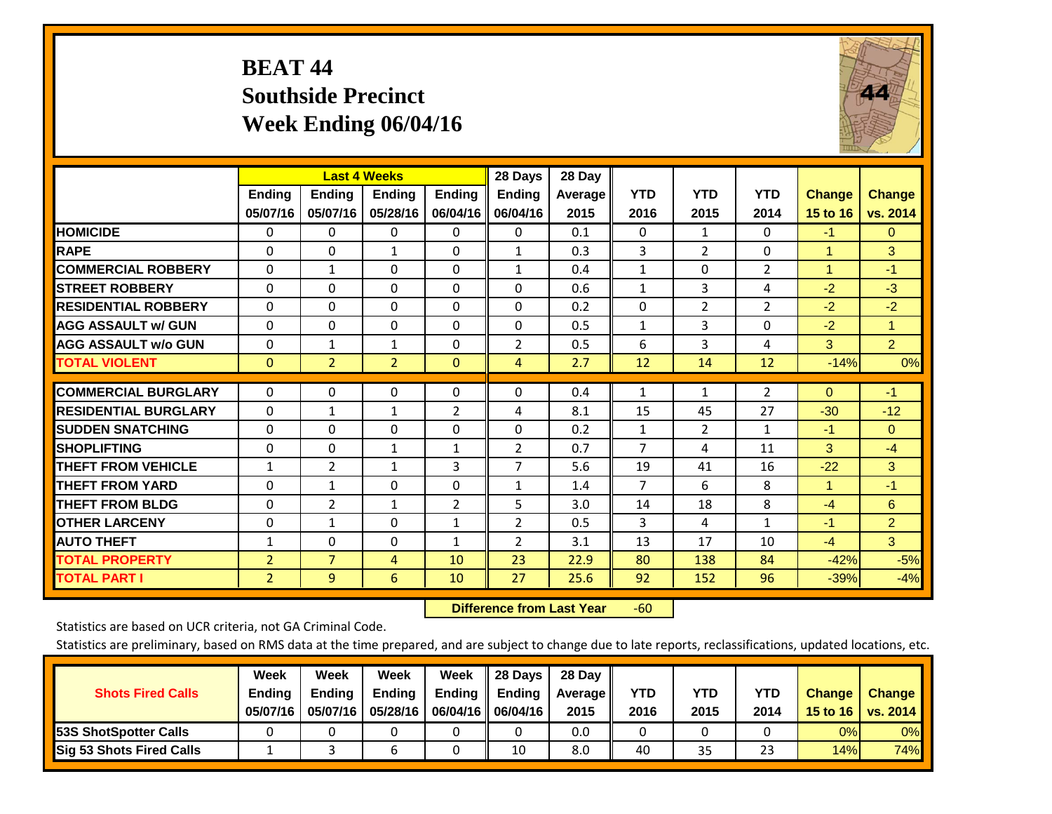# **BEAT 44 Southside Precinct Week Ending 06/04/16**



|                             |                           | <b>Last 4 Weeks</b>       |                           |                           | 28 Days                   | 28 Day          |                    |                    |                    |                           |                           |
|-----------------------------|---------------------------|---------------------------|---------------------------|---------------------------|---------------------------|-----------------|--------------------|--------------------|--------------------|---------------------------|---------------------------|
|                             | <b>Ending</b><br>05/07/16 | <b>Ending</b><br>05/07/16 | <b>Ending</b><br>05/28/16 | <b>Endina</b><br>06/04/16 | <b>Endina</b><br>06/04/16 | Average<br>2015 | <b>YTD</b><br>2016 | <b>YTD</b><br>2015 | <b>YTD</b><br>2014 | <b>Change</b><br>15 to 16 | <b>Change</b><br>vs. 2014 |
| <b>HOMICIDE</b>             | $\mathbf{0}$              | 0                         | $\Omega$                  | $\mathbf{0}$              | 0                         | 0.1             | $\mathbf{0}$       | $\mathbf{1}$       | 0                  | $-1$                      | $\Omega$                  |
| <b>RAPE</b>                 | $\Omega$                  | 0                         | $\mathbf{1}$              | $\Omega$                  | $\mathbf{1}$              | 0.3             | 3                  | $\overline{2}$     | 0                  | $\blacktriangleleft$      | 3                         |
| <b>COMMERCIAL ROBBERY</b>   | $\Omega$                  | $\mathbf{1}$              | $\Omega$                  | $\Omega$                  | $\mathbf{1}$              | 0.4             | $\mathbf{1}$       | $\Omega$           | $\overline{2}$     | $\blacktriangleleft$      | $-1$                      |
| <b>STREET ROBBERY</b>       | $\Omega$                  | $\Omega$                  | $\Omega$                  | $\Omega$                  | $\Omega$                  | 0.6             | $\mathbf{1}$       | 3                  | 4                  | $-2$                      | $-3$                      |
| <b>RESIDENTIAL ROBBERY</b>  | 0                         | 0                         | $\Omega$                  | $\mathbf{0}$              | 0                         | 0.2             | $\Omega$           | 2                  | $\overline{2}$     | $-2$                      | $-2$                      |
| <b>AGG ASSAULT w/ GUN</b>   | $\Omega$                  | $\Omega$                  | $\Omega$                  | $\Omega$                  | $\Omega$                  | 0.5             | $\mathbf{1}$       | 3                  | $\Omega$           | $-2$                      | $\mathbf{1}$              |
| <b>AGG ASSAULT w/o GUN</b>  | $\Omega$                  | $\mathbf{1}$              | $\mathbf{1}$              | $\Omega$                  | $\overline{2}$            | 0.5             | 6                  | 3                  | 4                  | 3                         | $\overline{2}$            |
| <b>TOTAL VIOLENT</b>        | $\mathbf{0}$              | $\overline{2}$            | $\overline{2}$            | $\mathbf{0}$              | $\overline{4}$            | 2.7             | 12                 | 14                 | 12                 | $-14%$                    | 0%                        |
| <b>COMMERCIAL BURGLARY</b>  |                           |                           |                           |                           | $\Omega$                  |                 |                    |                    |                    |                           | $-1$                      |
|                             | $\mathbf 0$               | 0                         | 0                         | $\mathbf 0$               |                           | 0.4             | $\mathbf{1}$       | 1                  | $\overline{2}$     | $\overline{0}$            |                           |
| <b>RESIDENTIAL BURGLARY</b> | $\Omega$                  | 1                         | $\mathbf{1}$              | $\overline{2}$            | 4                         | 8.1             | 15                 | 45                 | 27                 | $-30$                     | $-12$                     |
| <b>ISUDDEN SNATCHING</b>    | 0                         | $\Omega$                  | $\Omega$                  | $\Omega$                  | 0                         | 0.2             | $\mathbf{1}$       | $\overline{2}$     | 1                  | $-1$                      | $\Omega$                  |
| <b>SHOPLIFTING</b>          | $\Omega$                  | $\Omega$                  | $\mathbf 1$               | 1                         | $\overline{2}$            | 0.7             | $\overline{7}$     | 4                  | 11                 | 3                         | $-4$                      |
| <b>THEFT FROM VEHICLE</b>   | $\mathbf{1}$              | $\overline{2}$            | $\mathbf{1}$              | 3                         | $\overline{7}$            | 5.6             | 19                 | 41                 | 16                 | $-22$                     | 3                         |
| <b>THEFT FROM YARD</b>      | $\Omega$                  | 1                         | $\mathbf{0}$              | $\Omega$                  | $\mathbf{1}$              | 1.4             | $\overline{7}$     | 6                  | 8                  | $\blacktriangleleft$      | $-1$                      |
| <b>THEFT FROM BLDG</b>      | 0                         | 2                         | 1                         | $\overline{2}$            | 5                         | 3.0             | 14                 | 18                 | 8                  | $-4$                      | 6                         |
| <b>OTHER LARCENY</b>        | $\Omega$                  | $\mathbf{1}$              | $\Omega$                  | 1                         | $\overline{2}$            | 0.5             | 3                  | 4                  | 1                  | $-1$                      | $\overline{2}$            |
| <b>AUTO THEFT</b>           | $\mathbf{1}$              | $\Omega$                  | $\Omega$                  | 1                         | $\overline{2}$            | 3.1             | 13                 | 17                 | 10                 | $-4$                      | 3                         |
| <b>TOTAL PROPERTY</b>       | $\overline{2}$            | $\overline{7}$            | 4                         | 10                        | 23                        | 22.9            | 80                 | 138                | 84                 | $-42%$                    | $-5%$                     |
| <b>TOTAL PART I</b>         | $\overline{2}$            | $\overline{9}$            | 6                         | 10                        | 27                        | 25.6            | 92                 | 152                | 96                 | $-39%$                    | $-4%$                     |

 **Difference from Last Year**r -60

Statistics are based on UCR criteria, not GA Criminal Code.

| <b>Shots Fired Calls</b>        | Week<br><b>Ending</b><br>05/07/16 | Week<br><b>Endina</b><br>05/07/16 | Week<br>Ending<br>05/28/16 | Week<br>Ending | 28 Days<br><b>Ending</b><br>06/04/16   06/04/16 | 28 Day<br>Average II<br>2015 | YTD<br>2016 | YTD<br>2015 | <b>YTD</b><br>2014 | <b>Change</b><br>15 to 16 | <b>Change</b><br>vs. 2014 |
|---------------------------------|-----------------------------------|-----------------------------------|----------------------------|----------------|-------------------------------------------------|------------------------------|-------------|-------------|--------------------|---------------------------|---------------------------|
| <b>153S ShotSpotter Calls</b>   |                                   |                                   |                            |                |                                                 | 0.0                          |             |             |                    | 0%                        | 0%                        |
| <b>Sig 53 Shots Fired Calls</b> |                                   |                                   |                            |                | 10                                              | 8.0                          | 40          | 35          | າາ                 | 14%                       | 74%                       |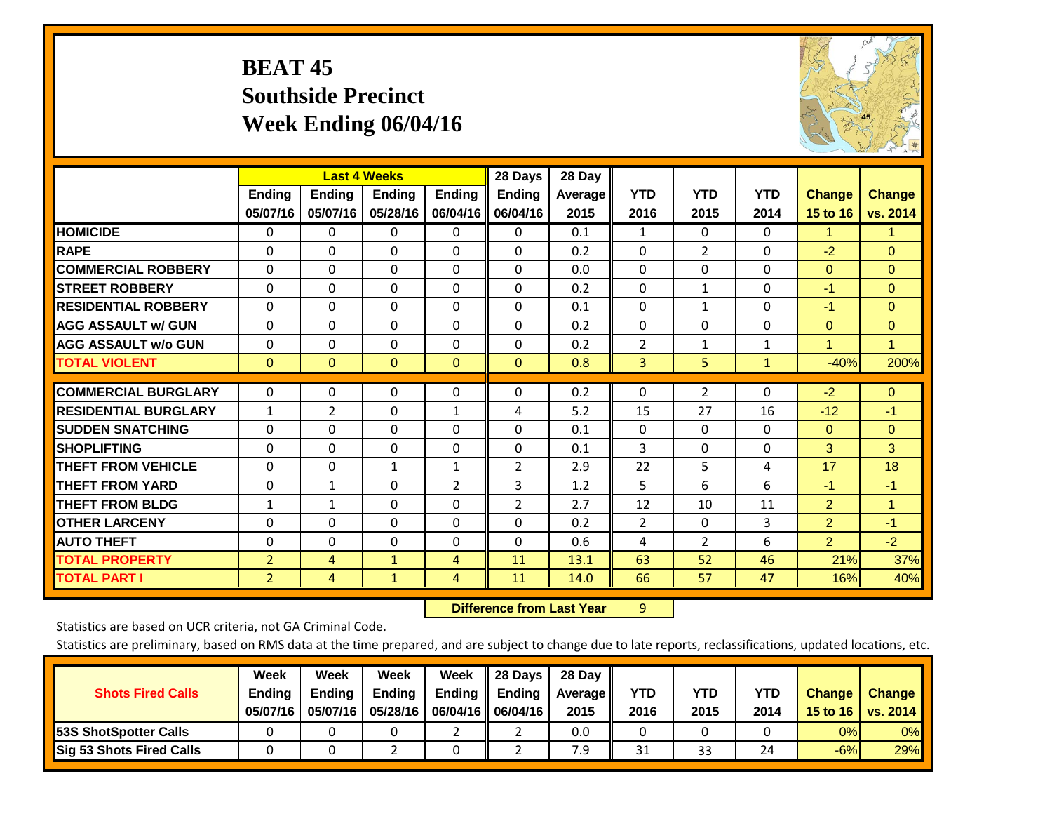# **BEAT 45 Southside Precinct Week Ending 06/04/16**



|                             |                | <b>Last 4 Weeks</b> |               |                | 28 Days        | 28 Day  |                |                    |                    |                |                |
|-----------------------------|----------------|---------------------|---------------|----------------|----------------|---------|----------------|--------------------|--------------------|----------------|----------------|
|                             | <b>Ending</b>  | <b>Ending</b>       | <b>Ending</b> | <b>Ending</b>  | <b>Ending</b>  | Average | <b>YTD</b>     | <b>YTD</b><br>2015 | <b>YTD</b><br>2014 | <b>Change</b>  | <b>Change</b>  |
|                             | 05/07/16       | 05/07/16            | 05/28/16      | 06/04/16       | 06/04/16       | 2015    | 2016           |                    |                    | 15 to 16       | vs. 2014       |
| <b>HOMICIDE</b>             | 0              | $\Omega$            | 0             | $\Omega$       | $\Omega$       | 0.1     | 1              | 0                  | 0                  | 1.             | $\mathbf 1$    |
| <b>RAPE</b>                 | $\Omega$       | 0                   | $\Omega$      | 0              | 0              | 0.2     | $\Omega$       | $\overline{2}$     | 0                  | $-2$           | $\Omega$       |
| <b>COMMERCIAL ROBBERY</b>   | $\Omega$       | $\Omega$            | $\mathbf{0}$  | $\Omega$       | $\Omega$       | 0.0     | $\Omega$       | $\Omega$           | $\Omega$           | $\mathbf{0}$   | $\Omega$       |
| <b>STREET ROBBERY</b>       | $\Omega$       | $\Omega$            | $\Omega$      | $\Omega$       | 0              | 0.2     | $\mathbf{0}$   | $\mathbf{1}$       | $\Omega$           | $-1$           | $\Omega$       |
| <b>RESIDENTIAL ROBBERY</b>  | $\Omega$       | $\Omega$            | $\Omega$      | $\Omega$       | $\Omega$       | 0.1     | $\mathbf{0}$   | 1                  | 0                  | $-1$           | $\Omega$       |
| <b>AGG ASSAULT w/ GUN</b>   | $\Omega$       | $\Omega$            | $\Omega$      | $\Omega$       | 0              | 0.2     | $\Omega$       | 0                  | 0                  | $\mathbf{0}$   | $\overline{0}$ |
| <b>AGG ASSAULT w/o GUN</b>  | 0              | $\Omega$            | $\Omega$      | $\Omega$       | $\Omega$       | 0.2     | $\overline{2}$ | 1                  | $\mathbf{1}$       | 1              | $\mathbf{1}$   |
| <b>TOTAL VIOLENT</b>        | $\mathbf{0}$   | $\mathbf{0}$        | $\mathbf{0}$  | $\mathbf{0}$   | $\overline{0}$ | 0.8     | 3              | 5                  | 1                  | $-40%$         | 200%           |
|                             |                |                     |               |                |                |         |                |                    |                    |                |                |
| <b>COMMERCIAL BURGLARY</b>  | 0              | 0                   | $\mathbf{0}$  | 0              | $\Omega$       | 0.2     | 0              | $\overline{2}$     | 0                  | $-2$           | $\overline{0}$ |
| <b>RESIDENTIAL BURGLARY</b> | $\mathbf{1}$   | 2                   | $\Omega$      | 1              | 4              | 5.2     | 15             | 27                 | 16                 | $-12$          | $-1$           |
| <b>SUDDEN SNATCHING</b>     | $\Omega$       | 0                   | $\Omega$      | 0              | 0              | 0.1     | $\Omega$       | $\Omega$           | 0                  | $\mathbf{0}$   | $\Omega$       |
| <b>SHOPLIFTING</b>          | $\Omega$       | $\Omega$            | $\Omega$      | $\Omega$       | 0              | 0.1     | 3              | 0                  | 0                  | 3              | 3              |
| <b>THEFT FROM VEHICLE</b>   | $\Omega$       | 0                   | 1             | $\mathbf{1}$   | 2              | 2.9     | 22             | 5                  | 4                  | 17             | 18             |
| <b>THEFT FROM YARD</b>      | 0              | 1                   | $\Omega$      | $\overline{2}$ | 3              | 1.2     | 5              | 6                  | 6                  | $-1$           | $-1$           |
| <b>THEFT FROM BLDG</b>      | 1              | 1                   | $\Omega$      | 0              | 2              | 2.7     | 12             | 10                 | 11                 | $\overline{2}$ | $\mathbf{1}$   |
| <b>OTHER LARCENY</b>        | $\Omega$       | $\Omega$            | $\Omega$      | 0              | $\Omega$       | 0.2     | $\overline{2}$ | 0                  | 3                  | $\overline{2}$ | $-1$           |
| <b>AUTO THEFT</b>           | 0              | $\Omega$            | $\Omega$      | $\Omega$       | $\Omega$       | 0.6     | 4              | $\overline{2}$     | 6                  | $\overline{2}$ | $-2$           |
| <b>TOTAL PROPERTY</b>       | $\overline{2}$ | 4                   | $\mathbf{1}$  | 4              | 11             | 13.1    | 63             | 52                 | 46                 | 21%            | 37%            |
| <b>TOTAL PART I</b>         | 2              | 4                   | $\mathbf{1}$  | 4              | 11             | 14.0    | 66             | 57                 | 47                 | 16%            | 40%            |

 **Difference from Last Year**r 9

Statistics are based on UCR criteria, not GA Criminal Code.

| <b>Shots Fired Calls</b>        | Week<br><b>Ending</b><br>05/07/16 | Week<br><b>Endina</b><br>05/07/16 | Week<br>Ending<br>05/28/16 | Week<br>Ending | 28 Days<br><b>Ending</b><br>06/04/16   06/04/16 | 28 Day<br>Average II<br>2015 | YTD<br>2016 | YTD<br>2015 | YTD<br>2014 | <b>Change</b><br>15 to 16 | <b>Change</b><br>vs. 2014 |
|---------------------------------|-----------------------------------|-----------------------------------|----------------------------|----------------|-------------------------------------------------|------------------------------|-------------|-------------|-------------|---------------------------|---------------------------|
| <b>153S ShotSpotter Calls</b>   |                                   |                                   |                            |                |                                                 | 0.0                          |             |             |             | 0%                        | 0%                        |
| <b>Sig 53 Shots Fired Calls</b> |                                   |                                   |                            |                |                                                 | 7.9                          | 31          | 33          | 24          | $-6%$                     | 29%                       |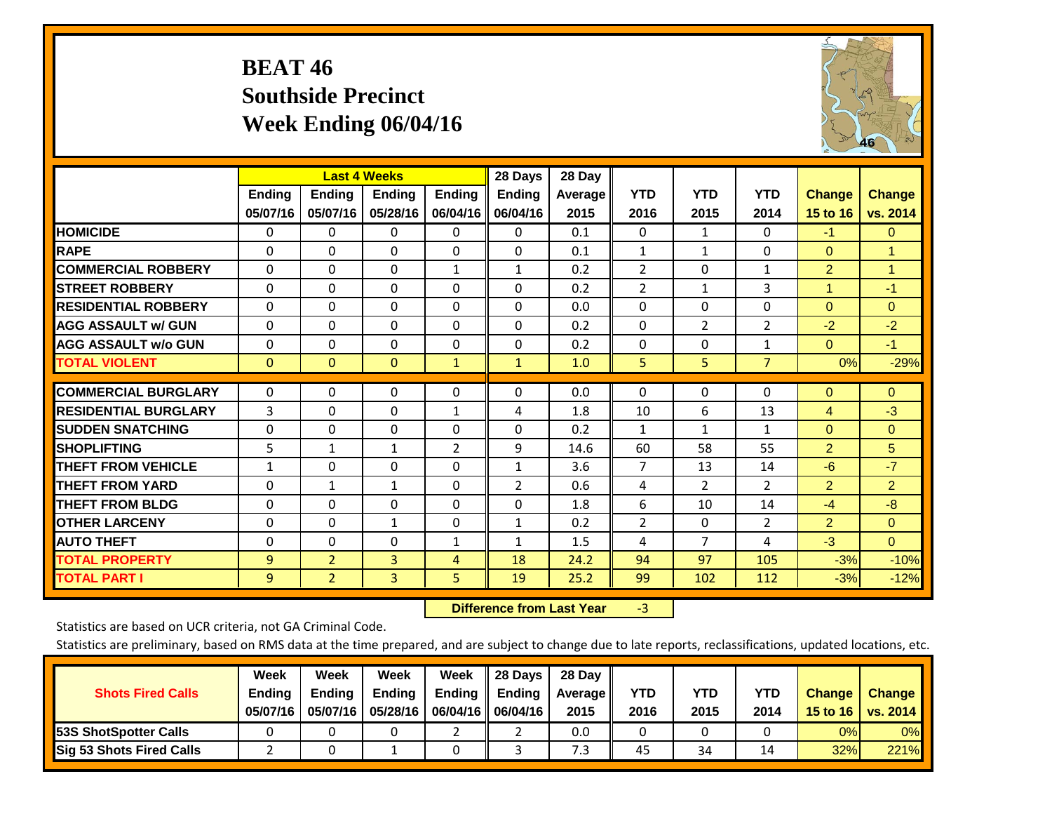# **BEAT 46 Southside Precinct Week Ending 06/04/16**



|                             |               |                | <b>Last 4 Weeks</b> |               | 28 Days       | 28 Day  |                |                |                |                 |                |
|-----------------------------|---------------|----------------|---------------------|---------------|---------------|---------|----------------|----------------|----------------|-----------------|----------------|
|                             | <b>Ending</b> | <b>Ending</b>  | <b>Endina</b>       | <b>Ending</b> | <b>Ending</b> | Average | <b>YTD</b>     | <b>YTD</b>     | <b>YTD</b>     | <b>Change</b>   | <b>Change</b>  |
|                             | 05/07/16      | 05/07/16       | 05/28/16            | 06/04/16      | 06/04/16      | 2015    | 2016           | 2015           | 2014           | <b>15 to 16</b> | vs. 2014       |
| <b>HOMICIDE</b>             | 0             | 0              | $\Omega$            | $\Omega$      | $\Omega$      | 0.1     | 0              | $\mathbf{1}$   | 0              | $-1$            | $\Omega$       |
| <b>RAPE</b>                 | $\Omega$      | $\Omega$       | $\Omega$            | $\Omega$      | $\Omega$      | 0.1     | $\mathbf{1}$   | $\mathbf{1}$   | 0              | $\mathbf{0}$    | $\overline{1}$ |
| <b>COMMERCIAL ROBBERY</b>   | $\Omega$      | $\Omega$       | $\Omega$            | 1             | $\mathbf{1}$  | 0.2     | $\overline{2}$ | $\Omega$       | 1              | $\overline{2}$  | $\overline{1}$ |
| <b>STREET ROBBERY</b>       | $\Omega$      | 0              | 0                   | $\mathbf{0}$  | $\Omega$      | 0.2     | $\overline{2}$ | $\mathbf{1}$   | 3              | 1               | $-1$           |
| <b>RESIDENTIAL ROBBERY</b>  | $\Omega$      | 0              | 0                   | $\mathbf{0}$  | 0             | 0.0     | $\Omega$       | $\Omega$       | 0              | $\Omega$        | $\mathbf{0}$   |
| <b>AGG ASSAULT w/ GUN</b>   | $\Omega$      | 0              | 0                   | $\mathbf{0}$  | $\Omega$      | 0.2     | $\Omega$       | $\overline{2}$ | 2              | $-2$            | $-2$           |
| <b>AGG ASSAULT w/o GUN</b>  | $\mathbf 0$   | $\Omega$       | $\Omega$            | $\Omega$      | $\Omega$      | 0.2     | $\Omega$       | $\Omega$       | 1              | $\Omega$        | $-1$           |
| <b>TOTAL VIOLENT</b>        | $\mathbf{0}$  | $\mathbf{0}$   | $\mathbf{0}$        | $\mathbf{1}$  | $\mathbf{1}$  | 1.0     | 5              | 5              | $\overline{7}$ | 0%              | $-29%$         |
|                             |               |                |                     |               |               |         |                |                |                |                 |                |
| <b>COMMERCIAL BURGLARY</b>  | 0             | 0              | 0                   | $\mathbf 0$   | $\Omega$      | 0.0     | 0              | $\Omega$       | 0              | $\mathbf{0}$    | $\overline{0}$ |
| <b>RESIDENTIAL BURGLARY</b> | 3             | 0              | $\Omega$            | 1             | 4             | 1.8     | 10             | 6              | 13             | 4               | $-3$           |
| <b>SUDDEN SNATCHING</b>     | $\Omega$      | 0              | $\Omega$            | $\mathbf{0}$  | $\Omega$      | 0.2     | $\mathbf{1}$   | 1              | 1              | $\Omega$        | $\Omega$       |
| <b>SHOPLIFTING</b>          | 5             | 1              | 1                   | 2             | 9             | 14.6    | 60             | 58             | 55             | $\overline{2}$  | 5              |
| <b>THEFT FROM VEHICLE</b>   | 1             | 0              | 0                   | $\mathbf{0}$  | $\mathbf{1}$  | 3.6     | $\overline{7}$ | 13             | 14             | $-6$            | $-7$           |
| <b>THEFT FROM YARD</b>      | $\Omega$      | 1              | $\mathbf{1}$        | $\Omega$      | 2             | 0.6     | 4              | $\overline{2}$ | 2              | $\overline{2}$  | $\overline{2}$ |
| <b>THEFT FROM BLDG</b>      | $\mathbf 0$   | $\Omega$       | $\Omega$            | $\Omega$      | $\Omega$      | 1.8     | 6              | 10             | 14             | $-4$            | $-8$           |
| <b>OTHER LARCENY</b>        | $\Omega$      | $\Omega$       | $\mathbf{1}$        | $\Omega$      | $\mathbf{1}$  | 0.2     | $\overline{2}$ | $\Omega$       | 2              | $\overline{2}$  | $\Omega$       |
| <b>AUTO THEFT</b>           | $\mathbf 0$   | $\Omega$       | $\Omega$            | 1             | $\mathbf{1}$  | 1.5     | 4              | $\overline{7}$ | 4              | $-3$            | $\Omega$       |
| <b>TOTAL PROPERTY</b>       | 9             | $\overline{2}$ | 3                   | 4             | 18            | 24.2    | 94             | 97             | 105            | $-3%$           | $-10%$         |
| <b>TOTAL PART I</b>         | 9             | $\overline{2}$ | 3                   | 5             | 19            | 25.2    | 99             | 102            | 112            | $-3%$           | $-12%$         |

 **Difference from Last Year**r -3

Statistics are based on UCR criteria, not GA Criminal Code.

| <b>Shots Fired Calls</b>        | Week<br><b>Ending</b><br>05/07/16 | Week<br><b>Endina</b><br>05/07/16 | Week<br>Ending<br>05/28/16 | Week<br>Ending | 28 Days<br><b>Ending</b><br>06/04/16   06/04/16 | 28 Day<br>Average II<br>2015 | YTD<br>2016 | YTD<br>2015 | <b>YTD</b><br>2014 | <b>Change</b><br>15 to 16 | <b>Change</b><br>vs. 2014 |
|---------------------------------|-----------------------------------|-----------------------------------|----------------------------|----------------|-------------------------------------------------|------------------------------|-------------|-------------|--------------------|---------------------------|---------------------------|
| <b>153S ShotSpotter Calls</b>   |                                   |                                   |                            |                |                                                 | 0.0                          |             |             |                    | 0%                        | 0%                        |
| <b>Sig 53 Shots Fired Calls</b> |                                   |                                   |                            |                |                                                 | 7.3                          | 45          | 34          |                    | 32%                       | 221%                      |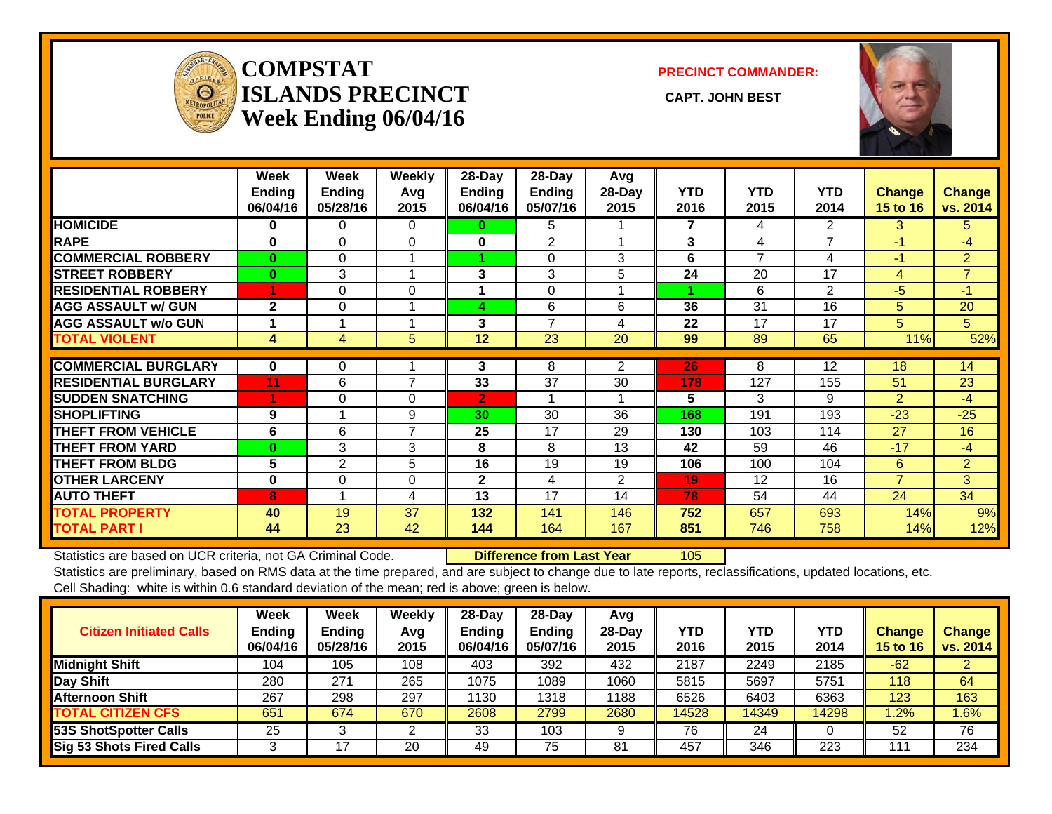

## **COMPSTATISLANDS PRECINCT** CAPT. JOHN BEST **Week Ending 06/04/16**

**PRECINCT COMMANDER:**



|                             | Week<br><b>Ending</b><br>06/04/16 | Week<br><b>Ending</b><br>05/28/16 | <b>Weekly</b><br>Avg<br>2015 | 28-Day<br><b>Ending</b><br>06/04/16 | 28-Day<br><b>Ending</b><br>05/07/16 | Avg<br>28-Day<br>2015 | <b>YTD</b><br>2016 | <b>YTD</b><br>2015 | <b>YTD</b><br>2014 | <b>Change</b><br><b>15 to 16</b> | <b>Change</b><br>vs. 2014 |
|-----------------------------|-----------------------------------|-----------------------------------|------------------------------|-------------------------------------|-------------------------------------|-----------------------|--------------------|--------------------|--------------------|----------------------------------|---------------------------|
| <b>HOMICIDE</b>             | $\bf{0}$                          | 0                                 | $\Omega$                     | $\bf{0}$                            | 5                                   |                       | 7                  | 4                  | 2                  | 3.                               | 5.                        |
| <b>RAPE</b>                 | $\bf{0}$                          | $\Omega$                          | 0                            | 0                                   | 2                                   |                       | 3                  | 4                  | 7                  | $-1$                             | $-4$                      |
| <b>COMMERCIAL ROBBERY</b>   | $\mathbf{0}$                      | $\Omega$                          |                              |                                     | $\Omega$                            | 3                     | 6                  | 7                  | 4                  | $-1$                             | $\overline{2}$            |
| <b>STREET ROBBERY</b>       | $\mathbf{0}$                      | 3                                 |                              | 3                                   | 3                                   | 5.                    | 24                 | 20                 | 17                 | 4                                | $\overline{7}$            |
| <b>RESIDENTIAL ROBBERY</b>  |                                   | $\Omega$                          | $\Omega$                     |                                     | $\Omega$                            |                       |                    | 6                  | 2                  | $-5$                             | $-1$                      |
| <b>AGG ASSAULT w/ GUN</b>   | $\mathbf{2}$                      | $\Omega$                          |                              | 4                                   | 6                                   | 6                     | 36                 | 31                 | 16                 | 5                                | 20                        |
| <b>AGG ASSAULT w/o GUN</b>  |                                   |                                   |                              | 3                                   | 7                                   | 4                     | 22                 | 17                 | 17                 | 5.                               | 5                         |
| <b>TOTAL VIOLENT</b>        | 4                                 | $\overline{4}$                    | 5                            | 12                                  | 23                                  | 20                    | 99                 | 89                 | 65                 | 11%                              | 52%                       |
|                             |                                   |                                   |                              |                                     |                                     |                       |                    |                    |                    |                                  |                           |
| <b>COMMERCIAL BURGLARY</b>  | $\bf{0}$                          | 0                                 |                              | 3                                   | 8                                   | $\overline{2}$        | 26                 | 8                  | 12                 | 18                               | 14                        |
| <b>RESIDENTIAL BURGLARY</b> | 11                                | 6                                 | $\overline{7}$               | 33                                  | 37                                  | 30                    | 178                | 127                | 155                | 51                               | 23                        |
| <b>SUDDEN SNATCHING</b>     |                                   | $\Omega$                          | $\Omega$                     | $\overline{2}$                      |                                     |                       | 5                  | 3                  | 9                  | $\overline{2}$                   | $-4$                      |
| <b>SHOPLIFTING</b>          | 9                                 |                                   | 9                            | 30                                  | 30                                  | 36                    | 168                | 191                | 193                | $-23$                            | $-25$                     |
| <b>THEFT FROM VEHICLE</b>   | 6                                 | 6                                 | $\overline{7}$               | 25                                  | 17                                  | 29                    | 130                | 103                | 114                | 27                               | 16                        |
| <b>THEFT FROM YARD</b>      | $\bf{0}$                          | 3                                 | 3                            | 8                                   | 8                                   | 13                    | 42                 | 59                 | 46                 | $-17$                            | $-4$                      |
| <b>THEFT FROM BLDG</b>      | 5                                 | $\overline{2}$                    | 5                            | 16                                  | 19                                  | 19                    | 106                | 100                | 104                | 6                                | $\overline{2}$            |
| <b>OTHER LARCENY</b>        | $\bf{0}$                          | $\Omega$                          | $\Omega$                     | $\mathbf{2}$                        | 4                                   | 2                     | 19                 | 12                 | 16                 | $\overline{7}$                   | 3                         |
| <b>AUTO THEFT</b>           | 8                                 |                                   | 4                            | 13                                  | 17                                  | 14                    | 78                 | 54                 | 44                 | 24                               | 34                        |
| <b>TOTAL PROPERTY</b>       | 40                                | 19                                | 37                           | 132                                 | 141                                 | 146                   | 752                | 657                | 693                | 14%                              | 9%                        |
| <b>TOTAL PART I</b>         | 44                                | 23                                | 42                           | 144                                 | 164                                 | 167                   | 851                | 746                | 758                | 14%                              | 12%                       |

Statistics are based on UCR criteria, not GA Criminal Code. **Difference from Last Year** 105 Statistics are preliminary, based on RMS data at the time prepared, and are subject to change due to late reports, reclassifications, updated locations, etc. Cell Shading: white is within 0.6 standard deviation of the mean; red is above; green is below.

| <b>Citizen Initiated Calls</b>  | Week<br><b>Ending</b><br>06/04/16 | Week<br><b>Ending</b><br>05/28/16 | Weekly<br>Avg<br>2015 | $28$ -Dav<br><b>Ending</b><br>06/04/16 | 28-Day<br>Ending<br>05/07/16 | Avg<br>$28-Dav$<br>2015 | YTD<br>2016 | <b>YTD</b><br>2015 | YTD<br>2014 | <b>Change</b><br><b>15 to 16</b> | <b>Change</b><br>vs. 2014 |
|---------------------------------|-----------------------------------|-----------------------------------|-----------------------|----------------------------------------|------------------------------|-------------------------|-------------|--------------------|-------------|----------------------------------|---------------------------|
| <b>Midnight Shift</b>           | 104                               | 105                               | 108                   | 403                                    | 392                          | 432                     | 2187        | 2249               | 2185        | $-62$                            |                           |
| Day Shift                       | 280                               | 271                               | 265                   | 1075                                   | 1089                         | 1060                    | 5815        | 5697               | 5751        | 118                              | 64                        |
| <b>Afternoon Shift</b>          | 267                               | 298                               | 297                   | 1130                                   | 1318                         | 1188                    | 6526        | 6403               | 6363        | 123                              | 163                       |
| <b>TOTAL CITIZEN CFS</b>        | 651                               | 674                               | 670                   | 2608                                   | 2799                         | 2680                    | 14528       | 14349              | 14298       | .2%                              | $.6\%$                    |
| <b>53S ShotSpotter Calls</b>    | 25                                |                                   |                       | 33                                     | 103                          |                         | 76          | 24                 |             | 52                               | 76                        |
| <b>Sig 53 Shots Fired Calls</b> |                                   |                                   | 20                    | 49                                     | 75                           | 81                      | 457         | 346                | 223         | 11                               | 234                       |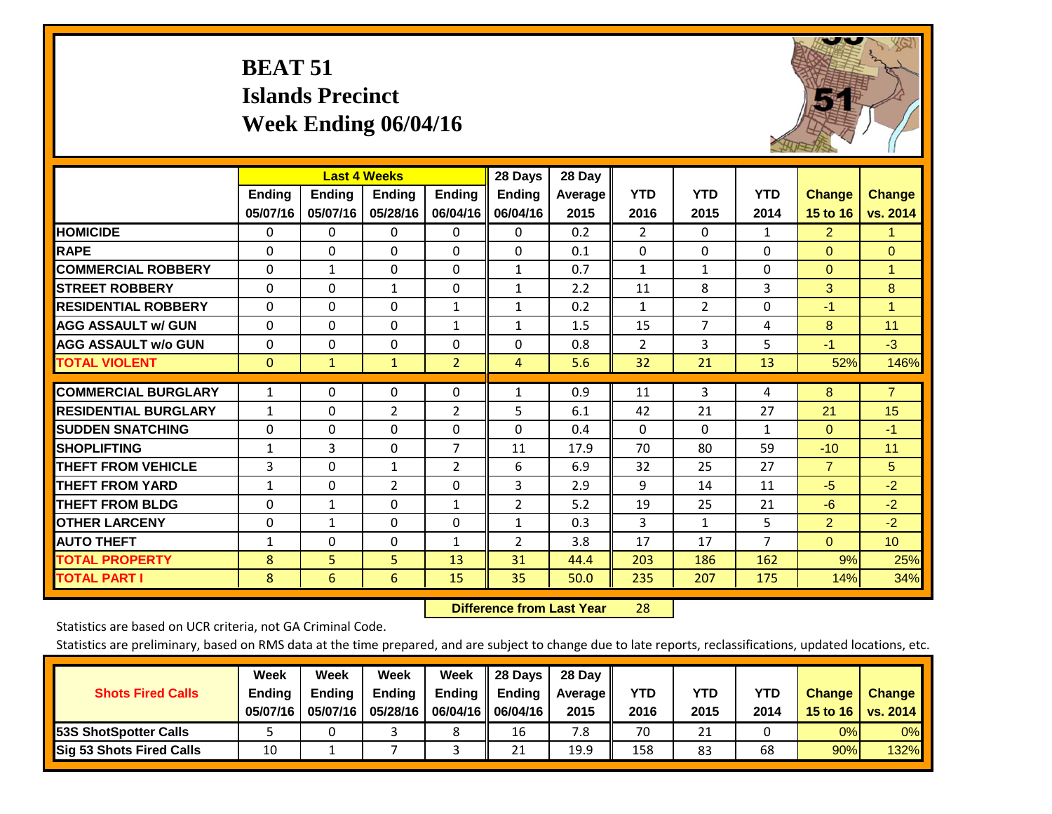# **BEAT 51 Islands Precinct Week Ending 06/04/16**



|                             |              | <b>Last 4 Weeks</b> |                |                | 28 Days        | 28 Day  |                |                |                |                |                 |
|-----------------------------|--------------|---------------------|----------------|----------------|----------------|---------|----------------|----------------|----------------|----------------|-----------------|
|                             | Ending       | <b>Ending</b>       | <b>Endina</b>  | <b>Ending</b>  | <b>Ending</b>  | Average | <b>YTD</b>     | <b>YTD</b>     | <b>YTD</b>     | <b>Change</b>  | <b>Change</b>   |
|                             | 05/07/16     | 05/07/16            | 05/28/16       | 06/04/16       | 06/04/16       | 2015    | 2016           | 2015           | 2014           | 15 to 16       | vs. 2014        |
| <b>HOMICIDE</b>             | 0            | 0                   | $\Omega$       | 0              | 0              | 0.2     | $\overline{2}$ | 0              | 1              | $\overline{2}$ | 1.              |
| <b>RAPE</b>                 | 0            | $\Omega$            | $\Omega$       | 0              | 0              | 0.1     | $\Omega$       | $\Omega$       | $\Omega$       | $\Omega$       | $\Omega$        |
| <b>COMMERCIAL ROBBERY</b>   | $\Omega$     | $\mathbf{1}$        | $\mathbf{0}$   | 0              | 1              | 0.7     | 1              | 1              | $\Omega$       | $\mathbf{0}$   | $\mathbf{1}$    |
| <b>ISTREET ROBBERY</b>      | $\Omega$     | $\Omega$            | $\mathbf{1}$   | $\Omega$       | $\mathbf{1}$   | 2.2     | 11             | 8              | 3              | 3              | 8               |
| <b>RESIDENTIAL ROBBERY</b>  | $\Omega$     | $\Omega$            | $\Omega$       | 1              | $\mathbf{1}$   | 0.2     | 1              | $\overline{2}$ | $\Omega$       | $-1$           | $\mathbf{1}$    |
| <b>AGG ASSAULT w/ GUN</b>   | $\Omega$     | $\Omega$            | $\Omega$       | 1              | $\mathbf{1}$   | 1.5     | 15             | $\overline{7}$ | 4              | 8              | 11              |
| <b>AGG ASSAULT w/o GUN</b>  | 0            | $\Omega$            | 0              | 0              | $\Omega$       | 0.8     | $\overline{2}$ | 3              | 5              | $-1$           | $-3$            |
| <b>TOTAL VIOLENT</b>        | $\Omega$     | $\mathbf{1}$        | $\mathbf{1}$   | $\overline{2}$ | $\overline{4}$ | 5.6     | 32             | 21             | 13             | 52%            | 146%            |
|                             |              | $\Omega$            | $\Omega$       |                |                |         |                | 3              |                | 8              | $\overline{7}$  |
| <b>COMMERCIAL BURGLARY</b>  | 1            |                     |                | $\Omega$       | 1              | 0.9     | 11             |                | 4              |                |                 |
| <b>RESIDENTIAL BURGLARY</b> | 1            | 0                   | 2              | 2              | 5              | 6.1     | 42             | 21             | 27             | 21             | 15              |
| <b>SUDDEN SNATCHING</b>     | $\Omega$     | 0                   | $\Omega$       | 0              | 0              | 0.4     | $\Omega$       | $\Omega$       | 1              | $\mathbf{0}$   | $-1$            |
| <b>SHOPLIFTING</b>          | $\mathbf{1}$ | 3                   | $\Omega$       | 7              | 11             | 17.9    | 70             | 80             | 59             | $-10$          | 11              |
| <b>THEFT FROM VEHICLE</b>   | 3            | $\Omega$            | 1              | $\overline{2}$ | 6              | 6.9     | 32             | 25             | 27             | $\overline{7}$ | 5               |
| <b>THEFT FROM YARD</b>      | $\mathbf{1}$ | $\Omega$            | $\overline{2}$ | 0              | 3              | 2.9     | 9              | 14             | 11             | $-5$           | $-2$            |
| <b>THEFT FROM BLDG</b>      | $\Omega$     | $\mathbf{1}$        | $\Omega$       | 1              | $\overline{2}$ | 5.2     | 19             | 25             | 21             | $-6$           | $-2$            |
| <b>OTHER LARCENY</b>        | $\Omega$     | $\mathbf{1}$        | $\mathbf{0}$   | 0              | $\mathbf{1}$   | 0.3     | 3              | $\mathbf{1}$   | 5              | $\overline{2}$ | $-2$            |
| <b>AUTO THEFT</b>           | 1            | $\Omega$            | 0              | 1              | 2              | 3.8     | 17             | 17             | $\overline{7}$ | $\mathbf{0}$   | 10 <sup>°</sup> |
| <b>TOTAL PROPERTY</b>       | 8            | 5                   | 5              | 13             | 31             | 44.4    | 203            | 186            | 162            | 9%             | 25%             |
| <b>TOTAL PART I</b>         | 8            | 6                   | 6              | 15             | 35             | 50.0    | 235            | 207            | 175            | 14%            | 34%             |

 **Difference from Last Year**r 28

Statistics are based on UCR criteria, not GA Criminal Code.

| <b>Shots Fired Calls</b>        | Week<br><b>Ending</b><br>05/07/16 | Week<br><b>Endina</b><br>05/07/16 | <b>Week</b><br>Ending<br>05/28/16 | Week<br>Ending | 28 Days<br><b>Ending</b><br>06/04/16   06/04/16 | 28 Day<br>Average II<br>2015 | YTD<br>2016 | YTD<br>2015 | YTD<br>2014 | <b>Change</b><br>15 to 16 | <b>Change</b><br>vs. 2014 |
|---------------------------------|-----------------------------------|-----------------------------------|-----------------------------------|----------------|-------------------------------------------------|------------------------------|-------------|-------------|-------------|---------------------------|---------------------------|
| <b>153S ShotSpotter Calls</b>   |                                   |                                   |                                   |                | 16                                              | 7.8                          | 70          | 21          |             | 0%                        | 0%                        |
| <b>Sig 53 Shots Fired Calls</b> | 10                                |                                   |                                   |                | 21                                              | 19.9                         | 158         | 83          | 68          | 90%                       | 132%                      |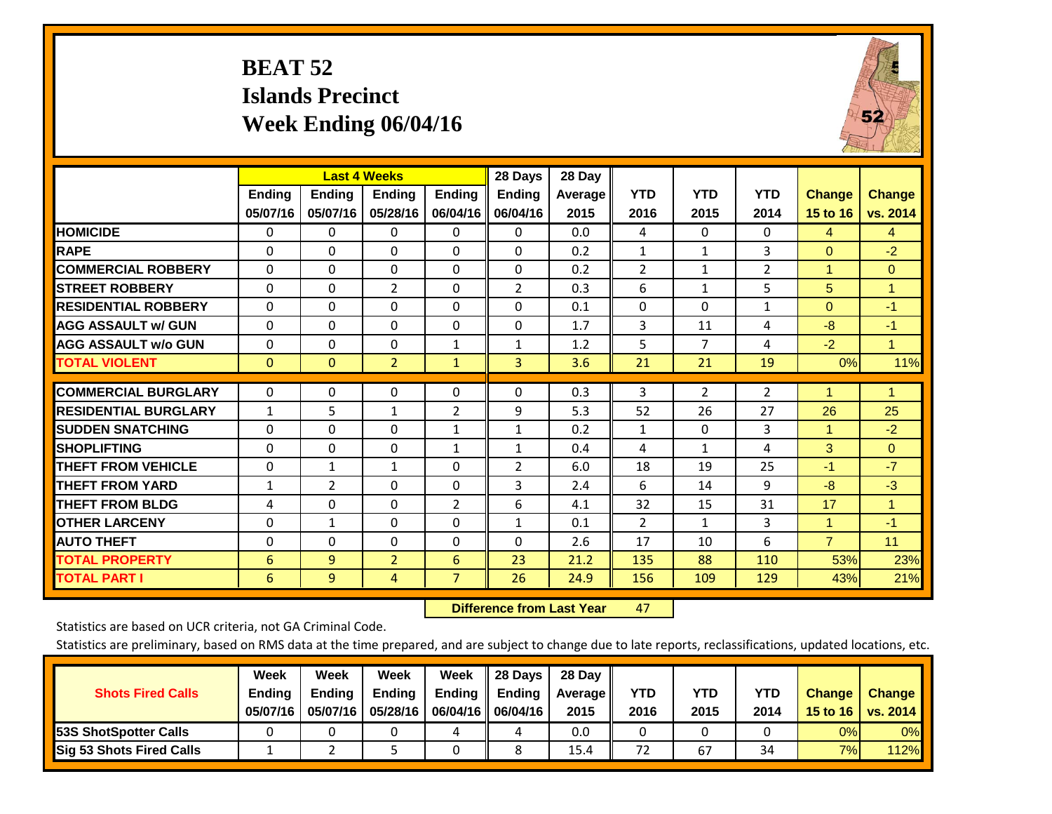# **BEAT 52 Islands Precinct Week Ending 06/04/16**



|                             |                 | <b>Last 4 Weeks</b> |                |                | 28 Days        | 28 Day  |                |                |                |                      |                      |
|-----------------------------|-----------------|---------------------|----------------|----------------|----------------|---------|----------------|----------------|----------------|----------------------|----------------------|
|                             | <b>Ending</b>   | <b>Ending</b>       | <b>Endina</b>  | <b>Ending</b>  | <b>Ending</b>  | Average | <b>YTD</b>     | <b>YTD</b>     | <b>YTD</b>     | <b>Change</b>        | <b>Change</b>        |
|                             | 05/07/16        | 05/07/16            | 05/28/16       | 06/04/16       | 06/04/16       | 2015    | 2016           | 2015           | 2014           | 15 to 16             | vs. 2014             |
| <b>HOMICIDE</b>             | 0               | 0                   | $\Omega$       | $\Omega$       | 0              | 0.0     | 4              | $\Omega$       | 0              | 4                    | $\overline{4}$       |
| <b>RAPE</b>                 | 0               | $\Omega$            | $\Omega$       | $\Omega$       | $\Omega$       | 0.2     | $\mathbf{1}$   | $\mathbf{1}$   | 3              | $\Omega$             | $-2$                 |
| <b>COMMERCIAL ROBBERY</b>   | $\Omega$        | $\Omega$            | $\Omega$       | 0              | $\Omega$       | 0.2     | $\overline{2}$ | $\mathbf{1}$   | $\overline{2}$ | 1                    | $\Omega$             |
| <b>STREET ROBBERY</b>       | $\Omega$        | $\Omega$            | $\overline{2}$ | $\Omega$       | $\overline{2}$ | 0.3     | 6              | $\mathbf{1}$   | 5              | 5                    | $\blacktriangleleft$ |
| <b>RESIDENTIAL ROBBERY</b>  | 0               | $\Omega$            | $\mathbf{0}$   | $\mathbf{0}$   | $\Omega$       | 0.1     | $\Omega$       | $\Omega$       | 1              | $\Omega$             | $-1$                 |
| <b>AGG ASSAULT w/ GUN</b>   | $\Omega$        | $\Omega$            | $\Omega$       | $\mathbf{0}$   | $\Omega$       | 1.7     | 3              | 11             | 4              | -8                   | $-1$                 |
| <b>AGG ASSAULT w/o GUN</b>  | $\Omega$        | 0                   | $\Omega$       | 1              | $\mathbf{1}$   | 1.2     | 5              | $\overline{7}$ | 4              | $-2$                 | $\mathbf{1}$         |
| <b>TOTAL VIOLENT</b>        | $\Omega$        | $\Omega$            | $\overline{2}$ | $\mathbf{1}$   | 3              | 3.6     | 21             | 21             | 19             | 0%                   | 11%                  |
| <b>COMMERCIAL BURGLARY</b>  | $\Omega$        | 0                   | 0              | 0              | $\Omega$       | 0.3     | 3              | $\overline{2}$ | 2              | 1                    | 1                    |
|                             |                 |                     |                |                |                |         |                |                |                |                      |                      |
| <b>RESIDENTIAL BURGLARY</b> | 1               | 5                   | $\mathbf{1}$   | 2              | 9              | 5.3     | 52             | 26             | 27             | 26                   | 25                   |
| <b>SUDDEN SNATCHING</b>     | 0               | 0                   | $\Omega$       | 1              | 1              | 0.2     | $\mathbf{1}$   | $\mathbf{0}$   | 3              | $\blacktriangleleft$ | $-2$                 |
| <b>SHOPLIFTING</b>          | $\Omega$        | $\Omega$            | $\Omega$       | 1              | 1              | 0.4     | 4              | $\mathbf{1}$   | 4              | 3                    | $\Omega$             |
| <b>THEFT FROM VEHICLE</b>   | $\Omega$        | 1                   | 1              | $\mathbf{0}$   | 2              | 6.0     | 18             | 19             | 25             | $-1$                 | $-7$                 |
| <b>THEFT FROM YARD</b>      | 1               | 2                   | $\Omega$       | $\mathbf 0$    | 3              | 2.4     | 6              | 14             | 9              | -8                   | $-3$                 |
| <b>THEFT FROM BLDG</b>      | 4               | $\Omega$            | $\Omega$       | $\overline{2}$ | 6              | 4.1     | 32             | 15             | 31             | 17                   | $\blacktriangleleft$ |
| <b>OTHER LARCENY</b>        | 0               | 1                   | $\Omega$       | $\Omega$       | 1              | 0.1     | $\overline{2}$ | 1              | 3              | $\blacktriangleleft$ | $-1$                 |
| <b>AUTO THEFT</b>           | $\Omega$        | $\Omega$            | $\mathbf{0}$   | $\mathbf{0}$   | $\Omega$       | 2.6     | 17             | 10             | 6              | $\overline{7}$       | 11                   |
| <b>TOTAL PROPERTY</b>       | $6\phantom{1}6$ | 9                   | $\overline{2}$ | 6              | 23             | 21.2    | 135            | 88             | 110            | 53%                  | 23%                  |
| <b>TOTAL PART I</b>         | 6               | 9                   | 4              | $\overline{7}$ | 26             | 24.9    | 156            | 109            | 129            | 43%                  | 21%                  |

 **Difference from Last Year**r 47

Statistics are based on UCR criteria, not GA Criminal Code.

| <b>Shots Fired Calls</b>        | Week<br><b>Ending</b><br>05/07/16 | Week<br><b>Endina</b><br>05/07/16 | Week<br>Ending<br>05/28/16 | Week<br>Ending | 28 Days<br><b>Ending</b><br>06/04/16   06/04/16 | 28 Day<br>Average II<br>2015 | YTD<br>2016 | YTD<br>2015 | <b>YTD</b><br>2014 | <b>Change</b><br>15 to $16$ | <b>Change</b><br>vs. 2014 |
|---------------------------------|-----------------------------------|-----------------------------------|----------------------------|----------------|-------------------------------------------------|------------------------------|-------------|-------------|--------------------|-----------------------------|---------------------------|
| <b>153S ShotSpotter Calls</b>   |                                   |                                   |                            | 4              | 4                                               | 0.0                          |             |             |                    | 0%                          | 0%                        |
| <b>Sig 53 Shots Fired Calls</b> |                                   |                                   |                            |                |                                                 | 15.4                         | 72          | 67          | 34                 | 7%                          | 112%                      |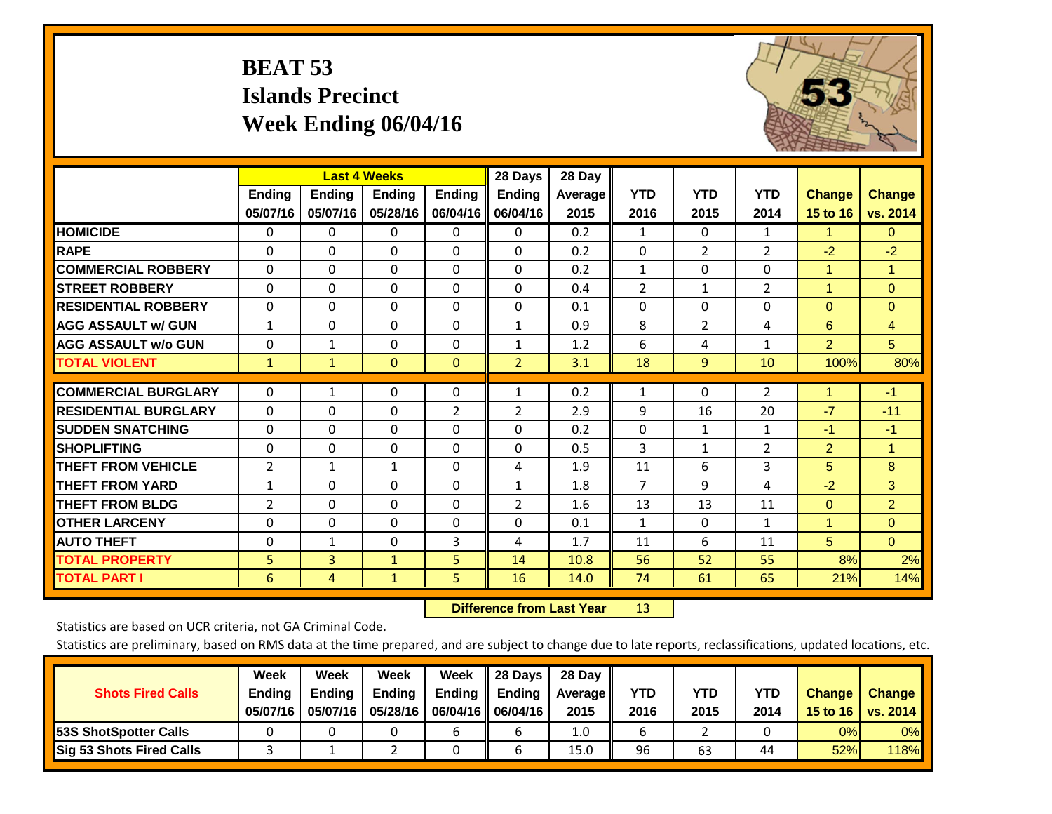# **BEAT 53 Islands Precinct Week Ending 06/04/16**



|                             |                | <b>Last 4 Weeks</b> |               |                | 28 Days        | 28 Day         |                |                |                |                |                |
|-----------------------------|----------------|---------------------|---------------|----------------|----------------|----------------|----------------|----------------|----------------|----------------|----------------|
|                             | Ending         | Ending              | <b>Ending</b> | <b>Ending</b>  | <b>Ending</b>  | <b>Average</b> | <b>YTD</b>     | <b>YTD</b>     | <b>YTD</b>     | <b>Change</b>  | <b>Change</b>  |
|                             | 05/07/16       | 05/07/16            | 05/28/16      | 06/04/16       | 06/04/16       | 2015           | 2016           | 2015           | 2014           | 15 to 16       | vs. 2014       |
| <b>HOMICIDE</b>             | 0              | $\Omega$            | 0             | 0              | 0              | 0.2            | $\mathbf{1}$   | $\Omega$       | 1              | 1.             | 0              |
| <b>RAPE</b>                 | $\Omega$       | 0                   | $\mathbf{0}$  | 0              | $\Omega$       | 0.2            | 0              | $\overline{2}$ | $\overline{2}$ | $-2$           | $-2$           |
| <b>COMMERCIAL ROBBERY</b>   | $\Omega$       | $\Omega$            | 0             | $\Omega$       | $\Omega$       | 0.2            | 1              | $\Omega$       | $\Omega$       | $\mathbf{1}$   | $\mathbf{1}$   |
| <b>STREET ROBBERY</b>       | 0              | $\Omega$            | $\mathbf 0$   | $\Omega$       | $\Omega$       | 0.4            | 2              | 1              | 2              | 1              | $\Omega$       |
| <b>RESIDENTIAL ROBBERY</b>  | $\Omega$       | $\Omega$            | $\mathbf{0}$  | $\Omega$       | $\Omega$       | 0.1            | $\mathbf{0}$   | $\Omega$       | $\Omega$       | $\mathbf{0}$   | $\Omega$       |
| <b>AGG ASSAULT w/ GUN</b>   | $\mathbf{1}$   | $\Omega$            | $\mathbf{0}$  | $\Omega$       | $\mathbf{1}$   | 0.9            | 8              | $\overline{2}$ | 4              | 6              | $\overline{4}$ |
| <b>AGG ASSAULT w/o GUN</b>  | $\Omega$       | 1                   | $\mathbf{0}$  | $\Omega$       | $\mathbf{1}$   | 1.2            | 6              | 4              | $\mathbf{1}$   | $\overline{2}$ | 5 <sup>5</sup> |
| <b>TOTAL VIOLENT</b>        | $\mathbf{1}$   | $\mathbf{1}$        | $\mathbf{0}$  | $\mathbf{0}$   | $\overline{2}$ | 3.1            | 18             | 9              | 10             | 100%           | 80%            |
|                             |                |                     |               |                |                |                |                |                |                |                |                |
| <b>COMMERCIAL BURGLARY</b>  | $\Omega$       | $\mathbf{1}$        | 0             | $\Omega$       | $\mathbf{1}$   | 0.2            | $\mathbf{1}$   | 0              | 2              | 1              | $-1$           |
| <b>RESIDENTIAL BURGLARY</b> | $\Omega$       | 0                   | $\mathbf{0}$  | $\overline{2}$ | $\overline{2}$ | 2.9            | 9              | 16             | 20             | $-7$           | $-11$          |
| <b>SUDDEN SNATCHING</b>     | $\Omega$       | 0                   | $\mathbf{0}$  | $\Omega$       | $\Omega$       | 0.2            | 0              | 1              | $\mathbf{1}$   | $-1$           | $-1$           |
| <b>SHOPLIFTING</b>          | $\Omega$       | $\Omega$            | $\mathbf{0}$  | $\Omega$       | $\Omega$       | 0.5            | 3              | 1              | $\overline{2}$ | $\overline{2}$ | $\mathbf{1}$   |
| <b>THEFT FROM VEHICLE</b>   | $\overline{2}$ | $\mathbf{1}$        | $\mathbf{1}$  | $\Omega$       | 4              | 1.9            | 11             | 6              | 3              | 5              | 8              |
| <b>THEFT FROM YARD</b>      | $\mathbf{1}$   | $\Omega$            | $\Omega$      | $\Omega$       | $\mathbf{1}$   | 1.8            | $\overline{7}$ | 9              | 4              | $-2$           | 3              |
| <b>THEFT FROM BLDG</b>      | $\overline{2}$ | $\Omega$            | $\mathbf{0}$  | $\Omega$       | 2              | 1.6            | 13             | 13             | 11             | $\mathbf{0}$   | $\overline{2}$ |
| <b>OTHER LARCENY</b>        | $\Omega$       | $\Omega$            | $\Omega$      | $\Omega$       | $\Omega$       | 0.1            | 1              | 0              | $\mathbf{1}$   | 1              | $\Omega$       |
| <b>AUTO THEFT</b>           | $\Omega$       | $\mathbf{1}$        | $\Omega$      | 3              | 4              | 1.7            | 11             | 6              | 11             | 5              | $\Omega$       |
| <b>TOTAL PROPERTY</b>       | 5              | 3                   | $\mathbf{1}$  | 5              | 14             | 10.8           | 56             | 52             | 55             | 8%             | 2%             |
| <b>TOTAL PART I</b>         | 6              | 4                   | $\mathbf{1}$  | 5.             | 16             | 14.0           | 74             | 61             | 65             | 21%            | 14%            |

 **Difference from Last Year**r 13

Statistics are based on UCR criteria, not GA Criminal Code.

| <b>Shots Fired Calls</b>        | Week<br><b>Ending</b><br>05/07/16 | Week<br><b>Endina</b><br>05/07/16 | Week<br>Ending<br>05/28/16 | Week<br>Ending | 28 Days<br><b>Ending</b><br>06/04/16   06/04/16 | 28 Day<br>Average II<br>2015 | YTD<br>2016 | YTD<br>2015 | <b>YTD</b><br>2014 | <b>Change</b><br>15 to 16 | <b>Change</b><br>vs. 2014 |
|---------------------------------|-----------------------------------|-----------------------------------|----------------------------|----------------|-------------------------------------------------|------------------------------|-------------|-------------|--------------------|---------------------------|---------------------------|
| <b>153S ShotSpotter Calls</b>   |                                   |                                   |                            |                |                                                 | 1.0                          |             |             |                    | 0%                        | 0%                        |
| <b>Sig 53 Shots Fired Calls</b> |                                   |                                   |                            |                |                                                 | 15.0                         | 96          | 63          | 44                 | 52%                       | 118%                      |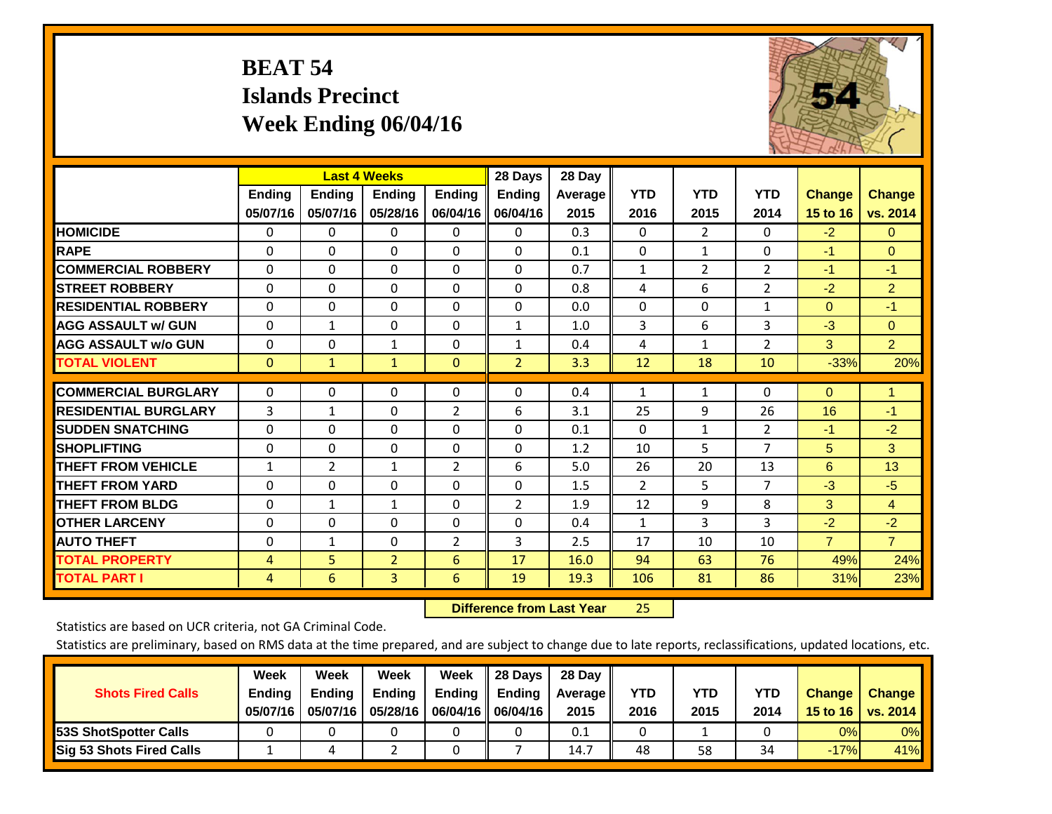# **BEAT 54 Islands Precinct Week Ending 06/04/16**



|                             |               |                | <b>Last 4 Weeks</b> |                | 28 Days        | 28 Day  |                |                |                |                |                |
|-----------------------------|---------------|----------------|---------------------|----------------|----------------|---------|----------------|----------------|----------------|----------------|----------------|
|                             | <b>Ending</b> | <b>Ending</b>  | <b>Ending</b>       | <b>Endina</b>  | <b>Ending</b>  | Average | <b>YTD</b>     | <b>YTD</b>     | <b>YTD</b>     | <b>Change</b>  | <b>Change</b>  |
|                             | 05/07/16      | 05/07/16       | 05/28/16            | 06/04/16       | 06/04/16       | 2015    | 2016           | 2015           | 2014           | 15 to 16       | vs. 2014       |
| <b>HOMICIDE</b>             | 0             | 0              | 0                   | 0              | 0              | 0.3     | $\Omega$       | $\overline{2}$ | 0              | $-2$           | $\mathbf{0}$   |
| <b>RAPE</b>                 | $\Omega$      | 0              | $\Omega$            | $\Omega$       | $\Omega$       | 0.1     | $\mathbf{0}$   | $\mathbf{1}$   | $\Omega$       | $-1$           | $\Omega$       |
| <b>COMMERCIAL ROBBERY</b>   | $\Omega$      | 0              | $\Omega$            | $\Omega$       | $\Omega$       | 0.7     | $\mathbf{1}$   | $\overline{2}$ | 2              | $-1$           | $-1$           |
| <b>STREET ROBBERY</b>       | 0             | $\Omega$       | 0                   | $\Omega$       | $\Omega$       | 0.8     | 4              | 6              | $\overline{2}$ | $-2$           | $\overline{2}$ |
| <b>RESIDENTIAL ROBBERY</b>  | $\Omega$      | $\Omega$       | $\mathbf{0}$        | $\Omega$       | $\Omega$       | 0.0     | $\mathbf{0}$   | 0              | $\mathbf{1}$   | $\Omega$       | $-1$           |
| <b>AGG ASSAULT w/ GUN</b>   | $\Omega$      | 1              | $\Omega$            | $\Omega$       | $\mathbf{1}$   | 1.0     | 3              | 6              | 3              | $-3$           | $\Omega$       |
| <b>AGG ASSAULT w/o GUN</b>  | $\Omega$      | 0              | 1                   | $\Omega$       | $\mathbf{1}$   | 0.4     | 4              | 1              | 2              | 3              | $\overline{2}$ |
| <b>TOTAL VIOLENT</b>        | $\mathbf 0$   | $\mathbf{1}$   | $\mathbf{1}$        | $\mathbf{0}$   | $\overline{2}$ | 3.3     | 12             | 18             | 10             | $-33%$         | 20%            |
|                             |               |                |                     |                |                |         |                |                |                |                |                |
| <b>COMMERCIAL BURGLARY</b>  | 0             | $\Omega$       | 0                   | 0              | $\Omega$       | 0.4     | 1              | 1              | 0              | $\mathbf{0}$   | 1              |
| <b>RESIDENTIAL BURGLARY</b> | 3             | 1              | $\mathbf{0}$        | $\overline{2}$ | 6              | 3.1     | 25             | 9              | 26             | 16             | $-1$           |
| <b>ISUDDEN SNATCHING</b>    | $\Omega$      | $\Omega$       | $\mathbf{0}$        | $\Omega$       | $\Omega$       | 0.1     | $\mathbf{0}$   | $\mathbf{1}$   | $\overline{2}$ | $-1$           | $-2$           |
| <b>SHOPLIFTING</b>          | $\Omega$      | 0              | $\Omega$            | $\Omega$       | $\Omega$       | 1.2     | 10             | 5              | $\overline{7}$ | 5              | 3              |
| <b>THEFT FROM VEHICLE</b>   | $\mathbf{1}$  | $\overline{2}$ | 1                   | 2              | 6              | 5.0     | 26             | 20             | 13             | 6              | 13             |
| <b>THEFT FROM YARD</b>      | $\Omega$      | $\Omega$       | $\Omega$            | $\Omega$       | $\Omega$       | 1.5     | $\overline{2}$ | 5              | $\overline{7}$ | $-3$           | $-5$           |
| <b>THEFT FROM BLDG</b>      | 0             | 1              | 1                   | $\Omega$       | 2              | 1.9     | 12             | 9              | 8              | 3              | $\overline{4}$ |
| <b>OTHER LARCENY</b>        | $\Omega$      | $\Omega$       | $\Omega$            | $\Omega$       | $\Omega$       | 0.4     | 1              | 3              | 3              | $-2$           | $-2$           |
| <b>AUTO THEFT</b>           | $\Omega$      | $\mathbf{1}$   | $\Omega$            | $\overline{2}$ | 3              | 2.5     | 17             | 10             | 10             | $\overline{7}$ | $\overline{7}$ |
| <b>TOTAL PROPERTY</b>       | 4             | 5              | $\overline{2}$      | 6              | 17             | 16.0    | 94             | 63             | 76             | 49%            | 24%            |
| <b>TOTAL PART I</b>         | 4             | 6              | $\overline{3}$      | 6              | 19             | 19.3    | 106            | 81             | 86             | 31%            | 23%            |

 **Difference from Last Year**25

Statistics are based on UCR criteria, not GA Criminal Code.

| <b>Shots Fired Calls</b>        | Week<br><b>Ending</b><br>05/07/16 | Week<br><b>Endina</b><br>05/07/16 | Week<br>Ending<br>05/28/16 | Week<br>Ending | 28 Days<br><b>Ending</b><br>06/04/16    06/04/16 | 28 Day<br>Average II<br>2015 | YTD<br>2016 | YTD<br>2015 | <b>YTD</b><br>2014 | <b>Change</b><br>15 to $16$ | <b>Change</b><br>vs. 2014 |
|---------------------------------|-----------------------------------|-----------------------------------|----------------------------|----------------|--------------------------------------------------|------------------------------|-------------|-------------|--------------------|-----------------------------|---------------------------|
| <b>153S ShotSpotter Calls</b>   |                                   |                                   |                            |                |                                                  | 0.1                          |             |             |                    | 0%                          | 0%                        |
| <b>Sig 53 Shots Fired Calls</b> |                                   |                                   |                            |                |                                                  | 14.7                         | 48          | 58          | 34                 | $-17%$                      | 41%                       |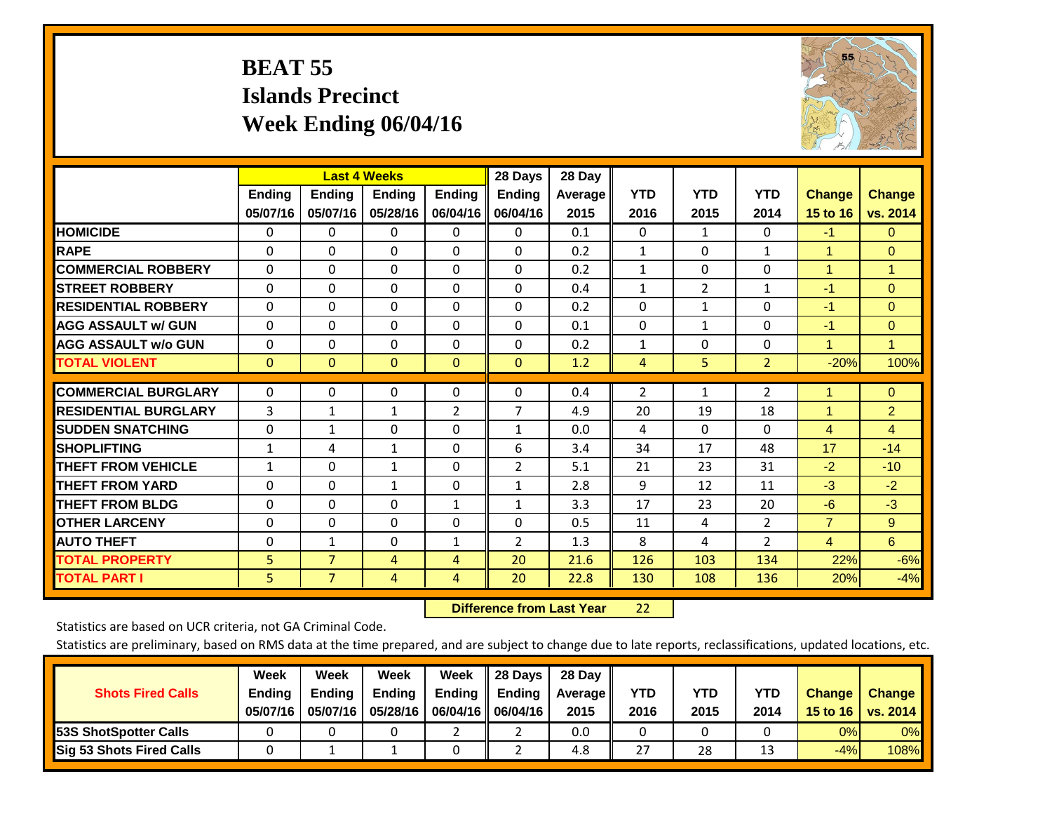# **BEAT 55 Islands Precinct Week Ending 06/04/16**



|                             |               | <b>Last 4 Weeks</b> |                |                | 28 Days        | 28 Day  |                |                |                |                |                |
|-----------------------------|---------------|---------------------|----------------|----------------|----------------|---------|----------------|----------------|----------------|----------------|----------------|
|                             | <b>Ending</b> | <b>Ending</b>       | <b>Ending</b>  | <b>Ending</b>  | <b>Ending</b>  | Average | <b>YTD</b>     | <b>YTD</b>     | <b>YTD</b>     | <b>Change</b>  | <b>Change</b>  |
|                             | 05/07/16      | 05/07/16            | 05/28/16       | 06/04/16       | 06/04/16       | 2015    | 2016           | 2015           | 2014           | 15 to 16       | vs. 2014       |
| <b>HOMICIDE</b>             | $\Omega$      | 0                   | $\Omega$       | $\Omega$       | 0              | 0.1     | $\mathbf{0}$   | $\mathbf{1}$   | $\Omega$       | $-1$           | $\Omega$       |
| <b>RAPE</b>                 | $\Omega$      | $\Omega$            | $\Omega$       | 0              | $\Omega$       | 0.2     | 1              | $\Omega$       | $\mathbf{1}$   | 1              | $\Omega$       |
| <b>COMMERCIAL ROBBERY</b>   | $\Omega$      | $\Omega$            | $\Omega$       | $\Omega$       | $\Omega$       | 0.2     | $\mathbf{1}$   | 0              | $\Omega$       | $\overline{1}$ | 1              |
| <b>ISTREET ROBBERY</b>      | $\Omega$      | $\Omega$            | $\Omega$       | $\Omega$       | $\Omega$       | 0.4     | $\mathbf{1}$   | $\overline{2}$ | $\mathbf{1}$   | $-1$           | $\Omega$       |
| <b>RESIDENTIAL ROBBERY</b>  | $\Omega$      | $\Omega$            | $\mathbf{0}$   | $\Omega$       | $\Omega$       | 0.2     | $\mathbf{0}$   | 1              | 0              | $-1$           | $\mathbf{0}$   |
| <b>AGG ASSAULT w/ GUN</b>   | $\Omega$      | 0                   | $\Omega$       | $\Omega$       | 0              | 0.1     | $\mathbf 0$    | 1              | 0              | $-1$           | $\mathbf{0}$   |
| <b>AGG ASSAULT w/o GUN</b>  | $\Omega$      | $\Omega$            | $\Omega$       | $\Omega$       | $\Omega$       | 0.2     | $\mathbf{1}$   | $\mathbf{0}$   | 0              | $\overline{1}$ | $\mathbf{1}$   |
| <b>TOTAL VIOLENT</b>        | $\mathbf{0}$  | $\mathbf{0}$        | $\mathbf{0}$   | $\mathbf{0}$   | $\mathbf{0}$   | 1.2     | $\overline{4}$ | 5              | $\overline{2}$ | $-20%$         | 100%           |
|                             |               |                     |                |                |                |         |                |                |                |                |                |
| <b>COMMERCIAL BURGLARY</b>  | $\mathbf 0$   | $\Omega$            | 0              | 0              | $\Omega$       | 0.4     | $\overline{2}$ | 1              | 2              |                | $\mathbf{0}$   |
| <b>RESIDENTIAL BURGLARY</b> | 3             | $\mathbf{1}$        | $\mathbf{1}$   | $\overline{2}$ | 7              | 4.9     | 20             | 19             | 18             | 1              | $\overline{2}$ |
| <b>SUDDEN SNATCHING</b>     | 0             | $\mathbf{1}$        | $\Omega$       | 0              | $\mathbf{1}$   | 0.0     | 4              | 0              | 0              | 4              | $\overline{4}$ |
| <b>SHOPLIFTING</b>          | $\mathbf{1}$  | 4                   | $\mathbf{1}$   | 0              | 6              | 3.4     | 34             | 17             | 48             | 17             | $-14$          |
| <b>THEFT FROM VEHICLE</b>   | $\mathbf{1}$  | $\Omega$            | $\mathbf{1}$   | $\Omega$       | 2              | 5.1     | 21             | 23             | 31             | $-2$           | $-10$          |
| <b>THEFT FROM YARD</b>      | $\Omega$      | $\Omega$            | $\mathbf{1}$   | $\Omega$       | $\mathbf{1}$   | 2.8     | 9              | 12             | 11             | $-3$           | $-2$           |
| <b>THEFT FROM BLDG</b>      | $\Omega$      | $\Omega$            | $\mathbf{0}$   | $\mathbf{1}$   | $\mathbf{1}$   | 3.3     | 17             | 23             | 20             | $-6$           | $-3$           |
| <b>OTHER LARCENY</b>        | $\Omega$      | 0                   | $\mathbf{0}$   | 0              | 0              | 0.5     | 11             | 4              | 2              | $\overline{7}$ | 9              |
| <b>AUTO THEFT</b>           | $\mathbf 0$   | $\mathbf{1}$        | $\Omega$       | 1              | $\overline{2}$ | 1.3     | 8              | 4              | $\overline{2}$ | $\overline{4}$ | 6              |
| <b>TOTAL PROPERTY</b>       | 5             | $\overline{7}$      | 4              | 4              | 20             | 21.6    | 126            | 103            | 134            | 22%            | $-6%$          |
| <b>TOTAL PART I</b>         | 5             | $\overline{7}$      | $\overline{4}$ | 4              | 20             | 22.8    | 130            | 108            | 136            | 20%            | $-4%$          |

 **Difference from Last Year**22

Statistics are based on UCR criteria, not GA Criminal Code.

| <b>Shots Fired Calls</b>        | Week<br><b>Ending</b><br>05/07/16 | Week<br><b>Endina</b><br>05/07/16 | <b>Week</b><br>Ending<br>05/28/16 | Week<br>Ending | 28 Days<br><b>Ending</b><br>06/04/16   06/04/16 | 28 Day<br>Average II<br>2015 | YTD<br>2016 | YTD<br>2015 | <b>YTD</b><br>2014 | <b>Change</b><br>15 to $16$ | <b>Change</b><br>vs. 2014 |
|---------------------------------|-----------------------------------|-----------------------------------|-----------------------------------|----------------|-------------------------------------------------|------------------------------|-------------|-------------|--------------------|-----------------------------|---------------------------|
| <b>153S ShotSpotter Calls</b>   |                                   |                                   |                                   |                |                                                 | 0.0                          |             |             |                    | 0%                          | 0%                        |
| <b>Sig 53 Shots Fired Calls</b> |                                   |                                   |                                   |                |                                                 | 4.8                          | 27          | 28          | 1.                 | $-4%$                       | 108%                      |